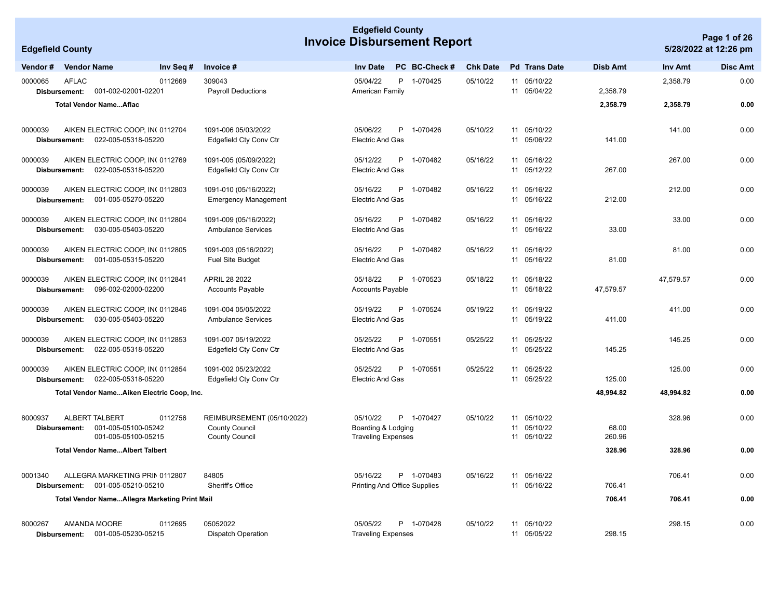| <b>Edgefield County</b><br><b>Invoice Disbursement Report</b> |                               |                                                                         |                                                                              |                                                             |  |   |                                            |                 |    | Page 1 of 26                           |                 |           |                       |
|---------------------------------------------------------------|-------------------------------|-------------------------------------------------------------------------|------------------------------------------------------------------------------|-------------------------------------------------------------|--|---|--------------------------------------------|-----------------|----|----------------------------------------|-----------------|-----------|-----------------------|
| <b>Edgefield County</b>                                       |                               |                                                                         |                                                                              |                                                             |  |   |                                            |                 |    |                                        |                 |           | 5/28/2022 at 12:26 pm |
| Vendor #                                                      | <b>Vendor Name</b>            | Inv Seq #                                                               | Invoice #                                                                    | <b>Inv Date</b>                                             |  |   | PC BC-Check #                              | <b>Chk Date</b> |    | <b>Pd</b> Trans Date                   | Disb Amt        | Inv Amt   | <b>Disc Amt</b>       |
| 0000065                                                       | <b>AFLAC</b><br>Disbursement: | 0112669<br>001-002-02001-02201                                          | 309043<br><b>Payroll Deductions</b>                                          | 05/04/22<br>American Family                                 |  |   | P 1-070425                                 | 05/10/22        |    | 11 05/10/22<br>11 05/04/22             | 2,358.79        | 2,358.79  | 0.00                  |
|                                                               |                               | <b>Total Vendor NameAflac</b>                                           |                                                                              |                                                             |  |   |                                            |                 |    |                                        | 2,358.79        | 2,358.79  | 0.00                  |
| 0000039                                                       | Disbursement:                 | AIKEN ELECTRIC COOP, IN( 0112704<br>022-005-05318-05220                 | 1091-006 05/03/2022<br>Edgefield Cty Conv Ctr                                | 05/06/22<br><b>Electric And Gas</b>                         |  |   | P 1-070426                                 | 05/10/22        |    | 11 05/10/22<br>11 05/06/22             | 141.00          | 141.00    | 0.00                  |
| 0000039                                                       | Disbursement:                 | AIKEN ELECTRIC COOP. IN 0112769<br>022-005-05318-05220                  | 1091-005 (05/09/2022)<br>Edgefield Cty Conv Ctr                              | 05/12/22<br><b>Electric And Gas</b>                         |  | P | 1-070482                                   | 05/16/22        |    | 11 05/16/22<br>11 05/12/22             | 267.00          | 267.00    | 0.00                  |
| 0000039                                                       | Disbursement:                 | AIKEN ELECTRIC COOP, IN( 0112803<br>001-005-05270-05220                 | 1091-010 (05/16/2022)<br><b>Emergency Management</b>                         | 05/16/22<br><b>Electric And Gas</b>                         |  | P | 1-070482                                   | 05/16/22        |    | 11 05/16/22<br>11 05/16/22             | 212.00          | 212.00    | 0.00                  |
| 0000039                                                       | Disbursement:                 | AIKEN ELECTRIC COOP, IN( 0112804<br>030-005-05403-05220                 | 1091-009 (05/16/2022)<br><b>Ambulance Services</b>                           | 05/16/22<br><b>Electric And Gas</b>                         |  | P | 1-070482                                   | 05/16/22        |    | 11 05/16/22<br>11 05/16/22             | 33.00           | 33.00     | 0.00                  |
| 0000039                                                       | Disbursement:                 | AIKEN ELECTRIC COOP, IN( 0112805<br>001-005-05315-05220                 | 1091-003 (0516/2022)<br><b>Fuel Site Budget</b>                              | 05/16/22<br><b>Electric And Gas</b>                         |  | P | 1-070482                                   | 05/16/22        | 11 | 05/16/22<br>11 05/16/22                | 81.00           | 81.00     | 0.00                  |
| 0000039                                                       | Disbursement:                 | AIKEN ELECTRIC COOP, IN( 0112841<br>096-002-02000-02200                 | APRIL 28 2022<br><b>Accounts Payable</b>                                     | 05/18/22<br><b>Accounts Payable</b>                         |  | P | 1-070523                                   | 05/18/22        |    | 11 05/18/22<br>11 05/18/22             | 47,579.57       | 47,579.57 | 0.00                  |
| 0000039                                                       | Disbursement:                 | AIKEN ELECTRIC COOP, IN( 0112846<br>030-005-05403-05220                 | 1091-004 05/05/2022<br><b>Ambulance Services</b>                             | 05/19/22<br><b>Electric And Gas</b>                         |  | P | 1-070524                                   | 05/19/22        | 11 | 05/19/22<br>11 05/19/22                | 411.00          | 411.00    | 0.00                  |
| 0000039                                                       | Disbursement:                 | AIKEN ELECTRIC COOP, IN( 0112853<br>022-005-05318-05220                 | 1091-007 05/19/2022<br>Edgefield Cty Conv Ctr                                | 05/25/22<br><b>Electric And Gas</b>                         |  | P | 1-070551                                   | 05/25/22        | 11 | 05/25/22<br>11 05/25/22                | 145.25          | 145.25    | 0.00                  |
| 0000039                                                       | Disbursement:                 | AIKEN ELECTRIC COOP, INC0112854<br>022-005-05318-05220                  | 1091-002 05/23/2022<br>Edgefield Cty Conv Ctr                                | 05/25/22<br><b>Electric And Gas</b>                         |  | P | 1-070551                                   | 05/25/22        |    | 11 05/25/22<br>11 05/25/22             | 125.00          | 125.00    | 0.00                  |
|                                                               |                               | Total Vendor NameAiken Electric Coop, Inc.                              |                                                                              |                                                             |  |   |                                            |                 |    |                                        | 48,994.82       | 48,994.82 | 0.00                  |
| 8000937                                                       | Disbursement:                 | ALBERT TALBERT<br>0112756<br>001-005-05100-05242<br>001-005-05100-05215 | REIMBURSEMENT (05/10/2022)<br><b>County Council</b><br><b>County Council</b> | 05/10/22<br>Boarding & Lodging<br><b>Traveling Expenses</b> |  |   | P 1-070427                                 | 05/10/22        | 11 | 11 05/10/22<br>05/10/22<br>11 05/10/22 | 68.00<br>260.96 | 328.96    | 0.00                  |
|                                                               |                               | <b>Total Vendor NameAlbert Talbert</b>                                  |                                                                              |                                                             |  |   |                                            |                 |    |                                        | 328.96          | 328.96    | 0.00                  |
| 0001340                                                       |                               | ALLEGRA MARKETING PRIN 0112807<br>Disbursement: 001-005-05210-05210     | 84805<br>Sheriff's Office                                                    | 05/16/22                                                    |  |   | P 1-070483<br>Printing And Office Supplies | 05/16/22        |    | 11 05/16/22<br>11 05/16/22             | 706.41          | 706.41    | 0.00                  |
|                                                               |                               | <b>Total Vendor NameAllegra Marketing Print Mail</b>                    |                                                                              |                                                             |  |   |                                            |                 |    |                                        | 706.41          | 706.41    | 0.00                  |
| 8000267                                                       |                               | AMANDA MOORE<br>0112695<br>Disbursement: 001-005-05230-05215            | 05052022<br><b>Dispatch Operation</b>                                        | 05/05/22<br><b>Traveling Expenses</b>                       |  |   | P 1-070428                                 | 05/10/22        |    | 11 05/10/22<br>11 05/05/22             | 298.15          | 298.15    | 0.00                  |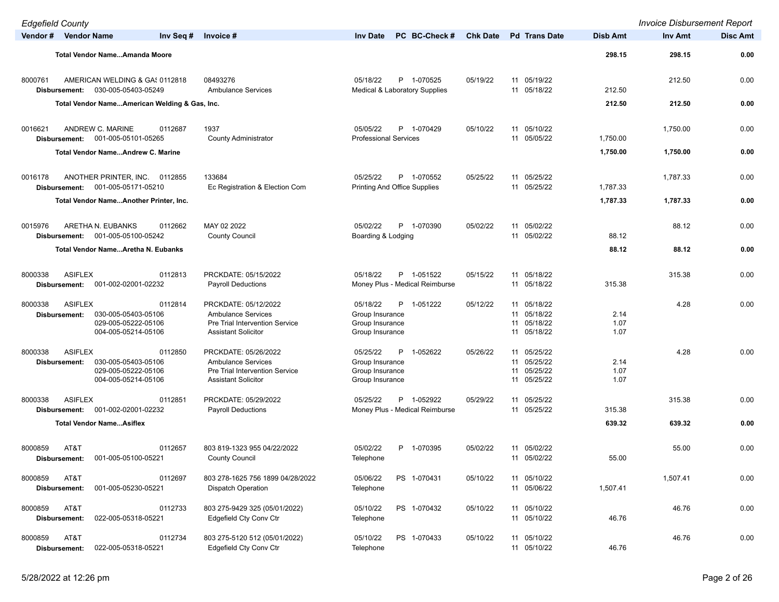| <b>Edgefield County</b>                    |                                                                                                |                                                                                                                          |                                                                                    |                 |                                                             |                      | <b>Invoice Disbursement Report</b> |                 |
|--------------------------------------------|------------------------------------------------------------------------------------------------|--------------------------------------------------------------------------------------------------------------------------|------------------------------------------------------------------------------------|-----------------|-------------------------------------------------------------|----------------------|------------------------------------|-----------------|
| Vendor # Vendor Name                       | Inv Seq #                                                                                      | Invoice #                                                                                                                | <b>Inv Date</b><br>PC BC-Check#                                                    | <b>Chk Date</b> | <b>Pd</b> Trans Date                                        | <b>Disb Amt</b>      | Inv Amt                            | <b>Disc Amt</b> |
|                                            | <b>Total Vendor NameAmanda Moore</b>                                                           |                                                                                                                          |                                                                                    |                 |                                                             | 298.15               | 298.15                             | 0.00            |
| 8000761<br>Disbursement:                   | AMERICAN WELDING & GAS 0112818<br>030-005-05403-05249                                          | 08493276<br><b>Ambulance Services</b>                                                                                    | 05/18/22<br>P 1-070525<br><b>Medical &amp; Laboratory Supplies</b>                 | 05/19/22        | 11 05/19/22<br>11 05/18/22                                  | 212.50               | 212.50                             | 0.00            |
|                                            | Total Vendor NameAmerican Welding & Gas, Inc.                                                  |                                                                                                                          |                                                                                    |                 |                                                             | 212.50               | 212.50                             | 0.00            |
| 0016621<br>Disbursement:                   | ANDREW C. MARINE<br>0112687<br>001-005-05101-05265                                             | 1937<br><b>County Administrator</b>                                                                                      | 05/05/22<br>P 1-070429<br><b>Professional Services</b>                             | 05/10/22        | 11 05/10/22<br>11 05/05/22                                  | 1,750.00             | 1,750.00                           | 0.00            |
|                                            | <b>Total Vendor NameAndrew C. Marine</b>                                                       |                                                                                                                          |                                                                                    |                 |                                                             | 1,750.00             | 1,750.00                           | 0.00            |
| 0016178<br>Disbursement:                   | ANOTHER PRINTER, INC. 0112855<br>001-005-05171-05210<br>Total Vendor NameAnother Printer, Inc. | 133684<br>Ec Registration & Election Com                                                                                 | 05/25/22<br>P 1-070552<br><b>Printing And Office Supplies</b>                      | 05/25/22        | 11 05/25/22<br>11 05/25/22                                  | 1,787.33<br>1,787.33 | 1,787.33<br>1,787.33               | 0.00<br>0.00    |
| 0015976<br>Disbursement:                   | ARETHA N. EUBANKS<br>0112662<br>001-005-05100-05242                                            | MAY 02 2022<br><b>County Council</b>                                                                                     | 05/02/22<br>P 1-070390<br>Boarding & Lodging                                       | 05/02/22        | 11 05/02/22<br>11 05/02/22                                  | 88.12                | 88.12                              | 0.00            |
|                                            | <b>Total Vendor NameAretha N. Eubanks</b>                                                      |                                                                                                                          |                                                                                    |                 |                                                             | 88.12                | 88.12                              | 0.00            |
| 8000338<br><b>ASIFLEX</b>                  | 0112813<br>Disbursement: 001-002-02001-02232                                                   | PRCKDATE: 05/15/2022<br><b>Payroll Deductions</b>                                                                        | 05/18/22<br>P 1-051522<br>Money Plus - Medical Reimburse                           | 05/15/22        | 11 05/18/22<br>11 05/18/22                                  | 315.38               | 315.38                             | 0.00            |
| 8000338<br><b>ASIFLEX</b><br>Disbursement: | 0112814<br>030-005-05403-05106<br>029-005-05222-05106<br>004-005-05214-05106                   | PRCKDATE: 05/12/2022<br><b>Ambulance Services</b><br><b>Pre Trial Intervention Service</b><br><b>Assistant Solicitor</b> | 05/18/22<br>P 1-051222<br>Group Insurance<br>Group Insurance<br>Group Insurance    | 05/12/22        | 11 05/18/22<br>11 05/18/22<br>11 05/18/22<br>11 05/18/22    | 2.14<br>1.07<br>1.07 | 4.28                               | 0.00            |
| <b>ASIFLEX</b><br>8000338<br>Disbursement: | 0112850<br>030-005-05403-05106<br>029-005-05222-05106<br>004-005-05214-05106                   | PRCKDATE: 05/26/2022<br><b>Ambulance Services</b><br><b>Pre Trial Intervention Service</b><br><b>Assistant Solicitor</b> | 05/25/22<br>P<br>1-052622<br>Group Insurance<br>Group Insurance<br>Group Insurance | 05/26/22        | 11 05/25/22<br>11 05/25/22<br>05/25/22<br>11<br>11 05/25/22 | 2.14<br>1.07<br>1.07 | 4.28                               | 0.00            |
| <b>ASIFLEX</b><br>8000338<br>Disbursement: | 0112851<br>001-002-02001-02232                                                                 | PRCKDATE: 05/29/2022<br><b>Payroll Deductions</b>                                                                        | P 1-052922<br>05/25/22<br>Money Plus - Medical Reimburse                           | 05/29/22        | 11 05/25/22<br>11 05/25/22                                  | 315.38               | 315.38                             | 0.00            |
|                                            | <b>Total Vendor NameAsiflex</b>                                                                |                                                                                                                          |                                                                                    |                 |                                                             | 639.32               | 639.32                             | 0.00            |
| 8000859<br>AT&T                            | 0112657<br>Disbursement: 001-005-05100-05221                                                   | 803 819-1323 955 04/22/2022<br><b>County Council</b>                                                                     | 05/02/22<br>P 1-070395<br>Telephone                                                | 05/02/22        | 11 05/02/22<br>11 05/02/22                                  | 55.00                | 55.00                              | 0.00            |
| AT&T<br>8000859<br>Disbursement:           | 0112697<br>001-005-05230-05221                                                                 | 803 278-1625 756 1899 04/28/2022<br>Dispatch Operation                                                                   | 05/06/22<br>PS 1-070431<br>Telephone                                               | 05/10/22        | 11 05/10/22<br>11 05/06/22                                  | 1,507.41             | 1,507.41                           | 0.00            |
| 8000859<br>AT&T<br>Disbursement:           | 0112733<br>022-005-05318-05221                                                                 | 803 275-9429 325 (05/01/2022)<br>Edgefield Cty Conv Ctr                                                                  | 05/10/22<br>PS 1-070432<br>Telephone                                               | 05/10/22        | 11 05/10/22<br>11 05/10/22                                  | 46.76                | 46.76                              | 0.00            |
| 8000859<br>AT&T<br>Disbursement:           | 0112734<br>022-005-05318-05221                                                                 | 803 275-5120 512 (05/01/2022)<br>Edgefield Cty Conv Ctr                                                                  | 05/10/22<br>PS 1-070433<br>Telephone                                               | 05/10/22        | 11 05/10/22<br>11 05/10/22                                  | 46.76                | 46.76                              | 0.00            |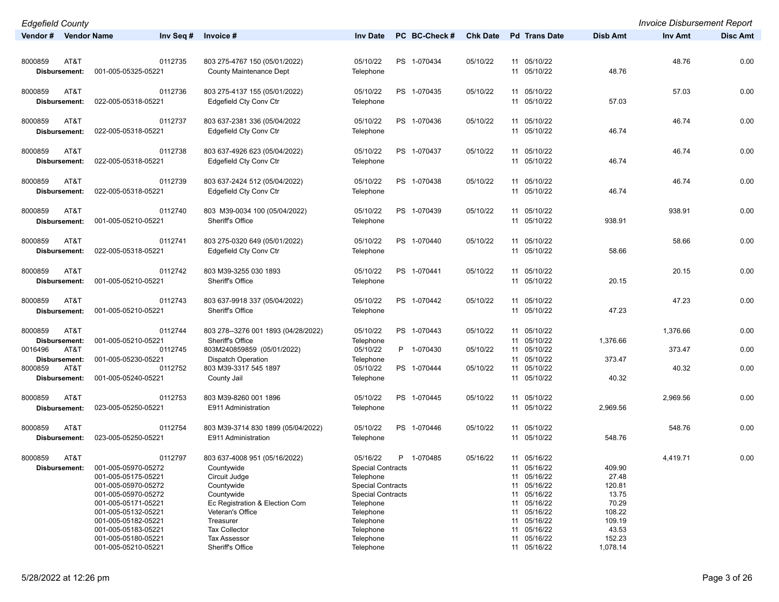| <b>Edgefield County</b> |                                            |                                                   |                          |               |                 |    |                         |                  | <b>Invoice Disbursement Report</b> |                 |
|-------------------------|--------------------------------------------|---------------------------------------------------|--------------------------|---------------|-----------------|----|-------------------------|------------------|------------------------------------|-----------------|
| Vendor # Vendor Name    | Inv Seq #                                  | Invoice #                                         | <b>Inv Date</b>          | PC BC-Check # | <b>Chk Date</b> |    | <b>Pd</b> Trans Date    | Disb Amt         | Inv Amt                            | <b>Disc Amt</b> |
|                         |                                            |                                                   |                          |               |                 |    |                         |                  |                                    |                 |
| 8000859<br>AT&T         | 0112735                                    | 803 275-4767 150 (05/01/2022)                     | 05/10/22                 | PS 1-070434   | 05/10/22        |    | 11 05/10/22             |                  | 48.76                              | 0.00            |
| Disbursement:           | 001-005-05325-05221                        | <b>County Maintenance Dept</b>                    | Telephone                |               |                 |    | 11 05/10/22             | 48.76            |                                    |                 |
|                         |                                            |                                                   |                          |               |                 |    |                         |                  |                                    |                 |
| 8000859<br>AT&T         | 0112736                                    | 803 275-4137 155 (05/01/2022)                     | 05/10/22                 | PS 1-070435   | 05/10/22        |    | 11 05/10/22             |                  | 57.03                              | 0.00            |
| Disbursement:           | 022-005-05318-05221                        | Edgefield Cty Conv Ctr                            | Telephone                |               |                 |    | 11 05/10/22             | 57.03            |                                    |                 |
|                         |                                            |                                                   |                          |               |                 |    |                         |                  |                                    |                 |
| 8000859<br>AT&T         | 0112737                                    | 803 637-2381 336 (05/04/2022                      | 05/10/22                 | PS 1-070436   | 05/10/22        |    | 11 05/10/22             |                  | 46.74                              | 0.00            |
| Disbursement:           | 022-005-05318-05221                        | Edgefield Cty Conv Ctr                            | Telephone                |               |                 |    | 11 05/10/22             | 46.74            |                                    |                 |
|                         |                                            |                                                   |                          |               |                 |    |                         |                  |                                    |                 |
| AT&T<br>8000859         | 0112738                                    | 803 637-4926 623 (05/04/2022)                     | 05/10/22                 | PS 1-070437   | 05/10/22        |    | 11 05/10/22             |                  | 46.74                              | 0.00            |
| Disbursement:           | 022-005-05318-05221                        | Edgefield Cty Conv Ctr                            | Telephone                |               |                 |    | 11 05/10/22             | 46.74            |                                    |                 |
|                         |                                            |                                                   |                          |               |                 |    |                         |                  |                                    |                 |
| 8000859<br>AT&T         | 0112739                                    | 803 637-2424 512 (05/04/2022)                     | 05/10/22                 | PS 1-070438   | 05/10/22        |    | 11 05/10/22             |                  | 46.74                              | 0.00            |
| Disbursement:           | 022-005-05318-05221                        | Edgefield Cty Conv Ctr                            | Telephone                |               |                 |    | 11 05/10/22             | 46.74            |                                    |                 |
|                         |                                            |                                                   |                          |               |                 |    |                         |                  |                                    |                 |
| 8000859<br>AT&T         | 0112740                                    | 803 M39-0034 100 (05/04/2022)<br>Sheriff's Office | 05/10/22                 | PS 1-070439   | 05/10/22        |    | 11 05/10/22             |                  | 938.91                             | 0.00            |
| Disbursement:           | 001-005-05210-05221                        |                                                   | Telephone                |               |                 |    | 11 05/10/22             | 938.91           |                                    |                 |
| 8000859<br>AT&T         | 0112741                                    | 803 275-0320 649 (05/01/2022)                     | 05/10/22                 | PS 1-070440   | 05/10/22        |    | 11 05/10/22             |                  | 58.66                              | 0.00            |
| <b>Disbursement:</b>    | 022-005-05318-05221                        | Edgefield Cty Conv Ctr                            | Telephone                |               |                 |    | 11 05/10/22             | 58.66            |                                    |                 |
|                         |                                            |                                                   |                          |               |                 |    |                         |                  |                                    |                 |
| 8000859<br>AT&T         | 0112742                                    | 803 M39-3255 030 1893                             | 05/10/22                 | PS 1-070441   | 05/10/22        |    | 11 05/10/22             |                  | 20.15                              | 0.00            |
| Disbursement:           | 001-005-05210-05221                        | <b>Sheriff's Office</b>                           | Telephone                |               |                 |    | 11 05/10/22             | 20.15            |                                    |                 |
|                         |                                            |                                                   |                          |               |                 |    |                         |                  |                                    |                 |
| 8000859<br>AT&T         | 0112743                                    | 803 637-9918 337 (05/04/2022)                     | 05/10/22                 | PS 1-070442   | 05/10/22        |    | 11 05/10/22             |                  | 47.23                              | 0.00            |
| Disbursement:           | 001-005-05210-05221                        | Sheriff's Office                                  | Telephone                |               |                 |    | 11 05/10/22             | 47.23            |                                    |                 |
|                         |                                            |                                                   |                          |               |                 |    |                         |                  |                                    |                 |
| AT&T<br>8000859         | 0112744                                    | 803 278--3276 001 1893 (04/28/2022)               | 05/10/22                 | PS 1-070443   | 05/10/22        |    | 11 05/10/22             |                  | 1,376.66                           | 0.00            |
| Disbursement:           | 001-005-05210-05221                        | Sheriff's Office                                  | Telephone                |               |                 |    | 11 05/10/22             | 1,376.66         |                                    |                 |
| AT&T<br>0016496         | 0112745                                    | 803M240859859 (05/01/2022)                        | 05/10/22                 | P 1-070430    | 05/10/22        |    | 11 05/10/22             |                  | 373.47                             | 0.00            |
| Disbursement:           | 001-005-05230-05221                        | <b>Dispatch Operation</b>                         | Telephone                |               |                 |    | 11 05/10/22             | 373.47           |                                    |                 |
| 8000859<br>AT&T         | 0112752                                    | 803 M39-3317 545 1897                             | 05/10/22                 | PS 1-070444   | 05/10/22        |    | 11 05/10/22             |                  | 40.32                              | 0.00            |
| Disbursement:           | 001-005-05240-05221                        | County Jail                                       | Telephone                |               |                 |    | 11 05/10/22             | 40.32            |                                    |                 |
| 8000859<br>AT&T         | 0112753                                    | 803 M39-8260 001 1896                             | 05/10/22                 | PS 1-070445   | 05/10/22        |    | 11 05/10/22             |                  | 2,969.56                           | 0.00            |
| Disbursement:           | 023-005-05250-05221                        | E911 Administration                               | Telephone                |               |                 |    | 11 05/10/22             | 2,969.56         |                                    |                 |
|                         |                                            |                                                   |                          |               |                 |    |                         |                  |                                    |                 |
| 8000859<br>AT&T         | 0112754                                    | 803 M39-3714 830 1899 (05/04/2022)                | 05/10/22                 | PS 1-070446   | 05/10/22        |    | 11 05/10/22             |                  | 548.76                             | 0.00            |
| Disbursement:           | 023-005-05250-05221                        | E911 Administration                               | Telephone                |               |                 |    | 11 05/10/22             | 548.76           |                                    |                 |
|                         |                                            |                                                   |                          |               |                 |    |                         |                  |                                    |                 |
| 8000859<br>AT&T         | 0112797                                    | 803 637-4008 951 (05/16/2022)                     | 05/16/22                 | 1-070485<br>P | 05/16/22        |    | 11 05/16/22             |                  | 4,419.71                           | 0.00            |
| Disbursement:           | 001-005-05970-05272                        | Countywide                                        | <b>Special Contracts</b> |               |                 |    | 11 05/16/22             | 409.90           |                                    |                 |
|                         | 001-005-05175-05221                        | Circuit Judge                                     | Telephone                |               |                 |    | 11 05/16/22             | 27.48            |                                    |                 |
|                         | 001-005-05970-05272                        | Countywide                                        | <b>Special Contracts</b> |               |                 |    | 11 05/16/22             | 120.81           |                                    |                 |
|                         | 001-005-05970-05272                        | Countywide                                        | <b>Special Contracts</b> |               |                 | 11 | 05/16/22                | 13.75            |                                    |                 |
|                         | 001-005-05171-05221                        | Ec Registration & Election Com                    | Telephone                |               |                 |    | 11 05/16/22             | 70.29            |                                    |                 |
|                         | 001-005-05132-05221<br>001-005-05182-05221 | Veteran's Office<br>Treasurer                     | Telephone<br>Telephone   |               |                 | 11 | 05/16/22<br>11 05/16/22 | 108.22<br>109.19 |                                    |                 |
|                         | 001-005-05183-05221                        | <b>Tax Collector</b>                              | Telephone                |               |                 | 11 | 05/16/22                | 43.53            |                                    |                 |
|                         | 001-005-05180-05221                        | <b>Tax Assessor</b>                               | Telephone                |               |                 |    | 11 05/16/22             | 152.23           |                                    |                 |
|                         | 001-005-05210-05221                        | Sheriff's Office                                  | Telephone                |               |                 |    | 11 05/16/22             | 1,078.14         |                                    |                 |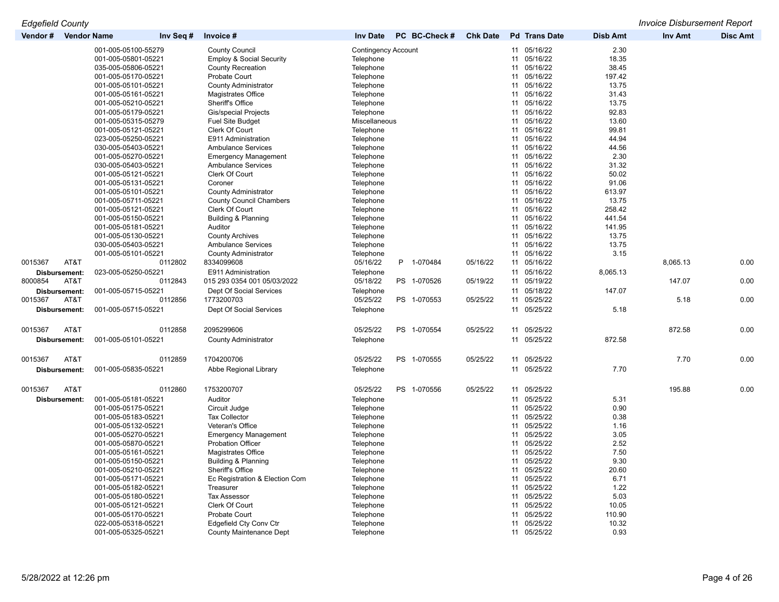*Edgefield County Invoice Disbursement Report*

| Vendor#              | <b>Vendor Name</b><br>Inv Seq # | Invoice #                             | PC BC-Check #<br><b>Inv Date</b> | <b>Chk Date</b> | <b>Pd</b> Trans Date | <b>Disb Amt</b> | Inv Amt  | <b>Disc Amt</b> |
|----------------------|---------------------------------|---------------------------------------|----------------------------------|-----------------|----------------------|-----------------|----------|-----------------|
|                      | 001-005-05100-55279             | <b>County Council</b>                 | <b>Contingency Account</b>       |                 | 11 05/16/22          | 2.30            |          |                 |
|                      | 001-005-05801-05221             | <b>Employ &amp; Social Security</b>   | Telephone                        |                 | 11 05/16/22          | 18.35           |          |                 |
|                      | 035-005-05806-05221             | County Recreation                     | Telephone                        |                 | 11<br>05/16/22       | 38.45           |          |                 |
|                      | 001-005-05170-05221             | Probate Court                         | Telephone                        |                 | 11 05/16/22          | 197.42          |          |                 |
|                      | 001-005-05101-05221             | <b>County Administrator</b>           | Telephone                        |                 | 05/16/22<br>11       | 13.75           |          |                 |
|                      | 001-005-05161-05221             | Magistrates Office                    | Telephone                        |                 | 11<br>05/16/22       | 31.43           |          |                 |
|                      | 001-005-05210-05221             | Sheriff's Office                      | Telephone                        |                 | 05/16/22<br>11       | 13.75           |          |                 |
|                      | 001-005-05179-05221             | Gis/special Projects                  | Telephone                        |                 | 11<br>05/16/22       | 92.83           |          |                 |
|                      | 001-005-05315-05279             | <b>Fuel Site Budget</b>               | Miscellaneous                    |                 | 11<br>05/16/22       | 13.60           |          |                 |
|                      | 001-005-05121-05221             | Clerk Of Court                        | Telephone                        |                 | 05/16/22<br>11       | 99.81           |          |                 |
|                      | 023-005-05250-05221             | E911 Administration                   | Telephone                        |                 | 11 05/16/22          | 44.94           |          |                 |
|                      | 030-005-05403-05221             | <b>Ambulance Services</b>             | Telephone                        |                 | 11 05/16/22          | 44.56           |          |                 |
|                      | 001-005-05270-05221             | <b>Emergency Management</b>           | Telephone                        |                 | 05/16/22<br>11       | 2.30            |          |                 |
|                      | 030-005-05403-05221             | <b>Ambulance Services</b>             | Telephone                        |                 | 05/16/22<br>11       | 31.32           |          |                 |
|                      | 001-005-05121-05221             | Clerk Of Court                        | Telephone                        |                 | 05/16/22<br>11       | 50.02           |          |                 |
|                      | 001-005-05131-05221             | Coroner                               | Telephone                        |                 | 11<br>05/16/22       | 91.06           |          |                 |
|                      | 001-005-05101-05221             | <b>County Administrator</b>           | Telephone                        |                 | 11 05/16/22          | 613.97          |          |                 |
|                      | 001-005-05711-05221             | <b>County Council Chambers</b>        | Telephone                        |                 | 05/16/22<br>11       | 13.75           |          |                 |
|                      | 001-005-05121-05221             | Clerk Of Court                        | Telephone                        |                 | 05/16/22<br>11       | 258.42          |          |                 |
|                      | 001-005-05150-05221             | Building & Planning                   | Telephone                        |                 | 05/16/22<br>11       | 441.54          |          |                 |
|                      |                                 |                                       |                                  |                 | 11 05/16/22          |                 |          |                 |
|                      | 001-005-05181-05221             | Auditor                               | Telephone                        |                 |                      | 141.95          |          |                 |
|                      | 001-005-05130-05221             | <b>County Archives</b>                | Telephone                        |                 | 11 05/16/22          | 13.75           |          |                 |
|                      | 030-005-05403-05221             | <b>Ambulance Services</b>             | Telephone                        |                 | 05/16/22<br>11       | 13.75           |          |                 |
|                      | 001-005-05101-05221             | <b>County Administrator</b>           | Telephone                        |                 | 11 05/16/22          | 3.15            |          |                 |
| 0015367<br>AT&T      | 0112802                         | 8334099608                            | 05/16/22<br>P 1-070484           | 05/16/22        | 11 05/16/22          |                 | 8,065.13 | 0.00            |
| <b>Disbursement:</b> | 023-005-05250-05221             | E911 Administration                   | Telephone                        |                 | 11 05/16/22          | 8,065.13        |          |                 |
| 8000854<br>AT&T      | 0112843                         | 015 293 0354 001 05/03/2022           | 05/18/22<br>PS 1-070526          | 05/19/22        | 11 05/19/22          |                 | 147.07   | 0.00            |
| <b>Disbursement:</b> | 001-005-05715-05221             | Dept Of Social Services               | Telephone                        |                 | 11 05/18/22          | 147.07          |          |                 |
| 0015367<br>AT&T      | 0112856                         | 1773200703                            | 05/25/22<br>PS 1-070553          | 05/25/22        | 05/25/22<br>11       |                 | 5.18     | 0.00            |
| Disbursement:        | 001-005-05715-05221             | Dept Of Social Services               | Telephone                        |                 | 11 05/25/22          | 5.18            |          |                 |
| 0015367<br>AT&T      | 0112858                         | 2095299606                            | 05/25/22<br>PS 1-070554          | 05/25/22        | 11 05/25/22          |                 | 872.58   | 0.00            |
| Disbursement:        | 001-005-05101-05221             | <b>County Administrator</b>           | Telephone                        |                 | 11 05/25/22          | 872.58          |          |                 |
|                      |                                 |                                       |                                  |                 |                      |                 |          |                 |
| 0015367<br>AT&T      | 0112859                         | 1704200706                            | 05/25/22<br>PS 1-070555          | 05/25/22        | 11 05/25/22          |                 | 7.70     | 0.00            |
| <b>Disbursement:</b> | 001-005-05835-05221             | Abbe Regional Library                 | Telephone                        |                 | 11 05/25/22          | 7.70            |          |                 |
|                      |                                 |                                       |                                  |                 |                      |                 |          |                 |
| 0015367<br>AT&T      | 0112860                         | 1753200707                            | 05/25/22<br>PS 1-070556          | 05/25/22        | 11 05/25/22          |                 | 195.88   | 0.00            |
| Disbursement:        | 001-005-05181-05221             | Auditor                               | Telephone                        |                 | 11 05/25/22          | 5.31            |          |                 |
|                      | 001-005-05175-05221             | Circuit Judge                         | Telephone                        |                 | 05/25/22<br>11       | 0.90            |          |                 |
|                      | 001-005-05183-05221             | <b>Tax Collector</b>                  | Telephone                        |                 | 05/25/22<br>11       | 0.38            |          |                 |
|                      | 001-005-05132-05221             | Veteran's Office                      | Telephone                        |                 | 05/25/22<br>11       | 1.16            |          |                 |
|                      | 001-005-05270-05221             | <b>Emergency Management</b>           | Telephone                        |                 | 05/25/22<br>11       | 3.05            |          |                 |
|                      | 001-005-05870-05221             | <b>Probation Officer</b>              | Telephone                        |                 | 05/25/22<br>11       | 2.52            |          |                 |
|                      | 001-005-05161-05221             | Magistrates Office                    | Telephone                        |                 | 05/25/22<br>11       | 7.50            |          |                 |
|                      | 001-005-05150-05221             | Building & Planning                   | Telephone                        |                 | 05/25/22<br>11       | 9.30            |          |                 |
|                      | 001-005-05210-05221             | Sheriff's Office                      | Telephone                        |                 | 05/25/22<br>11       | 20.60           |          |                 |
|                      | 001-005-05171-05221             | Ec Registration & Election Com        | Telephone                        |                 | 05/25/22<br>11       | 6.71            |          |                 |
|                      | 001-005-05182-05221             | Treasurer                             | Telephone                        |                 | 11 05/25/22          | 1.22            |          |                 |
|                      | 001-005-05180-05221             |                                       |                                  |                 | 05/25/22             | 5.03            |          |                 |
|                      | 001-005-05121-05221             | <b>Tax Assessor</b><br>Clerk Of Court | Telephone                        |                 | 11<br>05/25/22<br>11 | 10.05           |          |                 |
|                      |                                 |                                       | Telephone                        |                 | 05/25/22             |                 |          |                 |
|                      | 001-005-05170-05221             | <b>Probate Court</b>                  | Telephone                        |                 | 11<br>05/25/22<br>11 | 110.90<br>10.32 |          |                 |
|                      | 022-005-05318-05221             | Edgefield Cty Conv Ctr                | Telephone                        |                 | 11 05/25/22          | 0.93            |          |                 |
|                      | 001-005-05325-05221             | <b>County Maintenance Dept</b>        | Telephone                        |                 |                      |                 |          |                 |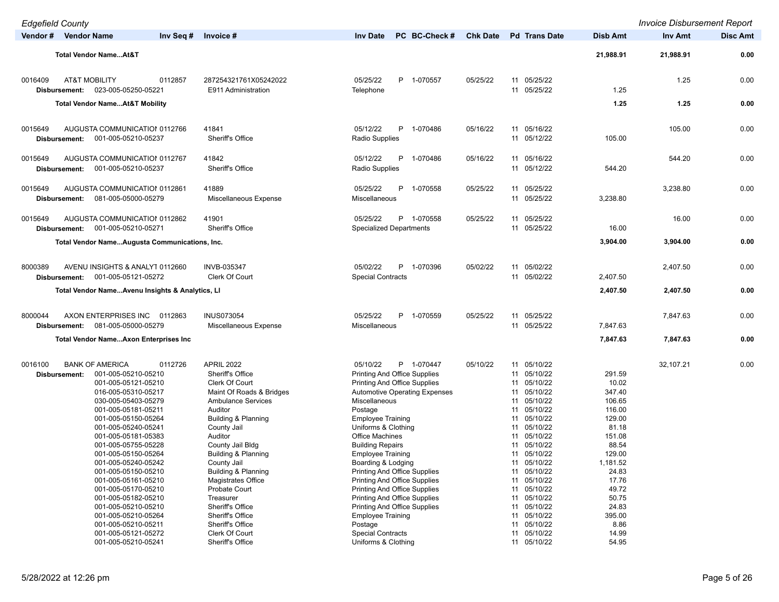| <b>Edgefield County</b>  |                                                            |                                              |                                                 |                 |                            |                 | <b>Invoice Disbursement Report</b> |                 |
|--------------------------|------------------------------------------------------------|----------------------------------------------|-------------------------------------------------|-----------------|----------------------------|-----------------|------------------------------------|-----------------|
| Vendor # Vendor Name     | Inv Seq #                                                  | Invoice #                                    | <b>Inv Date</b><br>PC BC-Check #                | <b>Chk Date</b> | <b>Pd</b> Trans Date       | <b>Disb Amt</b> | Inv Amt                            | <b>Disc Amt</b> |
|                          |                                                            |                                              |                                                 |                 |                            |                 |                                    |                 |
|                          | <b>Total Vendor NameAt&amp;T</b>                           |                                              |                                                 |                 |                            | 21,988.91       | 21,988.91                          | 0.00            |
|                          |                                                            |                                              |                                                 |                 |                            |                 |                                    |                 |
| 0016409<br>Disbursement: | <b>AT&amp;T MOBILITY</b><br>0112857<br>023-005-05250-05221 | 287254321761X05242022<br>E911 Administration | 05/25/22<br>P 1-070557<br>Telephone             | 05/25/22        | 11 05/25/22<br>11 05/25/22 | 1.25            | 1.25                               | 0.00            |
|                          |                                                            |                                              |                                                 |                 |                            |                 |                                    |                 |
|                          | <b>Total Vendor NameAt&amp;T Mobility</b>                  |                                              |                                                 |                 |                            | 1.25            | 1.25                               | 0.00            |
|                          |                                                            |                                              |                                                 |                 |                            |                 |                                    |                 |
| 0015649                  | AUGUSTA COMMUNICATIOI 0112766                              | 41841                                        | 05/12/22<br>P 1-070486                          | 05/16/22        | 11 05/16/22<br>11 05/12/22 |                 | 105.00                             | 0.00            |
| Disbursement:            | 001-005-05210-05237                                        | <b>Sheriff's Office</b>                      | Radio Supplies                                  |                 |                            | 105.00          |                                    |                 |
| 0015649                  | AUGUSTA COMMUNICATION 0112767                              | 41842                                        | 05/12/22<br>P<br>1-070486                       | 05/16/22        | 11 05/16/22                |                 | 544.20                             | 0.00            |
| Disbursement:            | 001-005-05210-05237                                        | Sheriff's Office                             | Radio Supplies                                  |                 | 11 05/12/22                | 544.20          |                                    |                 |
|                          |                                                            |                                              |                                                 |                 |                            |                 |                                    |                 |
| 0015649                  | AUGUSTA COMMUNICATIOI 0112861                              | 41889                                        | P 1-070558<br>05/25/22                          | 05/25/22        | 11 05/25/22                |                 | 3,238.80                           | 0.00            |
| Disbursement:            | 081-005-05000-05279                                        | Miscellaneous Expense                        | Miscellaneous                                   |                 | 11 05/25/22                | 3,238.80        |                                    |                 |
| 0015649                  | AUGUSTA COMMUNICATION 0112862                              | 41901                                        | 05/25/22<br>P 1-070558                          | 05/25/22        | 11 05/25/22                |                 | 16.00                              | 0.00            |
| Disbursement:            | 001-005-05210-05271                                        | Sheriff's Office                             | <b>Specialized Departments</b>                  |                 | 11 05/25/22                | 16.00           |                                    |                 |
|                          | Total Vendor NameAugusta Communications, Inc.              |                                              |                                                 |                 |                            | 3,904.00        | 3,904.00                           | 0.00            |
|                          |                                                            |                                              |                                                 |                 |                            |                 |                                    |                 |
| 8000389                  | AVENU INSIGHTS & ANALYT 0112660                            | <b>INVB-035347</b>                           | 05/02/22<br>P 1-070396                          | 05/02/22        | 11 05/02/22                |                 | 2,407.50                           | 0.00            |
| Disbursement:            | 001-005-05121-05272                                        | Clerk Of Court                               | <b>Special Contracts</b>                        |                 | 11 05/02/22                | 2,407.50        |                                    |                 |
|                          | Total Vendor NameAvenu Insights & Analytics, LI            |                                              |                                                 |                 |                            | 2,407.50        | 2,407.50                           | 0.00            |
|                          |                                                            |                                              |                                                 |                 |                            |                 |                                    |                 |
| 8000044                  | AXON ENTERPRISES INC<br>0112863                            | <b>INUS073054</b>                            | 05/25/22<br>P 1-070559                          | 05/25/22        | 11 05/25/22                |                 | 7,847.63                           | 0.00            |
| Disbursement:            | 081-005-05000-05279                                        | Miscellaneous Expense                        | Miscellaneous                                   |                 | 11 05/25/22                | 7,847.63        |                                    |                 |
|                          | <b>Total Vendor NameAxon Enterprises Inc.</b>              |                                              |                                                 |                 |                            | 7,847.63        | 7,847.63                           | 0.00            |
|                          |                                                            |                                              |                                                 |                 |                            |                 |                                    |                 |
| 0016100                  | <b>BANK OF AMERICA</b><br>0112726                          | <b>APRIL 2022</b>                            | 05/10/22<br>P 1-070447                          | 05/10/22        | 11 05/10/22                |                 | 32,107.21                          | 0.00            |
| Disbursement:            | 001-005-05210-05210                                        | Sheriff's Office                             | <b>Printing And Office Supplies</b>             |                 | 11 05/10/22                | 291.59          |                                    |                 |
|                          | 001-005-05121-05210                                        | Clerk Of Court                               | <b>Printing And Office Supplies</b>             |                 | 11 05/10/22                | 10.02           |                                    |                 |
|                          | 016-005-05310-05217                                        | Maint Of Roads & Bridges                     | <b>Automotive Operating Expenses</b>            |                 | 05/10/22<br>11             | 347.40          |                                    |                 |
|                          | 030-005-05403-05279                                        | <b>Ambulance Services</b>                    | Miscellaneous                                   |                 | 11 05/10/22                | 106.65          |                                    |                 |
|                          | 001-005-05181-05211                                        | Auditor                                      | Postage                                         |                 | 05/10/22<br>11             | 116.00          |                                    |                 |
|                          | 001-005-05150-05264                                        | Building & Planning                          | <b>Employee Training</b>                        |                 | 11 05/10/22                | 129.00          |                                    |                 |
|                          | 001-005-05240-05241                                        | County Jail                                  | Uniforms & Clothing                             |                 | 05/10/22<br>11             | 81.18           |                                    |                 |
|                          | 001-005-05181-05383                                        | Auditor                                      | <b>Office Machines</b>                          |                 | 05/10/22<br>11             | 151.08          |                                    |                 |
|                          | 001-005-05755-05228                                        | County Jail Bldg                             | <b>Building Repairs</b>                         |                 | 05/10/22<br>11             | 88.54           |                                    |                 |
|                          | 001-005-05150-05264                                        | Building & Planning                          | <b>Employee Training</b>                        |                 | 11 05/10/22                | 129.00          |                                    |                 |
|                          | 001-005-05240-05242                                        | County Jail                                  | Boarding & Lodging                              |                 | 11 05/10/22                | 1,181.52        |                                    |                 |
|                          | 001-005-05150-05210                                        | Building & Planning                          | <b>Printing And Office Supplies</b>             |                 | 11 05/10/22                | 24.83           |                                    |                 |
|                          | 001-005-05161-05210                                        | Magistrates Office                           | <b>Printing And Office Supplies</b>             |                 | 11 05/10/22                | 17.76           |                                    |                 |
|                          | 001-005-05170-05210                                        | Probate Court                                | <b>Printing And Office Supplies</b>             |                 | 11 05/10/22                | 49.72           |                                    |                 |
|                          | 001-005-05182-05210                                        | Treasurer                                    | <b>Printing And Office Supplies</b>             |                 | 11 05/10/22                | 50.75           |                                    |                 |
|                          | 001-005-05210-05210                                        | Sheriff's Office                             | <b>Printing And Office Supplies</b>             |                 | 11 05/10/22                | 24.83           |                                    |                 |
|                          | 001-005-05210-05264                                        | Sheriff's Office                             | <b>Employee Training</b>                        |                 | 11 05/10/22                | 395.00          |                                    |                 |
|                          | 001-005-05210-05211                                        | Sheriff's Office                             | Postage                                         |                 | 11 05/10/22                | 8.86            |                                    |                 |
|                          | 001-005-05121-05272<br>001-005-05210-05241                 | Clerk Of Court<br>Sheriff's Office           | <b>Special Contracts</b><br>Uniforms & Clothing |                 | 11 05/10/22<br>11 05/10/22 | 14.99<br>54.95  |                                    |                 |
|                          |                                                            |                                              |                                                 |                 |                            |                 |                                    |                 |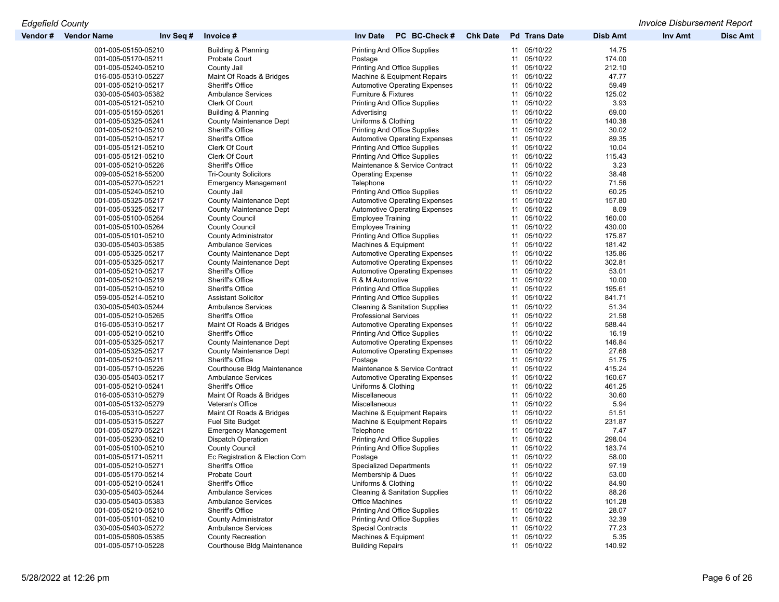| Vendor # | <b>Vendor Name</b>  | Inv Seq # | Invoice #                      | PC BC-Check #<br><b>Inv Date</b>          | <b>Chk Date</b> |    | <b>Pd</b> Trans Date | <b>Disb Amt</b> | <b>Inv Amt</b> | <b>Disc Amt</b> |
|----------|---------------------|-----------|--------------------------------|-------------------------------------------|-----------------|----|----------------------|-----------------|----------------|-----------------|
|          | 001-005-05150-05210 |           | Building & Planning            | Printing And Office Supplies              |                 |    | 11 05/10/22          | 14.75           |                |                 |
|          | 001-005-05170-05211 |           | <b>Probate Court</b>           | Postage                                   |                 |    | 11 05/10/22          | 174.00          |                |                 |
|          | 001-005-05240-05210 |           | County Jail                    | Printing And Office Supplies              |                 |    | 11 05/10/22          | 212.10          |                |                 |
|          | 016-005-05310-05227 |           | Maint Of Roads & Bridges       | Machine & Equipment Repairs               |                 |    | 11 05/10/22          | 47.77           |                |                 |
|          | 001-005-05210-05217 |           | Sheriff's Office               | <b>Automotive Operating Expenses</b>      |                 |    | 11 05/10/22          | 59.49           |                |                 |
|          | 030-005-05403-05382 |           | <b>Ambulance Services</b>      | Furniture & Fixtures                      |                 |    | 11 05/10/22          | 125.02          |                |                 |
|          | 001-005-05121-05210 |           | Clerk Of Court                 | <b>Printing And Office Supplies</b>       |                 |    | 11 05/10/22          | 3.93            |                |                 |
|          | 001-005-05150-05261 |           | Building & Planning            | Advertising                               |                 |    | 11 05/10/22          | 69.00           |                |                 |
|          | 001-005-05325-05241 |           | <b>County Maintenance Dept</b> | Uniforms & Clothing                       |                 |    | 11 05/10/22          | 140.38          |                |                 |
|          | 001-005-05210-05210 |           | Sheriff's Office               | <b>Printing And Office Supplies</b>       |                 |    | 11 05/10/22          | 30.02           |                |                 |
|          | 001-005-05210-05217 |           | Sheriff's Office               | <b>Automotive Operating Expenses</b>      |                 |    | 11 05/10/22          | 89.35           |                |                 |
|          | 001-005-05121-05210 |           | Clerk Of Court                 | <b>Printing And Office Supplies</b>       |                 |    | 11 05/10/22          | 10.04           |                |                 |
|          | 001-005-05121-05210 |           | Clerk Of Court                 | <b>Printing And Office Supplies</b>       |                 |    | 11 05/10/22          | 115.43          |                |                 |
|          | 001-005-05210-05226 |           | Sheriff's Office               | Maintenance & Service Contract            |                 |    | 11 05/10/22          | 3.23            |                |                 |
|          | 009-005-05218-55200 |           | Tri-County Solicitors          | <b>Operating Expense</b>                  |                 |    | 11 05/10/22          | 38.48           |                |                 |
|          | 001-005-05270-05221 |           |                                | Telephone                                 |                 |    | 11 05/10/22          | 71.56           |                |                 |
|          |                     |           | <b>Emergency Management</b>    | Printing And Office Supplies              |                 |    |                      |                 |                |                 |
|          | 001-005-05240-05210 |           | County Jail                    |                                           |                 |    | 11 05/10/22          | 60.25           |                |                 |
|          | 001-005-05325-05217 |           | <b>County Maintenance Dept</b> | Automotive Operating Expenses             |                 |    | 11 05/10/22          | 157.80          |                |                 |
|          | 001-005-05325-05217 |           | <b>County Maintenance Dept</b> | <b>Automotive Operating Expenses</b>      |                 |    | 11 05/10/22          | 8.09            |                |                 |
|          | 001-005-05100-05264 |           | <b>County Council</b>          | <b>Employee Training</b>                  |                 |    | 11 05/10/22          | 160.00          |                |                 |
|          | 001-005-05100-05264 |           | <b>County Council</b>          | <b>Employee Training</b>                  |                 |    | 11 05/10/22          | 430.00          |                |                 |
|          | 001-005-05101-05210 |           | <b>County Administrator</b>    | Printing And Office Supplies              |                 |    | 11 05/10/22          | 175.87          |                |                 |
|          | 030-005-05403-05385 |           | <b>Ambulance Services</b>      | Machines & Equipment                      |                 |    | 11 05/10/22          | 181.42          |                |                 |
|          | 001-005-05325-05217 |           | <b>County Maintenance Dept</b> | <b>Automotive Operating Expenses</b>      |                 |    | 11 05/10/22          | 135.86          |                |                 |
|          | 001-005-05325-05217 |           | <b>County Maintenance Dept</b> | <b>Automotive Operating Expenses</b>      |                 |    | 11 05/10/22          | 302.81          |                |                 |
|          | 001-005-05210-05217 |           | Sheriff's Office               | <b>Automotive Operating Expenses</b>      |                 |    | 11 05/10/22          | 53.01           |                |                 |
|          | 001-005-05210-05219 |           | Sheriff's Office               | R & M Automotive                          |                 |    | 11 05/10/22          | 10.00           |                |                 |
|          | 001-005-05210-05210 |           | Sheriff's Office               | Printing And Office Supplies              |                 |    | 11 05/10/22          | 195.61          |                |                 |
|          | 059-005-05214-05210 |           | <b>Assistant Solicitor</b>     | <b>Printing And Office Supplies</b>       |                 |    | 11 05/10/22          | 841.71          |                |                 |
|          | 030-005-05403-05244 |           | <b>Ambulance Services</b>      | <b>Cleaning &amp; Sanitation Supplies</b> |                 |    | 11 05/10/22          | 51.34           |                |                 |
|          | 001-005-05210-05265 |           | Sheriff's Office               | <b>Professional Services</b>              |                 |    | 11 05/10/22          | 21.58           |                |                 |
|          | 016-005-05310-05217 |           | Maint Of Roads & Bridges       | <b>Automotive Operating Expenses</b>      |                 |    | 11 05/10/22          | 588.44          |                |                 |
|          | 001-005-05210-05210 |           | Sheriff's Office               | <b>Printing And Office Supplies</b>       |                 |    | 11 05/10/22          | 16.19           |                |                 |
|          | 001-005-05325-05217 |           | <b>County Maintenance Dept</b> | <b>Automotive Operating Expenses</b>      |                 |    | 11 05/10/22          | 146.84          |                |                 |
|          | 001-005-05325-05217 |           | <b>County Maintenance Dept</b> | <b>Automotive Operating Expenses</b>      |                 |    | 11 05/10/22          | 27.68           |                |                 |
|          | 001-005-05210-05211 |           | Sheriff's Office               | Postage                                   |                 |    | 11 05/10/22          | 51.75           |                |                 |
|          | 001-005-05710-05226 |           | Courthouse Bldg Maintenance    | Maintenance & Service Contract            |                 |    | 11 05/10/22          | 415.24          |                |                 |
|          | 030-005-05403-05217 |           | <b>Ambulance Services</b>      | <b>Automotive Operating Expenses</b>      |                 |    | 11 05/10/22          | 160.67          |                |                 |
|          | 001-005-05210-05241 |           | Sheriff's Office               | Uniforms & Clothing                       |                 |    | 11 05/10/22          | 461.25          |                |                 |
|          | 016-005-05310-05279 |           | Maint Of Roads & Bridges       | Miscellaneous                             |                 |    | 11 05/10/22          | 30.60           |                |                 |
|          | 001-005-05132-05279 |           | Veteran's Office               | Miscellaneous                             |                 |    | 11 05/10/22          | 5.94            |                |                 |
|          | 016-005-05310-05227 |           | Maint Of Roads & Bridges       | Machine & Equipment Repairs               |                 |    | 11 05/10/22          | 51.51           |                |                 |
|          | 001-005-05315-05227 |           | <b>Fuel Site Budget</b>        |                                           |                 |    | 11 05/10/22          | 231.87          |                |                 |
|          | 001-005-05270-05221 |           |                                | Machine & Equipment Repairs               |                 |    | 11 05/10/22          | 7.47            |                |                 |
|          |                     |           | <b>Emergency Management</b>    | Telephone                                 |                 |    |                      |                 |                |                 |
|          | 001-005-05230-05210 |           | <b>Dispatch Operation</b>      | <b>Printing And Office Supplies</b>       |                 | 11 | 05/10/22             | 298.04          |                |                 |
|          | 001-005-05100-05210 |           | <b>County Council</b>          | Printing And Office Supplies              |                 |    | 11 05/10/22          | 183.74          |                |                 |
|          | 001-005-05171-05211 |           | Ec Registration & Election Com | Postage                                   |                 |    | 11 05/10/22          | 58.00           |                |                 |
|          | 001-005-05210-05271 |           | Sheriff's Office               | <b>Specialized Departments</b>            |                 |    | 11 05/10/22          | 97.19           |                |                 |
|          | 001-005-05170-05214 |           | Probate Court                  | Membership & Dues                         |                 |    | 11 05/10/22          | 53.00           |                |                 |
|          | 001-005-05210-05241 |           | Sheriff's Office               | Uniforms & Clothing                       |                 |    | 11 05/10/22          | 84.90           |                |                 |
|          | 030-005-05403-05244 |           | <b>Ambulance Services</b>      | <b>Cleaning &amp; Sanitation Supplies</b> |                 |    | 11 05/10/22          | 88.26           |                |                 |
|          | 030-005-05403-05383 |           | <b>Ambulance Services</b>      | Office Machines                           |                 |    | 11 05/10/22          | 101.28          |                |                 |
|          | 001-005-05210-05210 |           | Sheriff's Office               | <b>Printing And Office Supplies</b>       |                 |    | 11 05/10/22          | 28.07           |                |                 |
|          | 001-005-05101-05210 |           | <b>County Administrator</b>    | <b>Printing And Office Supplies</b>       |                 |    | 11 05/10/22          | 32.39           |                |                 |
|          | 030-005-05403-05272 |           | <b>Ambulance Services</b>      | <b>Special Contracts</b>                  |                 |    | 11 05/10/22          | 77.23           |                |                 |
|          | 001-005-05806-05385 |           | <b>County Recreation</b>       | Machines & Equipment                      |                 |    | 11 05/10/22          | 5.35            |                |                 |
|          | 001-005-05710-05228 |           | Courthouse Bldg Maintenance    | <b>Building Repairs</b>                   |                 |    | 11 05/10/22          | 140.92          |                |                 |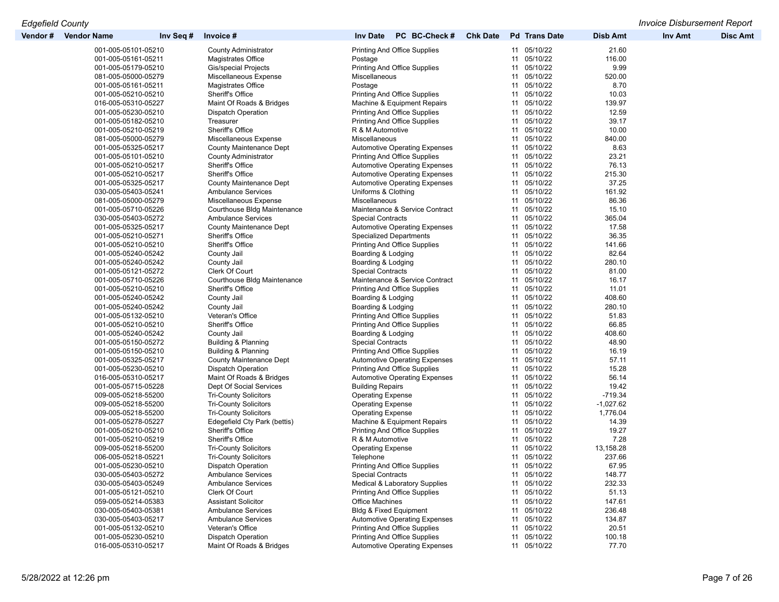| Vendor # | <b>Vendor Name</b>  | Inv Seq # | Invoice #                      | PC BC-Check #<br><b>Inv Date</b>         | <b>Chk Date</b> | <b>Pd</b> Trans Date | Disb Amt    | Inv Amt | <b>Disc Amt</b> |
|----------|---------------------|-----------|--------------------------------|------------------------------------------|-----------------|----------------------|-------------|---------|-----------------|
|          | 001-005-05101-05210 |           | <b>County Administrator</b>    | Printing And Office Supplies             |                 | 11 05/10/22          | 21.60       |         |                 |
|          | 001-005-05161-05211 |           | Magistrates Office             | Postage                                  |                 | 11 05/10/22          | 116.00      |         |                 |
|          | 001-005-05179-05210 |           | Gis/special Projects           | <b>Printing And Office Supplies</b>      |                 | 11 05/10/22          | 9.99        |         |                 |
|          | 081-005-05000-05279 |           | Miscellaneous Expense          | Miscellaneous                            |                 | 05/10/22<br>11       | 520.00      |         |                 |
|          | 001-005-05161-05211 |           | Magistrates Office             | Postage                                  |                 | 11 05/10/22          | 8.70        |         |                 |
|          | 001-005-05210-05210 |           | Sheriff's Office               | <b>Printing And Office Supplies</b>      |                 | 11 05/10/22          | 10.03       |         |                 |
|          | 016-005-05310-05227 |           | Maint Of Roads & Bridges       | Machine & Equipment Repairs              |                 | 11 05/10/22          | 139.97      |         |                 |
|          | 001-005-05230-05210 |           | <b>Dispatch Operation</b>      | <b>Printing And Office Supplies</b>      |                 | 11 05/10/22          | 12.59       |         |                 |
|          | 001-005-05182-05210 |           | Treasurer                      | <b>Printing And Office Supplies</b>      |                 | 11 05/10/22          | 39.17       |         |                 |
|          | 001-005-05210-05219 |           | Sheriff's Office               | R & M Automotive                         |                 | 11 05/10/22          | 10.00       |         |                 |
|          | 081-005-05000-05279 |           | Miscellaneous Expense          | Miscellaneous                            |                 | 11 05/10/22          | 840.00      |         |                 |
|          | 001-005-05325-05217 |           | <b>County Maintenance Dept</b> | <b>Automotive Operating Expenses</b>     |                 | 11 05/10/22          | 8.63        |         |                 |
|          | 001-005-05101-05210 |           | <b>County Administrator</b>    | <b>Printing And Office Supplies</b>      |                 | 11 05/10/22          | 23.21       |         |                 |
|          |                     |           |                                |                                          |                 | 11 05/10/22          |             |         |                 |
|          | 001-005-05210-05217 |           | Sheriff's Office               | <b>Automotive Operating Expenses</b>     |                 |                      | 76.13       |         |                 |
|          | 001-005-05210-05217 |           | Sheriff's Office               | <b>Automotive Operating Expenses</b>     |                 | 11 05/10/22          | 215.30      |         |                 |
|          | 001-005-05325-05217 |           | <b>County Maintenance Dept</b> | Automotive Operating Expenses            |                 | 05/10/22<br>11       | 37.25       |         |                 |
|          | 030-005-05403-05241 |           | <b>Ambulance Services</b>      | Uniforms & Clothing                      |                 | 11 05/10/22          | 161.92      |         |                 |
|          | 081-005-05000-05279 |           | Miscellaneous Expense          | Miscellaneous                            |                 | 11 05/10/22          | 86.36       |         |                 |
|          | 001-005-05710-05226 |           | Courthouse Bldg Maintenance    | Maintenance & Service Contract           |                 | 11 05/10/22          | 15.10       |         |                 |
|          | 030-005-05403-05272 |           | <b>Ambulance Services</b>      | <b>Special Contracts</b>                 |                 | 05/10/22<br>11       | 365.04      |         |                 |
|          | 001-005-05325-05217 |           | <b>County Maintenance Dept</b> | <b>Automotive Operating Expenses</b>     |                 | 11 05/10/22          | 17.58       |         |                 |
|          | 001-005-05210-05271 |           | Sheriff's Office               | <b>Specialized Departments</b>           |                 | 11 05/10/22          | 36.35       |         |                 |
|          | 001-005-05210-05210 |           | Sheriff's Office               | <b>Printing And Office Supplies</b>      |                 | 11 05/10/22          | 141.66      |         |                 |
|          | 001-005-05240-05242 |           | County Jail                    | Boarding & Lodging                       |                 | 05/10/22<br>11       | 82.64       |         |                 |
|          | 001-005-05240-05242 |           | County Jail                    | Boarding & Lodging                       |                 | 11 05/10/22          | 280.10      |         |                 |
|          | 001-005-05121-05272 |           | Clerk Of Court                 | <b>Special Contracts</b>                 |                 | 11 05/10/22          | 81.00       |         |                 |
|          | 001-005-05710-05226 |           | Courthouse Bldg Maintenance    | Maintenance & Service Contract           |                 | 11 05/10/22          | 16.17       |         |                 |
|          | 001-005-05210-05210 |           | Sheriff's Office               | Printing And Office Supplies             |                 | 05/10/22<br>11       | 11.01       |         |                 |
|          | 001-005-05240-05242 |           | County Jail                    | Boarding & Lodging                       |                 | 11 05/10/22          | 408.60      |         |                 |
|          | 001-005-05240-05242 |           | County Jail                    | Boarding & Lodging                       |                 | 11 05/10/22          | 280.10      |         |                 |
|          | 001-005-05132-05210 |           | Veteran's Office               | <b>Printing And Office Supplies</b>      |                 | 11 05/10/22          | 51.83       |         |                 |
|          | 001-005-05210-05210 |           | Sheriff's Office               | Printing And Office Supplies             |                 | 05/10/22<br>11       | 66.85       |         |                 |
|          |                     |           |                                |                                          |                 | 11 05/10/22          | 408.60      |         |                 |
|          | 001-005-05240-05242 |           | County Jail                    | Boarding & Lodging                       |                 | 11 05/10/22          |             |         |                 |
|          | 001-005-05150-05272 |           | Building & Planning            | <b>Special Contracts</b>                 |                 |                      | 48.90       |         |                 |
|          | 001-005-05150-05210 |           | <b>Building &amp; Planning</b> | Printing And Office Supplies             |                 | 11 05/10/22          | 16.19       |         |                 |
|          | 001-005-05325-05217 |           | <b>County Maintenance Dept</b> | <b>Automotive Operating Expenses</b>     |                 | 05/10/22<br>11       | 57.11       |         |                 |
|          | 001-005-05230-05210 |           | <b>Dispatch Operation</b>      | <b>Printing And Office Supplies</b>      |                 | 11 05/10/22          | 15.28       |         |                 |
|          | 016-005-05310-05217 |           | Maint Of Roads & Bridges       | <b>Automotive Operating Expenses</b>     |                 | 11 05/10/22          | 56.14       |         |                 |
|          | 001-005-05715-05228 |           | Dept Of Social Services        | <b>Building Repairs</b>                  |                 | 11 05/10/22          | 19.42       |         |                 |
|          | 009-005-05218-55200 |           | <b>Tri-County Solicitors</b>   | <b>Operating Expense</b>                 |                 | 05/10/22<br>11       | $-719.34$   |         |                 |
|          | 009-005-05218-55200 |           | <b>Tri-County Solicitors</b>   | <b>Operating Expense</b>                 |                 | 11 05/10/22          | $-1,027.62$ |         |                 |
|          | 009-005-05218-55200 |           | <b>Tri-County Solicitors</b>   | <b>Operating Expense</b>                 |                 | 11 05/10/22          | 1,776.04    |         |                 |
|          | 001-005-05278-05227 |           | Edegefield Cty Park (bettis)   | Machine & Equipment Repairs              |                 | 11 05/10/22          | 14.39       |         |                 |
|          | 001-005-05210-05210 |           | Sheriff's Office               | <b>Printing And Office Supplies</b>      |                 | 05/10/22<br>11       | 19.27       |         |                 |
|          | 001-005-05210-05219 |           | Sheriff's Office               | R & M Automotive                         |                 | 11 05/10/22          | 7.28        |         |                 |
|          | 009-005-05218-55200 |           | <b>Tri-County Solicitors</b>   | <b>Operating Expense</b>                 |                 | 05/10/22<br>11       | 13,158.28   |         |                 |
|          | 006-005-05218-05221 |           | <b>Tri-County Solicitors</b>   | Telephone                                |                 | 11 05/10/22          | 237.66      |         |                 |
|          | 001-005-05230-05210 |           | <b>Dispatch Operation</b>      | <b>Printing And Office Supplies</b>      |                 | 11 05/10/22          | 67.95       |         |                 |
|          | 030-005-05403-05272 |           | <b>Ambulance Services</b>      | <b>Special Contracts</b>                 |                 | 11 05/10/22          | 148.77      |         |                 |
|          | 030-005-05403-05249 |           | <b>Ambulance Services</b>      | <b>Medical &amp; Laboratory Supplies</b> |                 | 11 05/10/22          | 232.33      |         |                 |
|          | 001-005-05121-05210 |           | Clerk Of Court                 | <b>Printing And Office Supplies</b>      |                 | 11 05/10/22          | 51.13       |         |                 |
|          | 059-005-05214-05383 |           | <b>Assistant Solicitor</b>     | Office Machines                          |                 | 11 05/10/22          | 147.61      |         |                 |
|          | 030-005-05403-05381 |           | <b>Ambulance Services</b>      | <b>Bldg &amp; Fixed Equipment</b>        |                 | 11 05/10/22          | 236.48      |         |                 |
|          | 030-005-05403-05217 |           | <b>Ambulance Services</b>      | <b>Automotive Operating Expenses</b>     |                 | 11 05/10/22          | 134.87      |         |                 |
|          | 001-005-05132-05210 |           | Veteran's Office               | <b>Printing And Office Supplies</b>      |                 | 11 05/10/22          | 20.51       |         |                 |
|          |                     |           |                                | <b>Printing And Office Supplies</b>      |                 | 11 05/10/22          |             |         |                 |
|          | 001-005-05230-05210 |           | <b>Dispatch Operation</b>      |                                          |                 |                      | 100.18      |         |                 |
|          | 016-005-05310-05217 |           | Maint Of Roads & Bridges       | <b>Automotive Operating Expenses</b>     |                 | 11 05/10/22          | 77.70       |         |                 |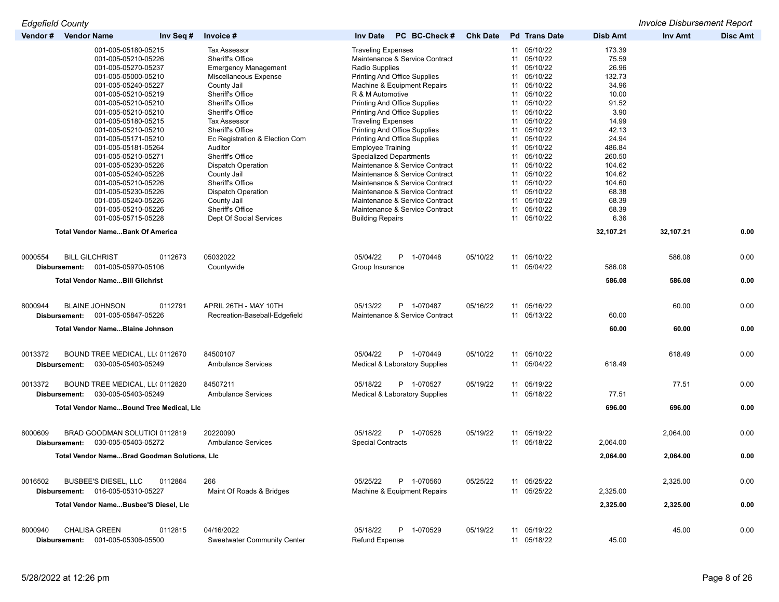*Edgefield County Invoice Disbursement Report*

| Vendor # | <b>Vendor Name</b>                     | Inv Seq #                                                                                                                                                                                                                                                                                                                                                                                                                  | Invoice #                                                                                                                                                                                                                                                                                                                                                                                          | <b>Inv Date</b><br>PC BC-Check #                                                                                                                                                                                                                                                                                                                                                                                                                                                                                                                                                                         | <b>Chk Date</b> | <b>Pd</b> Trans Date                                                                                                                                                                                                                                                       | <b>Disb Amt</b>                                                                                                                                                      | <b>Inv Amt</b> | <b>Disc Amt</b> |
|----------|----------------------------------------|----------------------------------------------------------------------------------------------------------------------------------------------------------------------------------------------------------------------------------------------------------------------------------------------------------------------------------------------------------------------------------------------------------------------------|----------------------------------------------------------------------------------------------------------------------------------------------------------------------------------------------------------------------------------------------------------------------------------------------------------------------------------------------------------------------------------------------------|----------------------------------------------------------------------------------------------------------------------------------------------------------------------------------------------------------------------------------------------------------------------------------------------------------------------------------------------------------------------------------------------------------------------------------------------------------------------------------------------------------------------------------------------------------------------------------------------------------|-----------------|----------------------------------------------------------------------------------------------------------------------------------------------------------------------------------------------------------------------------------------------------------------------------|----------------------------------------------------------------------------------------------------------------------------------------------------------------------|----------------|-----------------|
|          |                                        | 001-005-05180-05215<br>001-005-05210-05226<br>001-005-05270-05237<br>001-005-05000-05210<br>001-005-05240-05227<br>001-005-05210-05219<br>001-005-05210-05210<br>001-005-05210-05210<br>001-005-05180-05215<br>001-005-05210-05210<br>001-005-05171-05210<br>001-005-05181-05264<br>001-005-05210-05271<br>001-005-05230-05226<br>001-005-05240-05226<br>001-005-05210-05226<br>001-005-05230-05226<br>001-005-05240-05226 | <b>Tax Assessor</b><br>Sheriff's Office<br><b>Emergency Management</b><br>Miscellaneous Expense<br>County Jail<br>Sheriff's Office<br>Sheriff's Office<br>Sheriff's Office<br><b>Tax Assessor</b><br>Sheriff's Office<br>Ec Registration & Election Com<br>Auditor<br>Sheriff's Office<br><b>Dispatch Operation</b><br>County Jail<br>Sheriff's Office<br><b>Dispatch Operation</b><br>County Jail | <b>Traveling Expenses</b><br>Maintenance & Service Contract<br>Radio Supplies<br><b>Printing And Office Supplies</b><br>Machine & Equipment Repairs<br>R & M Automotive<br><b>Printing And Office Supplies</b><br><b>Printing And Office Supplies</b><br><b>Traveling Expenses</b><br><b>Printing And Office Supplies</b><br><b>Printing And Office Supplies</b><br><b>Employee Training</b><br><b>Specialized Departments</b><br>Maintenance & Service Contract<br>Maintenance & Service Contract<br>Maintenance & Service Contract<br>Maintenance & Service Contract<br>Maintenance & Service Contract |                 | 11 05/10/22<br>11 05/10/22<br>11 05/10/22<br>11 05/10/22<br>11 05/10/22<br>11 05/10/22<br>11 05/10/22<br>11 05/10/22<br>11 05/10/22<br>11 05/10/22<br>11 05/10/22<br>11 05/10/22<br>11 05/10/22<br>11 05/10/22<br>11 05/10/22<br>11 05/10/22<br>11 05/10/22<br>11 05/10/22 | 173.39<br>75.59<br>26.96<br>132.73<br>34.96<br>10.00<br>91.52<br>3.90<br>14.99<br>42.13<br>24.94<br>486.84<br>260.50<br>104.62<br>104.62<br>104.60<br>68.38<br>68.39 |                |                 |
|          |                                        | 001-005-05210-05226<br>001-005-05715-05228                                                                                                                                                                                                                                                                                                                                                                                 | Sheriff's Office<br>Dept Of Social Services                                                                                                                                                                                                                                                                                                                                                        | Maintenance & Service Contract<br><b>Building Repairs</b>                                                                                                                                                                                                                                                                                                                                                                                                                                                                                                                                                |                 | 11 05/10/22<br>11 05/10/22                                                                                                                                                                                                                                                 | 68.39<br>6.36                                                                                                                                                        |                |                 |
|          |                                        | <b>Total Vendor NameBank Of America</b>                                                                                                                                                                                                                                                                                                                                                                                    |                                                                                                                                                                                                                                                                                                                                                                                                    |                                                                                                                                                                                                                                                                                                                                                                                                                                                                                                                                                                                                          |                 |                                                                                                                                                                                                                                                                            | 32,107.21                                                                                                                                                            | 32,107.21      | 0.00            |
|          |                                        |                                                                                                                                                                                                                                                                                                                                                                                                                            |                                                                                                                                                                                                                                                                                                                                                                                                    |                                                                                                                                                                                                                                                                                                                                                                                                                                                                                                                                                                                                          |                 |                                                                                                                                                                                                                                                                            |                                                                                                                                                                      |                |                 |
| 0000554  | <b>BILL GILCHRIST</b><br>Disbursement: | 0112673<br>001-005-05970-05106                                                                                                                                                                                                                                                                                                                                                                                             | 05032022<br>Countywide                                                                                                                                                                                                                                                                                                                                                                             | 05/04/22<br>P.<br>1-070448<br>Group Insurance                                                                                                                                                                                                                                                                                                                                                                                                                                                                                                                                                            | 05/10/22        | 11 05/10/22<br>11 05/04/22                                                                                                                                                                                                                                                 | 586.08                                                                                                                                                               | 586.08         | 0.00            |
|          |                                        | <b>Total Vendor NameBill Gilchrist</b>                                                                                                                                                                                                                                                                                                                                                                                     |                                                                                                                                                                                                                                                                                                                                                                                                    |                                                                                                                                                                                                                                                                                                                                                                                                                                                                                                                                                                                                          |                 |                                                                                                                                                                                                                                                                            | 586.08                                                                                                                                                               | 586.08         | 0.00            |
|          |                                        |                                                                                                                                                                                                                                                                                                                                                                                                                            |                                                                                                                                                                                                                                                                                                                                                                                                    |                                                                                                                                                                                                                                                                                                                                                                                                                                                                                                                                                                                                          |                 |                                                                                                                                                                                                                                                                            |                                                                                                                                                                      |                |                 |
| 8000944  |                                        | <b>BLAINE JOHNSON</b><br>0112791                                                                                                                                                                                                                                                                                                                                                                                           | APRIL 26TH - MAY 10TH                                                                                                                                                                                                                                                                                                                                                                              | 05/13/22<br>P 1-070487                                                                                                                                                                                                                                                                                                                                                                                                                                                                                                                                                                                   | 05/16/22        | 11 05/16/22                                                                                                                                                                                                                                                                |                                                                                                                                                                      | 60.00          | 0.00            |
|          | Disbursement:                          | 001-005-05847-05226                                                                                                                                                                                                                                                                                                                                                                                                        | Recreation-Baseball-Edgefield                                                                                                                                                                                                                                                                                                                                                                      | Maintenance & Service Contract                                                                                                                                                                                                                                                                                                                                                                                                                                                                                                                                                                           |                 | 11 05/13/22                                                                                                                                                                                                                                                                | 60.00                                                                                                                                                                |                |                 |
|          |                                        | Total Vendor NameBlaine Johnson                                                                                                                                                                                                                                                                                                                                                                                            |                                                                                                                                                                                                                                                                                                                                                                                                    |                                                                                                                                                                                                                                                                                                                                                                                                                                                                                                                                                                                                          |                 |                                                                                                                                                                                                                                                                            | 60.00                                                                                                                                                                | 60.00          | 0.00            |
| 0013372  |                                        | BOUND TREE MEDICAL, LL( 0112670                                                                                                                                                                                                                                                                                                                                                                                            | 84500107                                                                                                                                                                                                                                                                                                                                                                                           | 05/04/22<br>P 1-070449                                                                                                                                                                                                                                                                                                                                                                                                                                                                                                                                                                                   | 05/10/22        | 11 05/10/22                                                                                                                                                                                                                                                                |                                                                                                                                                                      | 618.49         | 0.00            |
|          | Disbursement:                          | 030-005-05403-05249                                                                                                                                                                                                                                                                                                                                                                                                        | <b>Ambulance Services</b>                                                                                                                                                                                                                                                                                                                                                                          | <b>Medical &amp; Laboratory Supplies</b>                                                                                                                                                                                                                                                                                                                                                                                                                                                                                                                                                                 |                 | 11 05/04/22                                                                                                                                                                                                                                                                | 618.49                                                                                                                                                               |                |                 |
| 0013372  |                                        | BOUND TREE MEDICAL, LL( 0112820                                                                                                                                                                                                                                                                                                                                                                                            | 84507211                                                                                                                                                                                                                                                                                                                                                                                           | 05/18/22<br>P 1-070527                                                                                                                                                                                                                                                                                                                                                                                                                                                                                                                                                                                   | 05/19/22        | 11 05/19/22                                                                                                                                                                                                                                                                |                                                                                                                                                                      | 77.51          | 0.00            |
|          | Disbursement:                          | 030-005-05403-05249                                                                                                                                                                                                                                                                                                                                                                                                        | <b>Ambulance Services</b>                                                                                                                                                                                                                                                                                                                                                                          | <b>Medical &amp; Laboratory Supplies</b>                                                                                                                                                                                                                                                                                                                                                                                                                                                                                                                                                                 |                 | 11 05/18/22                                                                                                                                                                                                                                                                | 77.51                                                                                                                                                                |                |                 |
|          |                                        | Total Vendor NameBound Tree Medical, LIc                                                                                                                                                                                                                                                                                                                                                                                   |                                                                                                                                                                                                                                                                                                                                                                                                    |                                                                                                                                                                                                                                                                                                                                                                                                                                                                                                                                                                                                          |                 |                                                                                                                                                                                                                                                                            | 696.00                                                                                                                                                               | 696.00         | 0.00            |
| 8000609  |                                        | BRAD GOODMAN SOLUTIOI 0112819                                                                                                                                                                                                                                                                                                                                                                                              | 20220090                                                                                                                                                                                                                                                                                                                                                                                           | 05/18/22<br>P 1-070528                                                                                                                                                                                                                                                                                                                                                                                                                                                                                                                                                                                   | 05/19/22        | 11 05/19/22                                                                                                                                                                                                                                                                |                                                                                                                                                                      | 2.064.00       | 0.00            |
|          | Disbursement:                          | 030-005-05403-05272                                                                                                                                                                                                                                                                                                                                                                                                        | <b>Ambulance Services</b>                                                                                                                                                                                                                                                                                                                                                                          | <b>Special Contracts</b>                                                                                                                                                                                                                                                                                                                                                                                                                                                                                                                                                                                 |                 | 11 05/18/22                                                                                                                                                                                                                                                                | 2,064.00                                                                                                                                                             |                |                 |
|          |                                        | Total Vendor NameBrad Goodman Solutions, LIc                                                                                                                                                                                                                                                                                                                                                                               |                                                                                                                                                                                                                                                                                                                                                                                                    |                                                                                                                                                                                                                                                                                                                                                                                                                                                                                                                                                                                                          |                 |                                                                                                                                                                                                                                                                            | 2,064.00                                                                                                                                                             | 2,064.00       | 0.00            |
| 0016502  |                                        | <b>BUSBEE'S DIESEL, LLC</b><br>0112864                                                                                                                                                                                                                                                                                                                                                                                     | 266                                                                                                                                                                                                                                                                                                                                                                                                | 05/25/22<br>P 1-070560                                                                                                                                                                                                                                                                                                                                                                                                                                                                                                                                                                                   | 05/25/22        | 11 05/25/22                                                                                                                                                                                                                                                                |                                                                                                                                                                      | 2,325.00       | 0.00            |
|          |                                        | Disbursement: 016-005-05310-05227                                                                                                                                                                                                                                                                                                                                                                                          | Maint Of Roads & Bridges                                                                                                                                                                                                                                                                                                                                                                           | Machine & Equipment Repairs                                                                                                                                                                                                                                                                                                                                                                                                                                                                                                                                                                              |                 | 11 05/25/22                                                                                                                                                                                                                                                                | 2,325.00                                                                                                                                                             |                |                 |
|          |                                        | Total Vendor NameBusbee'S Diesel, LIc                                                                                                                                                                                                                                                                                                                                                                                      |                                                                                                                                                                                                                                                                                                                                                                                                    |                                                                                                                                                                                                                                                                                                                                                                                                                                                                                                                                                                                                          |                 |                                                                                                                                                                                                                                                                            | 2,325.00                                                                                                                                                             | 2,325.00       | 0.00            |
| 8000940  |                                        | <b>CHALISA GREEN</b><br>0112815                                                                                                                                                                                                                                                                                                                                                                                            | 04/16/2022                                                                                                                                                                                                                                                                                                                                                                                         | 05/18/22<br>P 1-070529                                                                                                                                                                                                                                                                                                                                                                                                                                                                                                                                                                                   | 05/19/22        | 11 05/19/22                                                                                                                                                                                                                                                                |                                                                                                                                                                      | 45.00          | 0.00            |
|          | Disbursement:                          | 001-005-05306-05500                                                                                                                                                                                                                                                                                                                                                                                                        | <b>Sweetwater Community Center</b>                                                                                                                                                                                                                                                                                                                                                                 | <b>Refund Expense</b>                                                                                                                                                                                                                                                                                                                                                                                                                                                                                                                                                                                    |                 | 11 05/18/22                                                                                                                                                                                                                                                                | 45.00                                                                                                                                                                |                |                 |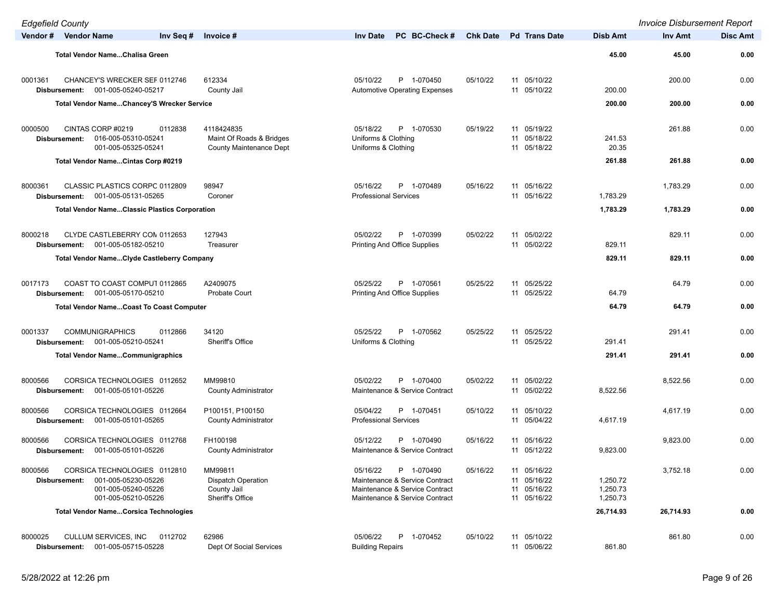| <b>Edgefield County</b>  |                                                                                                   |                                                                          |                                                                                                                              |                 |                                                          |                                  | <b>Invoice Disbursement Report</b> |                 |
|--------------------------|---------------------------------------------------------------------------------------------------|--------------------------------------------------------------------------|------------------------------------------------------------------------------------------------------------------------------|-----------------|----------------------------------------------------------|----------------------------------|------------------------------------|-----------------|
| Vendor # Vendor Name     | Inv Seq #                                                                                         | Invoice #                                                                | PC BC-Check #<br><b>Inv Date</b>                                                                                             | <b>Chk Date</b> | <b>Pd</b> Trans Date                                     | Disb Amt                         | Inv Amt                            | <b>Disc Amt</b> |
|                          | Total Vendor NameChalisa Green                                                                    |                                                                          |                                                                                                                              |                 |                                                          | 45.00                            | 45.00                              | 0.00            |
| 0001361<br>Disbursement: | CHANCEY'S WRECKER SEF 0112746<br>001-005-05240-05217                                              | 612334<br>County Jail                                                    | 05/10/22<br>P 1-070450<br><b>Automotive Operating Expenses</b>                                                               | 05/10/22        | 11 05/10/22<br>11 05/10/22                               | 200.00                           | 200.00                             | 0.00            |
|                          | Total Vendor NameChancey'S Wrecker Service                                                        |                                                                          |                                                                                                                              |                 |                                                          | 200.00                           | 200.00                             | 0.00            |
| 0000500<br>Disbursement: | CINTAS CORP #0219<br>0112838<br>016-005-05310-05241<br>001-005-05325-05241                        | 4118424835<br>Maint Of Roads & Bridges<br><b>County Maintenance Dept</b> | 05/18/22<br>P 1-070530<br>Uniforms & Clothing<br>Uniforms & Clothing                                                         | 05/19/22        | 11 05/19/22<br>11 05/18/22<br>11 05/18/22                | 241.53<br>20.35                  | 261.88                             | 0.00            |
|                          | Total Vendor NameCintas Corp #0219                                                                |                                                                          |                                                                                                                              |                 |                                                          | 261.88                           | 261.88                             | 0.00            |
| 8000361<br>Disbursement: | CLASSIC PLASTICS CORPC 0112809<br>001-005-05131-05265                                             | 98947<br>Coroner                                                         | P 1-070489<br>05/16/22<br><b>Professional Services</b>                                                                       | 05/16/22        | 11 05/16/22<br>11 05/16/22                               | 1,783.29                         | 1,783.29                           | 0.00            |
|                          | <b>Total Vendor NameClassic Plastics Corporation</b>                                              |                                                                          |                                                                                                                              |                 |                                                          | 1,783.29                         | 1,783.29                           | 0.00            |
| 8000218<br>Disbursement: | CLYDE CASTLEBERRY CON 0112653<br>001-005-05182-05210                                              | 127943<br>Treasurer                                                      | 05/02/22<br>P 1-070399<br><b>Printing And Office Supplies</b>                                                                | 05/02/22        | 11 05/02/22<br>11 05/02/22                               | 829.11                           | 829.11                             | 0.00            |
|                          | <b>Total Vendor NameClyde Castleberry Company</b>                                                 |                                                                          |                                                                                                                              |                 |                                                          | 829.11                           | 829.11                             | 0.00            |
| 0017173<br>Disbursement: | COAST TO COAST COMPUT 0112865<br>001-005-05170-05210                                              | A2409075<br><b>Probate Court</b>                                         | 05/25/22<br>P 1-070561<br><b>Printing And Office Supplies</b>                                                                | 05/25/22        | 11 05/25/22<br>11 05/25/22                               | 64.79                            | 64.79                              | 0.00            |
|                          | <b>Total Vendor NameCoast To Coast Computer</b>                                                   |                                                                          |                                                                                                                              |                 |                                                          | 64.79                            | 64.79                              | 0.00            |
|                          |                                                                                                   |                                                                          |                                                                                                                              |                 |                                                          |                                  |                                    |                 |
| 0001337<br>Disbursement: | <b>COMMUNIGRAPHICS</b><br>0112866<br>001-005-05210-05241                                          | 34120<br>Sheriff's Office                                                | 05/25/22<br>P 1-070562<br>Uniforms & Clothing                                                                                | 05/25/22        | 11 05/25/22<br>11 05/25/22                               | 291.41                           | 291.41                             | 0.00            |
|                          | <b>Total Vendor NameCommunigraphics</b>                                                           |                                                                          |                                                                                                                              |                 |                                                          | 291.41                           | 291.41                             | 0.00            |
| 8000566<br>Disbursement: | CORSICA TECHNOLOGIES 0112652<br>001-005-05101-05226                                               | MM99810<br><b>County Administrator</b>                                   | P 1-070400<br>05/02/22<br>Maintenance & Service Contract                                                                     | 05/02/22        | 11 05/02/22<br>11 05/02/22                               | 8,522.56                         | 8,522.56                           | 0.00            |
| 8000566<br>Disbursement: | CORSICA TECHNOLOGIES 0112664<br>001-005-05101-05265                                               | P100151, P100150<br><b>County Administrator</b>                          | P 1-070451<br>05/04/22<br><b>Professional Services</b>                                                                       | 05/10/22        | 11 05/10/22<br>11 05/04/22                               | 4,617.19                         | 4,617.19                           | 0.00            |
| 8000566<br>Disbursement: | CORSICA TECHNOLOGIES 0112768<br>001-005-05101-05226                                               | FH100198<br><b>County Administrator</b>                                  | 05/12/22<br>P<br>1-070490<br>Maintenance & Service Contract                                                                  | 05/16/22        | 05/16/22<br>11<br>11 05/12/22                            | 9,823.00                         | 9,823.00                           | 0.00            |
| 8000566<br>Disbursement: | CORSICA TECHNOLOGIES 0112810<br>001-005-05230-05226<br>001-005-05240-05226<br>001-005-05210-05226 | MM99811<br><b>Dispatch Operation</b><br>County Jail<br>Sheriff's Office  | 05/16/22<br>P 1-070490<br>Maintenance & Service Contract<br>Maintenance & Service Contract<br>Maintenance & Service Contract | 05/16/22        | 11 05/16/22<br>11 05/16/22<br>11 05/16/22<br>11 05/16/22 | 1,250.72<br>1,250.73<br>1,250.73 | 3,752.18                           | 0.00            |
|                          | <b>Total Vendor NameCorsica Technologies</b>                                                      |                                                                          |                                                                                                                              |                 |                                                          | 26,714.93                        | 26,714.93                          | 0.00            |
| 8000025<br>Disbursement: | CULLUM SERVICES, INC<br>0112702<br>001-005-05715-05228                                            | 62986<br>Dept Of Social Services                                         | 05/06/22<br>P 1-070452<br><b>Building Repairs</b>                                                                            | 05/10/22        | 11 05/10/22<br>11 05/06/22                               | 861.80                           | 861.80                             | 0.00            |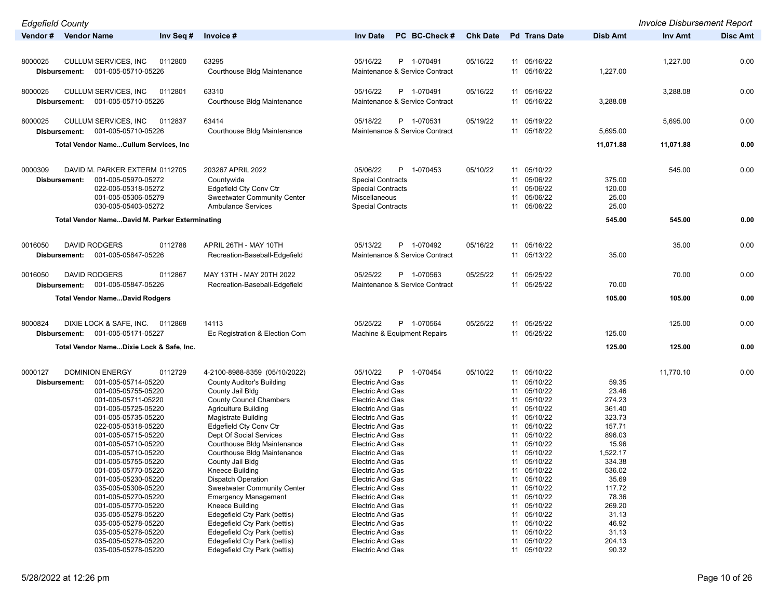| <b>Edgefield County</b>                               |                                              |                                                    |                 |                            |                 | <b>Invoice Disbursement Report</b> |                 |
|-------------------------------------------------------|----------------------------------------------|----------------------------------------------------|-----------------|----------------------------|-----------------|------------------------------------|-----------------|
| Vendor # Vendor Name<br>Inv Seq #                     | Invoice #                                    | PC BC-Check #<br><b>Inv Date</b>                   | <b>Chk Date</b> | <b>Pd</b> Trans Date       | <b>Disb Amt</b> | <b>Inv Amt</b>                     | <b>Disc Amt</b> |
|                                                       |                                              |                                                    |                 |                            |                 |                                    |                 |
| 8000025<br><b>CULLUM SERVICES, INC</b>                | 63295                                        | 05/16/22<br>P 1-070491                             | 05/16/22        | 11 05/16/22                |                 |                                    |                 |
| 0112800<br>001-005-05710-05226                        | Courthouse Bldg Maintenance                  | Maintenance & Service Contract                     |                 | 11 05/16/22                | 1,227.00        | 1,227.00                           | 0.00            |
| Disbursement:                                         |                                              |                                                    |                 |                            |                 |                                    |                 |
| 8000025<br>CULLUM SERVICES, INC<br>0112801            | 63310                                        | 05/16/22<br>P 1-070491                             | 05/16/22        | 11 05/16/22                |                 | 3,288.08                           | 0.00            |
| 001-005-05710-05226<br>Disbursement:                  | Courthouse Bldg Maintenance                  | Maintenance & Service Contract                     |                 | 11 05/16/22                | 3,288.08        |                                    |                 |
|                                                       |                                              |                                                    |                 |                            |                 |                                    |                 |
| 8000025<br><b>CULLUM SERVICES, INC</b><br>0112837     | 63414                                        | 05/18/22<br>P 1-070531                             | 05/19/22        | 11 05/19/22                |                 | 5,695.00                           | 0.00            |
| Disbursement:<br>001-005-05710-05226                  | Courthouse Bldg Maintenance                  | Maintenance & Service Contract                     |                 | 11 05/18/22                | 5,695.00        |                                    |                 |
|                                                       |                                              |                                                    |                 |                            |                 |                                    |                 |
| <b>Total Vendor NameCullum Services, Inc.</b>         |                                              |                                                    |                 |                            | 11,071.88       | 11,071.88                          | 0.00            |
|                                                       |                                              |                                                    |                 |                            |                 |                                    |                 |
| 0000309<br>DAVID M. PARKER EXTERM 0112705             | 203267 APRIL 2022                            | 05/06/22<br>P 1-070453                             | 05/10/22        | 11 05/10/22                |                 | 545.00                             | 0.00            |
| 001-005-05970-05272<br>Disbursement:                  | Countywide                                   | <b>Special Contracts</b>                           |                 | 11 05/06/22                | 375.00          |                                    |                 |
| 022-005-05318-05272                                   | Edgefield Cty Conv Ctr                       | <b>Special Contracts</b>                           |                 | 05/06/22<br>11             | 120.00          |                                    |                 |
| 001-005-05306-05279                                   | <b>Sweetwater Community Center</b>           | Miscellaneous                                      |                 | 11 05/06/22                | 25.00           |                                    |                 |
| 030-005-05403-05272                                   | <b>Ambulance Services</b>                    | <b>Special Contracts</b>                           |                 | 05/06/22<br>11             | 25.00           |                                    |                 |
| <b>Total Vendor NameDavid M. Parker Exterminating</b> |                                              |                                                    |                 |                            | 545.00          | 545.00                             | 0.00            |
|                                                       |                                              |                                                    |                 |                            |                 |                                    |                 |
| <b>DAVID RODGERS</b><br>0016050<br>0112788            | APRIL 26TH - MAY 10TH                        | 05/13/22<br>P 1-070492                             | 05/16/22        | 11 05/16/22                |                 | 35.00                              | 0.00            |
| 001-005-05847-05226<br>Disbursement:                  | Recreation-Baseball-Edgefield                | Maintenance & Service Contract                     |                 | 11 05/13/22                | 35.00           |                                    |                 |
|                                                       |                                              |                                                    |                 |                            |                 |                                    |                 |
| <b>DAVID RODGERS</b><br>0112867<br>0016050            | MAY 13TH - MAY 20TH 2022                     | 05/25/22<br>P 1-070563                             | 05/25/22        | 11 05/25/22                |                 | 70.00                              | 0.00            |
| 001-005-05847-05226<br>Disbursement:                  | Recreation-Baseball-Edgefield                | Maintenance & Service Contract                     |                 | 11 05/25/22                | 70.00           |                                    |                 |
| <b>Total Vendor NameDavid Rodgers</b>                 |                                              |                                                    |                 |                            | 105.00          | 105.00                             | 0.00            |
|                                                       |                                              |                                                    |                 |                            |                 |                                    |                 |
|                                                       |                                              |                                                    |                 |                            |                 |                                    |                 |
| 8000824<br>DIXIE LOCK & SAFE, INC.<br>0112868         | 14113                                        | 05/25/22<br>P 1-070564                             | 05/25/22        | 11 05/25/22                |                 | 125.00                             | 0.00            |
| 001-005-05171-05227<br>Disbursement:                  | Ec Registration & Election Com               | Machine & Equipment Repairs                        |                 | 11 05/25/22                | 125.00          |                                    |                 |
| Total Vendor NameDixie Lock & Safe, Inc.              |                                              |                                                    |                 |                            | 125.00          | 125.00                             | 0.00            |
|                                                       |                                              |                                                    |                 |                            |                 |                                    |                 |
| <b>DOMINION ENERGY</b><br>0000127<br>0112729          | 4-2100-8988-8359 (05/10/2022)                | 05/10/22<br>P 1-070454                             | 05/10/22        | 11 05/10/22                |                 | 11,770.10                          | 0.00            |
| 001-005-05714-05220<br>Disbursement:                  | <b>County Auditor's Building</b>             | <b>Electric And Gas</b>                            |                 | 11 05/10/22                | 59.35           |                                    |                 |
| 001-005-05755-05220                                   | County Jail Bldg                             | <b>Electric And Gas</b>                            |                 | 11 05/10/22                | 23.46           |                                    |                 |
| 001-005-05711-05220                                   | <b>County Council Chambers</b>               | <b>Electric And Gas</b>                            |                 | 11 05/10/22                | 274.23          |                                    |                 |
| 001-005-05725-05220                                   | <b>Agriculture Building</b>                  | <b>Electric And Gas</b>                            |                 | 11 05/10/22                | 361.40          |                                    |                 |
| 001-005-05735-05220                                   | <b>Magistrate Building</b>                   | <b>Electric And Gas</b>                            |                 | 11 05/10/22                | 323.73          |                                    |                 |
| 022-005-05318-05220                                   | <b>Edgefield Cty Conv Ctr</b>                | <b>Electric And Gas</b>                            |                 | 11 05/10/22                | 157.71          |                                    |                 |
| 001-005-05715-05220                                   | Dept Of Social Services                      | <b>Electric And Gas</b>                            |                 | 05/10/22<br>11             | 896.03          |                                    |                 |
| 001-005-05710-05220                                   | Courthouse Bldg Maintenance                  | <b>Electric And Gas</b>                            |                 | 11 05/10/22                | 15.96           |                                    |                 |
| 001-005-05710-05220                                   | Courthouse Bldg Maintenance                  | <b>Electric And Gas</b>                            |                 | 11 05/10/22                | 1,522.17        |                                    |                 |
| 001-005-05755-05220                                   | County Jail Bldg                             | Electric And Gas                                   |                 | 11 05/10/22                | 334.38          |                                    |                 |
| 001-005-05770-05220                                   | Kneece Building<br><b>Dispatch Operation</b> | <b>Electric And Gas</b>                            |                 | 11 05/10/22<br>11 05/10/22 | 536.02<br>35.69 |                                    |                 |
| 001-005-05230-05220<br>035-005-05306-05220            | <b>Sweetwater Community Center</b>           | <b>Electric And Gas</b><br><b>Electric And Gas</b> |                 | 11 05/10/22                | 117.72          |                                    |                 |
| 001-005-05270-05220                                   | <b>Emergency Management</b>                  | <b>Electric And Gas</b>                            |                 | 11 05/10/22                | 78.36           |                                    |                 |
| 001-005-05770-05220                                   | Kneece Building                              | <b>Electric And Gas</b>                            |                 | 11 05/10/22                | 269.20          |                                    |                 |
| 035-005-05278-05220                                   | Edegefield Cty Park (bettis)                 | <b>Electric And Gas</b>                            |                 | 11 05/10/22                | 31.13           |                                    |                 |
| 035-005-05278-05220                                   | Edegefield Cty Park (bettis)                 | <b>Electric And Gas</b>                            |                 | 11 05/10/22                | 46.92           |                                    |                 |
| 035-005-05278-05220                                   | Edegefield Cty Park (bettis)                 | <b>Electric And Gas</b>                            |                 | 11 05/10/22                | 31.13           |                                    |                 |
| 035-005-05278-05220                                   | Edegefield Cty Park (bettis)                 | <b>Electric And Gas</b>                            |                 | 11 05/10/22                | 204.13          |                                    |                 |
| 035-005-05278-05220                                   | Edegefield Cty Park (bettis)                 | <b>Electric And Gas</b>                            |                 | 11 05/10/22                | 90.32           |                                    |                 |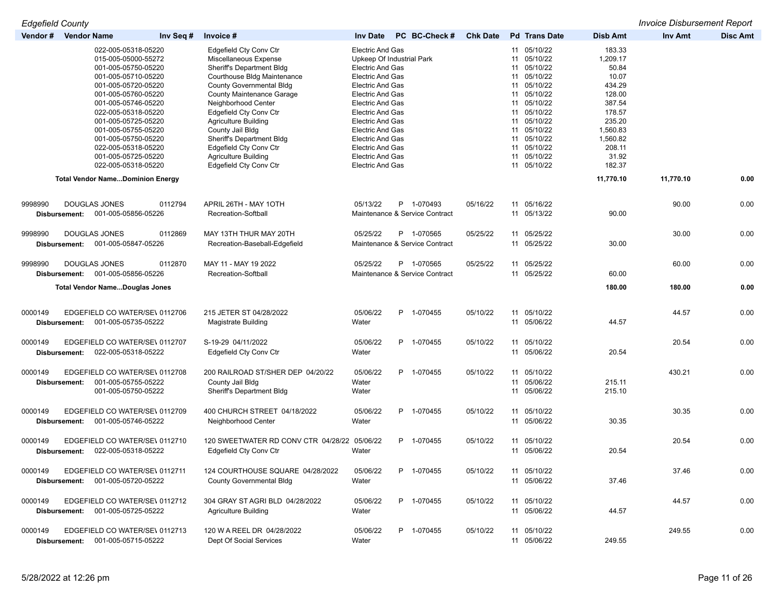*Edgefield County Invoice Disbursement Report*

| Vendor #                 | <b>Vendor Name</b> | Inv Seq #                                                                                                                                                                                                                                                                                                                      | Invoice #                                                                                                                                                                                                                                                                                                                                                                                                            | <b>Inv Date</b>                                                                                                                                                                                                                                                                                                                                      | PC BC-Check #                                | <b>Chk Date</b> | <b>Pd</b> Trans Date                                                                                                                                                                                           | <b>Disb Amt</b>                                                                                                                             | Inv Amt   | Disc Amt |
|--------------------------|--------------------|--------------------------------------------------------------------------------------------------------------------------------------------------------------------------------------------------------------------------------------------------------------------------------------------------------------------------------|----------------------------------------------------------------------------------------------------------------------------------------------------------------------------------------------------------------------------------------------------------------------------------------------------------------------------------------------------------------------------------------------------------------------|------------------------------------------------------------------------------------------------------------------------------------------------------------------------------------------------------------------------------------------------------------------------------------------------------------------------------------------------------|----------------------------------------------|-----------------|----------------------------------------------------------------------------------------------------------------------------------------------------------------------------------------------------------------|---------------------------------------------------------------------------------------------------------------------------------------------|-----------|----------|
|                          |                    | 022-005-05318-05220<br>015-005-05000-55272<br>001-005-05750-05220<br>001-005-05710-05220<br>001-005-05720-05220<br>001-005-05760-05220<br>001-005-05746-05220<br>022-005-05318-05220<br>001-005-05725-05220<br>001-005-05755-05220<br>001-005-05750-05220<br>022-005-05318-05220<br>001-005-05725-05220<br>022-005-05318-05220 | <b>Edgefield Cty Conv Ctr</b><br>Miscellaneous Expense<br>Sheriff's Department Bldg<br>Courthouse Bldg Maintenance<br><b>County Governmental Bldg</b><br>County Maintenance Garage<br>Neighborhood Center<br>Edgefield Cty Conv Ctr<br><b>Agriculture Building</b><br>County Jail Bldg<br>Sheriff's Department Bldg<br><b>Edgefield Cty Conv Ctr</b><br><b>Agriculture Building</b><br><b>Edgefield Cty Conv Ctr</b> | <b>Electric And Gas</b><br><b>Electric And Gas</b><br><b>Electric And Gas</b><br><b>Electric And Gas</b><br>Electric And Gas<br><b>Electric And Gas</b><br><b>Electric And Gas</b><br><b>Electric And Gas</b><br><b>Electric And Gas</b><br><b>Electric And Gas</b><br><b>Electric And Gas</b><br><b>Electric And Gas</b><br><b>Electric And Gas</b> | Upkeep Of Industrial Park                    |                 | 11 05/10/22<br>11 05/10/22<br>11 05/10/22<br>11 05/10/22<br>11 05/10/22<br>11 05/10/22<br>11 05/10/22<br>11 05/10/22<br>11 05/10/22<br>11 05/10/22<br>11 05/10/22<br>11 05/10/22<br>11 05/10/22<br>11 05/10/22 | 183.33<br>1,209.17<br>50.84<br>10.07<br>434.29<br>128.00<br>387.54<br>178.57<br>235.20<br>1,560.83<br>1,560.82<br>208.11<br>31.92<br>182.37 |           |          |
|                          |                    | <b>Total Vendor NameDominion Energy</b>                                                                                                                                                                                                                                                                                        |                                                                                                                                                                                                                                                                                                                                                                                                                      |                                                                                                                                                                                                                                                                                                                                                      |                                              |                 |                                                                                                                                                                                                                | 11,770.10                                                                                                                                   | 11,770.10 | 0.00     |
| 9998990                  | Disbursement:      | 0112794<br>DOUGLAS JONES<br>001-005-05856-05226                                                                                                                                                                                                                                                                                | APRIL 26TH - MAY 1OTH<br>Recreation-Softball                                                                                                                                                                                                                                                                                                                                                                         | 05/13/22                                                                                                                                                                                                                                                                                                                                             | P 1-070493<br>Maintenance & Service Contract | 05/16/22        | 11 05/16/22<br>11 05/13/22                                                                                                                                                                                     | 90.00                                                                                                                                       | 90.00     | 0.00     |
| 9998990                  | Disbursement:      | <b>DOUGLAS JONES</b><br>0112869<br>001-005-05847-05226                                                                                                                                                                                                                                                                         | MAY 13TH THUR MAY 20TH<br>Recreation-Baseball-Edgefield                                                                                                                                                                                                                                                                                                                                                              | 05/25/22                                                                                                                                                                                                                                                                                                                                             | P 1-070565<br>Maintenance & Service Contract | 05/25/22        | 11 05/25/22<br>11 05/25/22                                                                                                                                                                                     | 30.00                                                                                                                                       | 30.00     | 0.00     |
| 9998990                  | Disbursement:      | <b>DOUGLAS JONES</b><br>0112870<br>001-005-05856-05226                                                                                                                                                                                                                                                                         | MAY 11 - MAY 19 2022<br>Recreation-Softball                                                                                                                                                                                                                                                                                                                                                                          | 05/25/22                                                                                                                                                                                                                                                                                                                                             | P 1-070565<br>Maintenance & Service Contract | 05/25/22        | 11 05/25/22<br>11 05/25/22                                                                                                                                                                                     | 60.00                                                                                                                                       | 60.00     | 0.00     |
|                          |                    | <b>Total Vendor NameDouglas Jones</b>                                                                                                                                                                                                                                                                                          |                                                                                                                                                                                                                                                                                                                                                                                                                      |                                                                                                                                                                                                                                                                                                                                                      |                                              |                 |                                                                                                                                                                                                                | 180.00                                                                                                                                      | 180.00    | 0.00     |
| 0000149                  | Disbursement:      | EDGEFIELD CO WATER/SE\ 0112706<br>001-005-05735-05222                                                                                                                                                                                                                                                                          | 215 JETER ST 04/28/2022<br>Magistrate Building                                                                                                                                                                                                                                                                                                                                                                       | 05/06/22<br>Water                                                                                                                                                                                                                                                                                                                                    | P 1-070455                                   | 05/10/22        | 11 05/10/22<br>11 05/06/22                                                                                                                                                                                     | 44.57                                                                                                                                       | 44.57     | 0.00     |
| 0000149                  | Disbursement:      | EDGEFIELD CO WATER/SE\ 0112707<br>022-005-05318-05222                                                                                                                                                                                                                                                                          | S-19-29 04/11/2022<br><b>Edgefield Cty Conv Ctr</b>                                                                                                                                                                                                                                                                                                                                                                  | 05/06/22<br>Water                                                                                                                                                                                                                                                                                                                                    | P 1-070455                                   | 05/10/22        | 11 05/10/22<br>11 05/06/22                                                                                                                                                                                     | 20.54                                                                                                                                       | 20.54     | 0.00     |
| 0000149                  | Disbursement:      | EDGEFIELD CO WATER/SE\ 0112708<br>001-005-05755-05222<br>001-005-05750-05222                                                                                                                                                                                                                                                   | 200 RAILROAD ST/SHER DEP 04/20/22<br>County Jail Bldg<br>Sheriff's Department Bldg                                                                                                                                                                                                                                                                                                                                   | 05/06/22<br>Water<br>Water                                                                                                                                                                                                                                                                                                                           | P 1-070455                                   | 05/10/22        | 11 05/10/22<br>11 05/06/22<br>11 05/06/22                                                                                                                                                                      | 215.11<br>215.10                                                                                                                            | 430.21    | 0.00     |
| 0000149                  | Disbursement:      | EDGEFIELD CO WATER/SE\ 0112709<br>001-005-05746-05222                                                                                                                                                                                                                                                                          | 400 CHURCH STREET 04/18/2022<br>Neighborhood Center                                                                                                                                                                                                                                                                                                                                                                  | 05/06/22<br>Water                                                                                                                                                                                                                                                                                                                                    | P 1-070455                                   | 05/10/22        | 11 05/10/22<br>11 05/06/22                                                                                                                                                                                     | 30.35                                                                                                                                       | 30.35     | 0.00     |
| 0000149<br>Disbursement: |                    | EDGEFIELD CO WATER/SE\ 0112710<br>022-005-05318-05222                                                                                                                                                                                                                                                                          | 120 SWEETWATER RD CONV CTR 04/28/22<br>Edgefield Cty Conv Ctr                                                                                                                                                                                                                                                                                                                                                        | 05/06/22<br>Water                                                                                                                                                                                                                                                                                                                                    | P 1-070455                                   | 05/10/22        | 11 05/10/22<br>11 05/06/22                                                                                                                                                                                     | 20.54                                                                                                                                       | 20.54     | 0.00     |
| 0000149                  | Disbursement:      | EDGEFIELD CO WATER/SE\ 0112711<br>001-005-05720-05222                                                                                                                                                                                                                                                                          | 124 COURTHOUSE SQUARE 04/28/2022<br><b>County Governmental Bldg</b>                                                                                                                                                                                                                                                                                                                                                  | 05/06/22<br>Water                                                                                                                                                                                                                                                                                                                                    | P 1-070455                                   | 05/10/22        | 11 05/10/22<br>11 05/06/22                                                                                                                                                                                     | 37.46                                                                                                                                       | 37.46     | 0.00     |
| 0000149                  |                    | EDGEFIELD CO WATER/SE\ 0112712<br>Disbursement: 001-005-05725-05222                                                                                                                                                                                                                                                            | 304 GRAY ST AGRI BLD 04/28/2022<br><b>Agriculture Building</b>                                                                                                                                                                                                                                                                                                                                                       | 05/06/22<br>Water                                                                                                                                                                                                                                                                                                                                    | P 1-070455                                   | 05/10/22        | 11 05/10/22<br>11 05/06/22                                                                                                                                                                                     | 44.57                                                                                                                                       | 44.57     | 0.00     |
| 0000149                  |                    | EDGEFIELD CO WATER/SE\ 0112713<br>Disbursement: 001-005-05715-05222                                                                                                                                                                                                                                                            | 120 W A REEL DR 04/28/2022<br>Dept Of Social Services                                                                                                                                                                                                                                                                                                                                                                | 05/06/22<br>Water                                                                                                                                                                                                                                                                                                                                    | P 1-070455                                   | 05/10/22        | 11 05/10/22<br>11 05/06/22                                                                                                                                                                                     | 249.55                                                                                                                                      | 249.55    | 0.00     |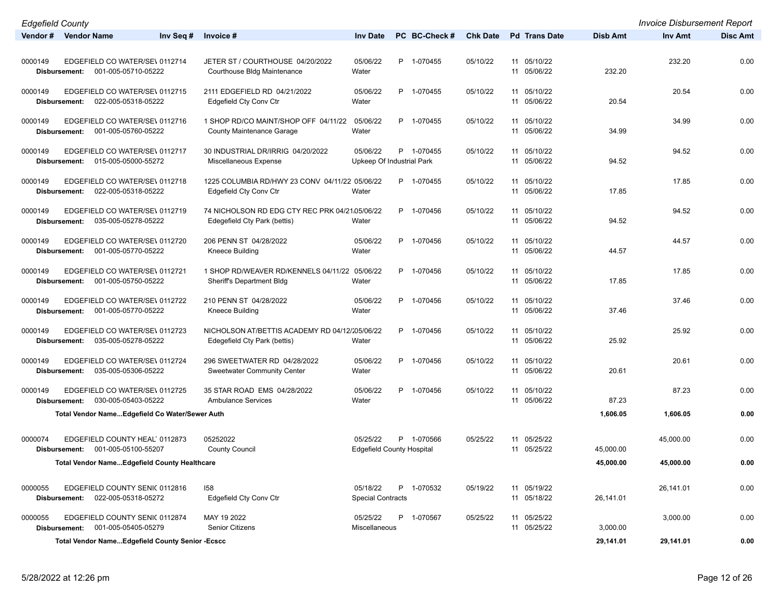| <b>Edgefield County</b>  |                                                       |                                                                                |                                              |               |                 |                            |           | <b>Invoice Disbursement Report</b> |                 |
|--------------------------|-------------------------------------------------------|--------------------------------------------------------------------------------|----------------------------------------------|---------------|-----------------|----------------------------|-----------|------------------------------------|-----------------|
| Vendor # Vendor Name     | Inv Seq #                                             | Invoice #                                                                      | <b>Inv Date</b>                              | PC BC-Check # | <b>Chk Date</b> | <b>Pd</b> Trans Date       | Disb Amt  | Inv Amt                            | <b>Disc Amt</b> |
| 0000149<br>Disbursement: | EDGEFIELD CO WATER/SE\ 0112714<br>001-005-05710-05222 | JETER ST / COURTHOUSE 04/20/2022<br>Courthouse Bldg Maintenance                | 05/06/22<br>Water                            | P 1-070455    | 05/10/22        | 11 05/10/22<br>11 05/06/22 | 232.20    | 232.20                             | 0.00            |
| 0000149<br>Disbursement: | EDGEFIELD CO WATER/SE\ 0112715<br>022-005-05318-05222 | 2111 EDGEFIELD RD 04/21/2022<br>Edgefield Cty Conv Ctr                         | 05/06/22<br>Water                            | P 1-070455    | 05/10/22        | 11 05/10/22<br>11 05/06/22 | 20.54     | 20.54                              | 0.00            |
| 0000149<br>Disbursement: | EDGEFIELD CO WATER/SE\ 0112716<br>001-005-05760-05222 | 1 SHOP RD/CO MAINT/SHOP OFF 04/11/22<br><b>County Maintenance Garage</b>       | 05/06/22<br>Water                            | P 1-070455    | 05/10/22        | 11 05/10/22<br>11 05/06/22 | 34.99     | 34.99                              | 0.00            |
| 0000149<br>Disbursement: | EDGEFIELD CO WATER/SE\ 0112717<br>015-005-05000-55272 | 30 INDUSTRIAL DR/IRRIG 04/20/2022<br>Miscellaneous Expense                     | 05/06/22<br>Upkeep Of Industrial Park        | P 1-070455    | 05/10/22        | 11 05/10/22<br>11 05/06/22 | 94.52     | 94.52                              | 0.00            |
| 0000149<br>Disbursement: | EDGEFIELD CO WATER/SE\ 0112718<br>022-005-05318-05222 | 1225 COLUMBIA RD/HWY 23 CONV 04/11/22 05/06/22<br>Edgefield Cty Conv Ctr       | Water                                        | P 1-070455    | 05/10/22        | 11 05/10/22<br>11 05/06/22 | 17.85     | 17.85                              | 0.00            |
| 0000149<br>Disbursement: | EDGEFIELD CO WATER/SE\ 0112719<br>035-005-05278-05222 | 74 NICHOLSON RD EDG CTY REC PRK 04/21.05/06/22<br>Edegefield Cty Park (bettis) | Water                                        | P 1-070456    | 05/10/22        | 11 05/10/22<br>11 05/06/22 | 94.52     | 94.52                              | 0.00            |
| 0000149<br>Disbursement: | EDGEFIELD CO WATER/SE\ 0112720<br>001-005-05770-05222 | 206 PENN ST 04/28/2022<br>Kneece Building                                      | 05/06/22<br>Water                            | P 1-070456    | 05/10/22        | 11 05/10/22<br>11 05/06/22 | 44.57     | 44.57                              | 0.00            |
| 0000149<br>Disbursement: | EDGEFIELD CO WATER/SE\ 0112721<br>001-005-05750-05222 | 1 SHOP RD/WEAVER RD/KENNELS 04/11/22 05/06/22<br>Sheriff's Department Bldg     | Water                                        | P 1-070456    | 05/10/22        | 11 05/10/22<br>11 05/06/22 | 17.85     | 17.85                              | 0.00            |
| 0000149<br>Disbursement: | EDGEFIELD CO WATER/SE\ 0112722<br>001-005-05770-05222 | 210 PENN ST 04/28/2022<br>Kneece Building                                      | 05/06/22<br>Water                            | P 1-070456    | 05/10/22        | 11 05/10/22<br>11 05/06/22 | 37.46     | 37.46                              | 0.00            |
| 0000149<br>Disbursement: | EDGEFIELD CO WATER/SE\ 0112723<br>035-005-05278-05222 | NICHOLSON AT/BETTIS ACADEMY RD 04/12/205/06/22<br>Edegefield Cty Park (bettis) | Water                                        | P 1-070456    | 05/10/22        | 11 05/10/22<br>11 05/06/22 | 25.92     | 25.92                              | 0.00            |
| 0000149<br>Disbursement: | EDGEFIELD CO WATER/SE\ 0112724<br>035-005-05306-05222 | 296 SWEETWATER RD 04/28/2022<br><b>Sweetwater Community Center</b>             | 05/06/22<br>Water                            | P 1-070456    | 05/10/22        | 11 05/10/22<br>11 05/06/22 | 20.61     | 20.61                              | 0.00            |
| 0000149<br>Disbursement: | EDGEFIELD CO WATER/SE\ 0112725<br>030-005-05403-05222 | 35 STAR ROAD EMS 04/28/2022<br><b>Ambulance Services</b>                       | 05/06/22<br>Water                            | P 1-070456    | 05/10/22        | 11 05/10/22<br>11 05/06/22 | 87.23     | 87.23                              | 0.00            |
|                          | Total Vendor NameEdgefield Co Water/Sewer Auth        |                                                                                |                                              |               |                 |                            | 1,606.05  | 1,606.05                           | 0.00            |
| 0000074<br>Disbursement: | EDGEFIELD COUNTY HEAL 0112873<br>001-005-05100-55207  | 05252022<br><b>County Council</b>                                              | 05/25/22<br><b>Edgefield County Hospital</b> | P 1-070566    | 05/25/22        | 11 05/25/22<br>11 05/25/22 | 45,000.00 | 45,000.00                          | 0.00            |
|                          | <b>Total Vendor NameEdgefield County Healthcare</b>   |                                                                                |                                              |               |                 |                            | 45,000.00 | 45,000.00                          | 0.00            |
| 0000055<br>Disbursement: | EDGEFIELD COUNTY SENIC 0112816<br>022-005-05318-05272 | 158<br>Edgefield Cty Conv Ctr                                                  | 05/18/22<br><b>Special Contracts</b>         | P 1-070532    | 05/19/22        | 11 05/19/22<br>11 05/18/22 | 26,141.01 | 26,141.01                          | 0.00            |
| 0000055<br>Disbursement: | EDGEFIELD COUNTY SENI( 0112874<br>001-005-05405-05279 | MAY 19 2022<br>Senior Citizens                                                 | 05/25/22<br>Miscellaneous                    | P 1-070567    | 05/25/22        | 11 05/25/22<br>11 05/25/22 | 3,000.00  | 3,000.00                           | 0.00            |
|                          | Total Vendor NameEdgefield County Senior -Ecscc       |                                                                                |                                              |               |                 |                            | 29,141.01 | 29,141.01                          | 0.00            |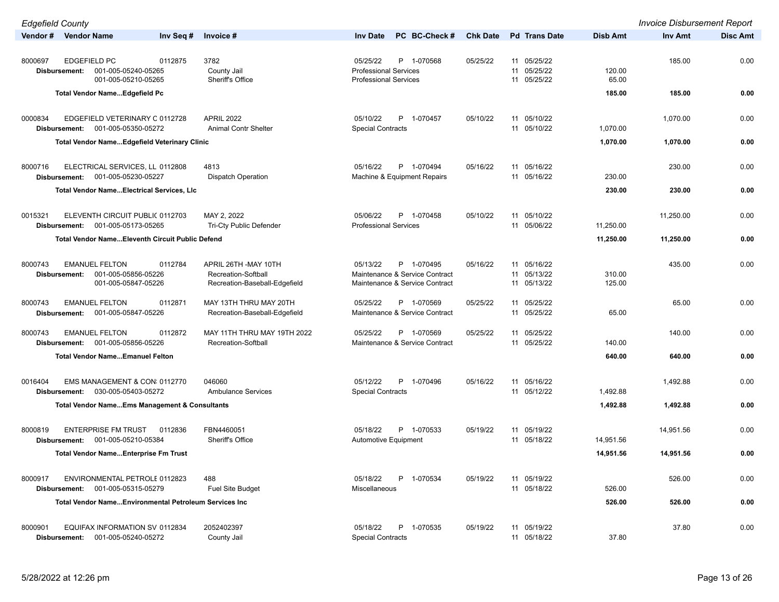| <b>Edgefield County</b>                                                                                  |                                              |                                                                                        |                 |                                           |                      | <b>Invoice Disbursement Report</b> |                 |
|----------------------------------------------------------------------------------------------------------|----------------------------------------------|----------------------------------------------------------------------------------------|-----------------|-------------------------------------------|----------------------|------------------------------------|-----------------|
| Vendor # Vendor Name<br>Inv Seq #                                                                        | Invoice #                                    | PC BC-Check #<br><b>Inv Date</b>                                                       | <b>Chk Date</b> | <b>Pd</b> Trans Date                      | Disb Amt             | Inv Amt                            | <b>Disc Amt</b> |
| 8000697<br><b>EDGEFIELD PC</b><br>0112875<br>001-005-05240-05265<br>Disbursement:<br>001-005-05210-05265 | 3782<br>County Jail<br>Sheriff's Office      | 05/25/22<br>P 1-070568<br><b>Professional Services</b><br><b>Professional Services</b> | 05/25/22        | 11 05/25/22<br>11 05/25/22<br>11 05/25/22 | 120.00<br>65.00      | 185.00                             | 0.00            |
| Total Vendor Name Edgefield Pc                                                                           |                                              |                                                                                        |                 |                                           | 185.00               | 185.00                             | 0.00            |
| 0000834<br>EDGEFIELD VETERINARY C 0112728                                                                | <b>APRIL 2022</b>                            | 05/10/22<br>P<br>1-070457                                                              | 05/10/22        | 11 05/10/22                               |                      |                                    | 0.00            |
| 001-005-05350-05272<br>Disbursement:                                                                     | <b>Animal Contr Shelter</b>                  | <b>Special Contracts</b>                                                               |                 | 11 05/10/22                               | 1,070.00             | 1,070.00                           |                 |
| <b>Total Vendor NameEdgefield Veterinary Clinic</b>                                                      |                                              |                                                                                        |                 |                                           | 1,070.00             | 1,070.00                           | 0.00            |
| 8000716<br>ELECTRICAL SERVICES, LL 0112808                                                               | 4813                                         | 05/16/22<br>P 1-070494                                                                 | 05/16/22        | 11 05/16/22                               |                      | 230.00                             | 0.00            |
| 001-005-05230-05227<br>Disbursement:                                                                     | <b>Dispatch Operation</b>                    | Machine & Equipment Repairs                                                            |                 | 11 05/16/22                               | 230.00               |                                    |                 |
| <b>Total Vendor NameElectrical Services, LIc</b>                                                         |                                              |                                                                                        |                 |                                           | 230.00               | 230.00                             | 0.00            |
| 0015321<br>ELEVENTH CIRCUIT PUBLIC 0112703<br>001-005-05173-05265<br>Disbursement:                       | MAY 2, 2022<br>Tri-Cty Public Defender       | 05/06/22<br>P 1-070458<br><b>Professional Services</b>                                 | 05/10/22        | 11 05/10/22<br>11 05/06/22                | 11,250.00            | 11,250.00                          | 0.00            |
| <b>Total Vendor NameEleventh Circuit Public Defend</b>                                                   |                                              |                                                                                        |                 |                                           | 11,250.00            | 11,250.00                          | 0.00            |
|                                                                                                          |                                              |                                                                                        |                 |                                           |                      |                                    |                 |
| 8000743<br><b>EMANUEL FELTON</b><br>0112784<br>001-005-05856-05226<br>Disbursement:                      | APRIL 26TH - MAY 10TH<br>Recreation-Softball | 05/13/22<br>P 1-070495<br>Maintenance & Service Contract                               | 05/16/22        | 11 05/16/22<br>11 05/13/22                | 310.00               | 435.00                             | 0.00            |
| 001-005-05847-05226                                                                                      | Recreation-Baseball-Edgefield                | Maintenance & Service Contract                                                         |                 | 11 05/13/22                               | 125.00               |                                    |                 |
| <b>EMANUEL FELTON</b><br>8000743<br>0112871                                                              | MAY 13TH THRU MAY 20TH                       | 05/25/22<br>P 1-070569                                                                 | 05/25/22        | 11 05/25/22                               |                      | 65.00                              | 0.00            |
| 001-005-05847-05226<br>Disbursement:                                                                     | Recreation-Baseball-Edgefield                | Maintenance & Service Contract                                                         |                 | 11 05/25/22                               | 65.00                |                                    |                 |
| <b>EMANUEL FELTON</b><br>8000743<br>0112872                                                              | MAY 11TH THRU MAY 19TH 2022                  | 05/25/22<br>P 1-070569                                                                 | 05/25/22        | 11 05/25/22                               |                      | 140.00                             | 0.00            |
| 001-005-05856-05226<br>Disbursement:<br><b>Total Vendor NameEmanuel Felton</b>                           | Recreation-Softball                          | Maintenance & Service Contract                                                         |                 | 11 05/25/22                               | 140.00<br>640.00     | 640.00                             | 0.00            |
|                                                                                                          |                                              |                                                                                        |                 |                                           |                      |                                    |                 |
| EMS MANAGEMENT & CON: 0112770<br>0016404                                                                 | 046060                                       | 05/12/22<br>P<br>1-070496                                                              | 05/16/22        | 11 05/16/22                               |                      | 1,492.88                           | 0.00            |
| 030-005-05403-05272<br>Disbursement:                                                                     | <b>Ambulance Services</b>                    | <b>Special Contracts</b>                                                               |                 | 11 05/12/22                               | 1,492.88<br>1,492.88 |                                    | 0.00            |
| <b>Total Vendor NameEms Management &amp; Consultants</b>                                                 |                                              |                                                                                        |                 |                                           |                      | 1,492.88                           |                 |
| <b>ENTERPRISE FM TRUST</b><br>8000819<br>0112836                                                         | FBN4460051                                   | 05/18/22<br>P<br>1-070533                                                              | 05/19/22        | 11 05/19/22                               |                      | 14,951.56                          | 0.00            |
| 001-005-05210-05384<br>Disbursement:                                                                     | Sheriff's Office                             | Automotive Equipment                                                                   |                 | 11 05/18/22                               | 14,951.56            |                                    |                 |
| Total Vendor NameEnterprise Fm Trust                                                                     |                                              |                                                                                        |                 |                                           | 14,951.56            | 14,951.56                          | 0.00            |
| 8000917<br>ENVIRONMENTAL PETROLE 0112823                                                                 | 488                                          | 05/18/22<br>1-070534                                                                   | 05/19/22        | 11 05/19/22                               |                      | 526.00                             | 0.00            |
| 001-005-05315-05279<br>Disbursement:                                                                     | <b>Fuel Site Budget</b>                      | Miscellaneous                                                                          |                 | 11 05/18/22                               | 526.00               |                                    |                 |
| Total Vendor NameEnvironmental Petroleum Services Inc                                                    |                                              |                                                                                        |                 |                                           | 526.00               | 526.00                             | 0.00            |
| 8000901<br>EQUIFAX INFORMATION SV 0112834                                                                | 2052402397                                   | 05/18/22<br>P<br>1-070535                                                              | 05/19/22        | 11 05/19/22                               |                      | 37.80                              | 0.00            |
| 001-005-05240-05272<br><b>Disbursement:</b>                                                              | County Jail                                  | <b>Special Contracts</b>                                                               |                 | 11 05/18/22                               | 37.80                |                                    |                 |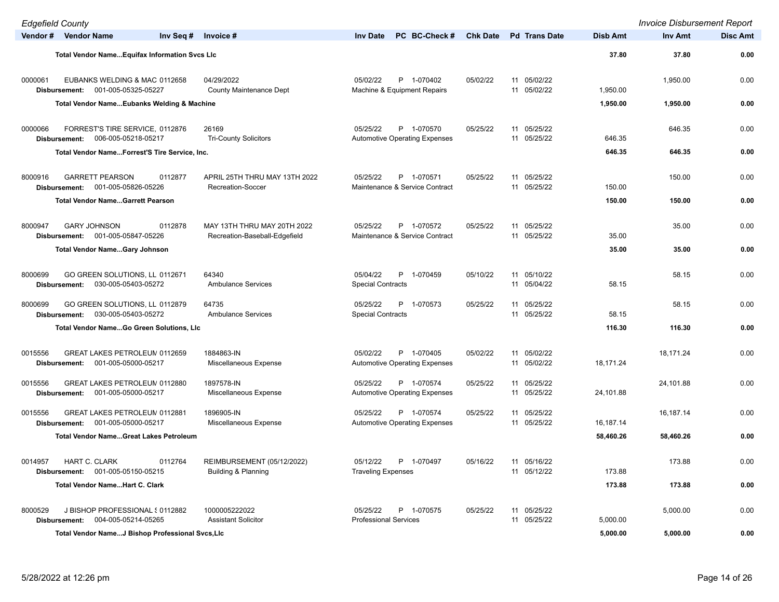| <b>Edgefield County</b>                                                              |                                                              |                                                                |                 |                            |                 | <b>Invoice Disbursement Report</b> |                 |
|--------------------------------------------------------------------------------------|--------------------------------------------------------------|----------------------------------------------------------------|-----------------|----------------------------|-----------------|------------------------------------|-----------------|
| Vendor # Vendor Name                                                                 | Inv Seq $#$ Invoice $#$                                      | PC BC-Check #<br><b>Inv Date</b>                               | <b>Chk Date</b> | <b>Pd Trans Date</b>       | <b>Disb Amt</b> | <b>Inv Amt</b>                     | <b>Disc Amt</b> |
| Total Vendor NameEquifax Information Svcs LIc                                        |                                                              |                                                                |                 |                            | 37.80           | 37.80                              | 0.00            |
| 0000061<br>EUBANKS WELDING & MAC 0112658<br>Disbursement: 001-005-05325-05227        | 04/29/2022<br><b>County Maintenance Dept</b>                 | P 1-070402<br>05/02/22<br>Machine & Equipment Repairs          | 05/02/22        | 11 05/02/22<br>11 05/02/22 | 1,950.00        | 1,950.00                           | 0.00            |
| <b>Total Vendor NameEubanks Welding &amp; Machine</b>                                |                                                              |                                                                |                 |                            | 1,950.00        | 1,950.00                           | 0.00            |
| 0000066<br>FORREST'S TIRE SERVICE, 0112876<br>006-005-05218-05217<br>Disbursement:   | 26169<br><b>Tri-County Solicitors</b>                        | 05/25/22<br>P 1-070570<br><b>Automotive Operating Expenses</b> | 05/25/22        | 11 05/25/22<br>11 05/25/22 | 646.35          | 646.35                             | 0.00            |
| Total Vendor NameForrest'S Tire Service, Inc.                                        |                                                              |                                                                |                 |                            | 646.35          | 646.35                             | 0.00            |
| 8000916<br><b>GARRETT PEARSON</b><br>0112877<br>001-005-05826-05226<br>Disbursement: | APRIL 25TH THRU MAY 13TH 2022<br>Recreation-Soccer           | 05/25/22<br>P 1-070571<br>Maintenance & Service Contract       | 05/25/22        | 11 05/25/22<br>11 05/25/22 | 150.00          | 150.00                             | 0.00            |
| <b>Total Vendor NameGarrett Pearson</b>                                              |                                                              |                                                                |                 |                            | 150.00          | 150.00                             | 0.00            |
| 8000947<br><b>GARY JOHNSON</b><br>0112878<br>001-005-05847-05226<br>Disbursement:    | MAY 13TH THRU MAY 20TH 2022<br>Recreation-Baseball-Edgefield | 05/25/22<br>P 1-070572<br>Maintenance & Service Contract       | 05/25/22        | 11 05/25/22<br>11 05/25/22 | 35.00           | 35.00                              | 0.00            |
| <b>Total Vendor NameGary Johnson</b>                                                 |                                                              |                                                                |                 |                            | 35.00           | 35.00                              | 0.00            |
| 8000699<br>GO GREEN SOLUTIONS, LL 0112671<br>030-005-05403-05272<br>Disbursement:    | 64340<br><b>Ambulance Services</b>                           | 05/04/22<br>P<br>1-070459<br><b>Special Contracts</b>          | 05/10/22        | 11 05/10/22<br>11 05/04/22 | 58.15           | 58.15                              | 0.00            |
| 8000699<br>GO GREEN SOLUTIONS, LL 0112879<br>030-005-05403-05272<br>Disbursement:    | 64735<br><b>Ambulance Services</b>                           | 05/25/22<br>P<br>1-070573<br><b>Special Contracts</b>          | 05/25/22        | 11 05/25/22<br>11 05/25/22 | 58.15           | 58.15                              | 0.00            |
| Total Vendor NameGo Green Solutions, LIc                                             |                                                              |                                                                |                 |                            | 116.30          | 116.30                             | 0.00            |
| 0015556<br>GREAT LAKES PETROLEUN 0112659<br>001-005-05000-05217<br>Disbursement:     | 1884863-IN<br>Miscellaneous Expense                          | 05/02/22<br>P 1-070405<br><b>Automotive Operating Expenses</b> | 05/02/22        | 11 05/02/22<br>11 05/02/22 | 18,171.24       | 18,171.24                          | 0.00            |
| GREAT LAKES PETROLEUN 0112880<br>0015556<br>001-005-05000-05217<br>Disbursement:     | 1897578-IN<br>Miscellaneous Expense                          | 05/25/22<br>P 1-070574<br><b>Automotive Operating Expenses</b> | 05/25/22        | 11 05/25/22<br>11 05/25/22 | 24,101.88       | 24,101.88                          | 0.00            |
| 0015556<br>GREAT LAKES PETROLEUN 0112881<br>001-005-05000-05217<br>Disbursement:     | 1896905-IN<br>Miscellaneous Expense                          | 05/25/22<br>P 1-070574<br><b>Automotive Operating Expenses</b> | 05/25/22        | 11 05/25/22<br>11 05/25/22 | 16,187.14       | 16,187.14                          | 0.00            |
| <b>Total Vendor NameGreat Lakes Petroleum</b>                                        |                                                              |                                                                |                 |                            | 58,460.26       | 58,460.26                          | 0.00            |
| 0014957<br>HART C. CLARK<br>0112764<br>Disbursement: 001-005-05150-05215             | REIMBURSEMENT (05/12/2022)<br>Building & Planning            | 05/12/22<br>P 1-070497<br><b>Traveling Expenses</b>            | 05/16/22        | 11 05/16/22<br>11 05/12/22 | 173.88          | 173.88                             | 0.00            |
| <b>Total Vendor NameHart C. Clark</b>                                                |                                                              |                                                                |                 |                            | 173.88          | 173.88                             | 0.00            |
| 8000529<br>J BISHOP PROFESSIONAL § 0112882<br>Disbursement: 004-005-05214-05265      | 1000005222022<br><b>Assistant Solicitor</b>                  | 05/25/22<br>P 1-070575<br><b>Professional Services</b>         | 05/25/22        | 11 05/25/22<br>11 05/25/22 | 5,000.00        | 5,000.00                           | 0.00            |
| Total Vendor NameJ Bishop Professional Svcs,LIc                                      |                                                              |                                                                |                 |                            | 5,000.00        | 5,000.00                           | 0.00            |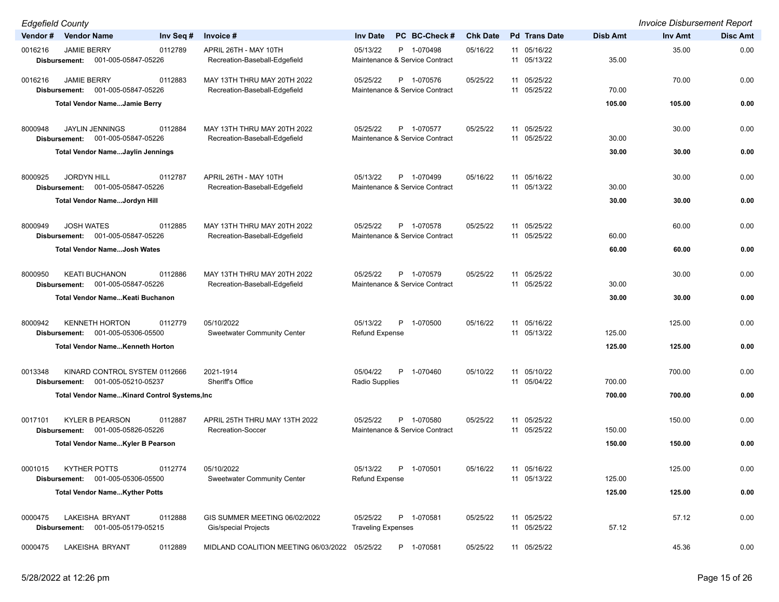| <b>Edgefield County</b>                                                              |                                                              |                                                          |                 |                            |                 | <b>Invoice Disbursement Report</b> |                 |
|--------------------------------------------------------------------------------------|--------------------------------------------------------------|----------------------------------------------------------|-----------------|----------------------------|-----------------|------------------------------------|-----------------|
| Vendor#<br><b>Vendor Name</b><br>Inv Seq #                                           | Invoice #                                                    | PC BC-Check #<br><b>Inv Date</b>                         | <b>Chk Date</b> | <b>Pd Trans Date</b>       | <b>Disb Amt</b> | Inv Amt                            | <b>Disc Amt</b> |
| 0016216<br><b>JAMIE BERRY</b><br>0112789<br>Disbursement:<br>001-005-05847-05226     | APRIL 26TH - MAY 10TH<br>Recreation-Baseball-Edgefield       | 05/13/22<br>P 1-070498<br>Maintenance & Service Contract | 05/16/22        | 11 05/16/22<br>11 05/13/22 | 35.00           | 35.00                              | 0.00            |
| 0016216<br><b>JAMIE BERRY</b><br>0112883<br>001-005-05847-05226<br>Disbursement:     | MAY 13TH THRU MAY 20TH 2022<br>Recreation-Baseball-Edgefield | 05/25/22<br>P 1-070576<br>Maintenance & Service Contract | 05/25/22        | 11 05/25/22<br>11 05/25/22 | 70.00           | 70.00                              | 0.00            |
| <b>Total Vendor NameJamie Berry</b>                                                  |                                                              |                                                          |                 |                            | 105.00          | 105.00                             | 0.00            |
| <b>JAYLIN JENNINGS</b><br>0112884<br>8000948<br>Disbursement: 001-005-05847-05226    | MAY 13TH THRU MAY 20TH 2022<br>Recreation-Baseball-Edgefield | 05/25/22<br>P 1-070577<br>Maintenance & Service Contract | 05/25/22        | 11 05/25/22<br>11 05/25/22 | 30.00           | 30.00                              | 0.00            |
| Total Vendor NameJaylin Jennings                                                     |                                                              |                                                          |                 |                            | 30.00           | 30.00                              | 0.00            |
| 8000925<br><b>JORDYN HILL</b><br>0112787<br>001-005-05847-05226<br>Disbursement:     | APRIL 26TH - MAY 10TH<br>Recreation-Baseball-Edgefield       | 05/13/22<br>P 1-070499<br>Maintenance & Service Contract | 05/16/22        | 11 05/16/22<br>11 05/13/22 | 30.00           | 30.00                              | 0.00            |
| Total Vendor NameJordyn Hill                                                         |                                                              |                                                          |                 |                            | 30.00           | 30.00                              | 0.00            |
| <b>JOSH WATES</b><br>0112885<br>8000949<br>001-005-05847-05226<br>Disbursement:      | MAY 13TH THRU MAY 20TH 2022<br>Recreation-Baseball-Edgefield | 05/25/22<br>P 1-070578<br>Maintenance & Service Contract | 05/25/22        | 11 05/25/22<br>11 05/25/22 | 60.00           | 60.00                              | 0.00            |
| <b>Total Vendor NameJosh Wates</b>                                                   |                                                              |                                                          |                 |                            | 60.00           | 60.00                              | 0.00            |
| 8000950<br><b>KEATI BUCHANON</b><br>0112886<br>001-005-05847-05226<br>Disbursement:  | MAY 13TH THRU MAY 20TH 2022<br>Recreation-Baseball-Edgefield | 05/25/22<br>P 1-070579<br>Maintenance & Service Contract | 05/25/22        | 11 05/25/22<br>11 05/25/22 | 30.00           | 30.00                              | 0.00            |
| Total Vendor Name Keati Buchanon                                                     |                                                              |                                                          |                 |                            | 30.00           | 30.00                              | 0.00            |
| <b>KENNETH HORTON</b><br>0112779<br>8000942<br>001-005-05306-05500<br>Disbursement:  | 05/10/2022<br><b>Sweetwater Community Center</b>             | 05/13/22<br>P<br>1-070500<br><b>Refund Expense</b>       | 05/16/22        | 11 05/16/22<br>11 05/13/22 | 125.00          | 125.00                             | 0.00            |
| <b>Total Vendor NameKenneth Horton</b>                                               |                                                              |                                                          |                 |                            | 125.00          | 125.00                             | 0.00            |
| KINARD CONTROL SYSTEM 0112666<br>0013348<br>001-005-05210-05237<br>Disbursement:     | 2021-1914<br>Sheriff's Office                                | 05/04/22<br>P<br>1-070460<br>Radio Supplies              | 05/10/22        | 11 05/10/22<br>11 05/04/22 | 700.00          | 700.00                             | 0.00            |
| Total Vendor NameKinard Control Systems, Inc                                         |                                                              |                                                          |                 |                            | 700.00          | 700.00                             | 0.00            |
| <b>KYLER B PEARSON</b><br>0017101<br>0112887<br>001-005-05826-05226<br>Disbursement: | APRIL 25TH THRU MAY 13TH 2022<br>Recreation-Soccer           | P 1-070580<br>05/25/22<br>Maintenance & Service Contract | 05/25/22        | 11 05/25/22<br>11 05/25/22 | 150.00          | 150.00                             | 0.00            |
| <b>Total Vendor NameKyler B Pearson</b>                                              |                                                              |                                                          |                 |                            | 150.00          | 150.00                             | 0.00            |
| <b>KYTHER POTTS</b><br>0112774<br>0001015<br>001-005-05306-05500<br>Disbursement:    | 05/10/2022<br><b>Sweetwater Community Center</b>             | 05/13/22<br>P<br>1-070501<br><b>Refund Expense</b>       | 05/16/22        | 11 05/16/22<br>11 05/13/22 | 125.00          | 125.00                             | 0.00            |
| <b>Total Vendor NameKyther Potts</b>                                                 |                                                              |                                                          |                 |                            | 125.00          | 125.00                             | 0.00            |
| 0000475<br>LAKEISHA BRYANT<br>0112888<br>001-005-05179-05215<br>Disbursement:        | GIS SUMMER MEETING 06/02/2022<br>Gis/special Projects        | 05/25/22<br>P 1-070581<br><b>Traveling Expenses</b>      | 05/25/22        | 11 05/25/22<br>11 05/25/22 | 57.12           | 57.12                              | 0.00            |
| LAKEISHA BRYANT<br>0112889<br>0000475                                                | MIDLAND COALITION MEETING 06/03/2022 05/25/22                | P 1-070581                                               | 05/25/22        | 11 05/25/22                |                 | 45.36                              | 0.00            |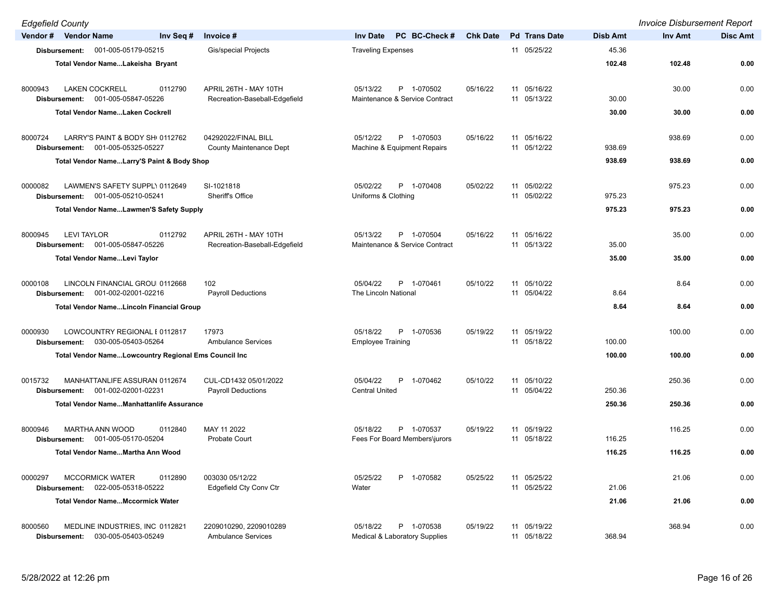| <b>Edgefield County</b>  |                                                      |           |                                                        |                                                          |                 |                            |                 | <b>Invoice Disbursement Report</b> |                 |
|--------------------------|------------------------------------------------------|-----------|--------------------------------------------------------|----------------------------------------------------------|-----------------|----------------------------|-----------------|------------------------------------|-----------------|
| Vendor # Vendor Name     |                                                      | Inv Seq # | Invoice #                                              | PC BC-Check #<br><b>Inv Date</b>                         | <b>Chk Date</b> | <b>Pd</b> Trans Date       | <b>Disb Amt</b> | Inv Amt                            | <b>Disc Amt</b> |
| Disbursement:            | 001-005-05179-05215                                  |           | <b>Gis/special Projects</b>                            | <b>Traveling Expenses</b>                                |                 | 11 05/25/22                | 45.36           |                                    |                 |
|                          | Total Vendor NameLakeisha Bryant                     |           |                                                        |                                                          |                 |                            | 102.48          | 102.48                             | 0.00            |
|                          |                                                      |           |                                                        |                                                          |                 |                            |                 |                                    |                 |
| 8000943<br>Disbursement: | <b>LAKEN COCKRELL</b><br>001-005-05847-05226         | 0112790   | APRIL 26TH - MAY 10TH<br>Recreation-Baseball-Edgefield | 05/13/22<br>P 1-070502<br>Maintenance & Service Contract | 05/16/22        | 11 05/16/22<br>11 05/13/22 | 30.00           | 30.00                              | 0.00            |
|                          | <b>Total Vendor NameLaken Cockrell</b>               |           |                                                        |                                                          |                 |                            | 30.00           | 30.00                              | 0.00            |
|                          |                                                      |           |                                                        |                                                          |                 |                            |                 |                                    |                 |
| 8000724                  | LARRY'S PAINT & BODY SHI 0112762                     |           | 04292022/FINAL BILL                                    | P 1-070503<br>05/12/22                                   | 05/16/22        | 11 05/16/22                |                 | 938.69                             | 0.00            |
| Disbursement:            | 001-005-05325-05227                                  |           | County Maintenance Dept                                | Machine & Equipment Repairs                              |                 | 11 05/12/22                | 938.69          |                                    |                 |
|                          | Total Vendor NameLarry'S Paint & Body Shop           |           |                                                        |                                                          |                 |                            | 938.69          | 938.69                             | 0.00            |
| 0000082                  | LAWMEN'S SAFETY SUPPL\ 0112649                       |           | SI-1021818                                             | 05/02/22<br>P 1-070408                                   | 05/02/22        | 11 05/02/22                |                 | 975.23                             | 0.00            |
| Disbursement:            | 001-005-05210-05241                                  |           | Sheriff's Office                                       | Uniforms & Clothing                                      |                 | 11 05/02/22                | 975.23          |                                    |                 |
|                          | <b>Total Vendor NameLawmen'S Safety Supply</b>       |           |                                                        |                                                          |                 |                            | 975.23          | 975.23                             | 0.00            |
|                          |                                                      |           |                                                        |                                                          |                 |                            |                 |                                    |                 |
| 8000945                  | <b>LEVI TAYLOR</b>                                   | 0112792   | APRIL 26TH - MAY 10TH                                  | P 1-070504<br>05/13/22                                   | 05/16/22        | 11 05/16/22                |                 | 35.00                              | 0.00            |
|                          | Disbursement: 001-005-05847-05226                    |           | Recreation-Baseball-Edgefield                          | Maintenance & Service Contract                           |                 | 11 05/13/22                | 35.00           |                                    |                 |
|                          | Total Vendor NameLevi Taylor                         |           |                                                        |                                                          |                 |                            | 35.00           | 35.00                              | 0.00            |
| 0000108                  | LINCOLN FINANCIAL GROU 0112668                       |           | 102                                                    | P 1-070461<br>05/04/22                                   | 05/10/22        | 11 05/10/22                |                 | 8.64                               | 0.00            |
|                          | Disbursement: 001-002-02001-02216                    |           | <b>Payroll Deductions</b>                              | The Lincoln National                                     |                 | 11 05/04/22                | 8.64            |                                    |                 |
|                          | Total Vendor NameLincoln Financial Group             |           |                                                        |                                                          |                 |                            | 8.64            | 8.64                               | 0.00            |
|                          |                                                      |           |                                                        |                                                          |                 |                            |                 |                                    |                 |
| 0000930<br>Disbursement: | LOWCOUNTRY REGIONAL I 0112817<br>030-005-05403-05264 |           | 17973<br><b>Ambulance Services</b>                     | 05/18/22<br>P 1-070536<br><b>Employee Training</b>       | 05/19/22        | 11 05/19/22<br>11 05/18/22 | 100.00          | 100.00                             | 0.00            |
|                          | Total Vendor NameLowcountry Regional Ems Council Inc |           |                                                        |                                                          |                 |                            | 100.00          | 100.00                             | 0.00            |
|                          |                                                      |           |                                                        |                                                          |                 |                            |                 |                                    |                 |
| 0015732                  | MANHATTANLIFE ASSURAN 0112674                        |           | CUL-CD1432 05/01/2022                                  | 05/04/22<br>P 1-070462                                   | 05/10/22        | 11 05/10/22                |                 | 250.36                             | 0.00            |
| Disbursement:            | 001-002-02001-02231                                  |           | <b>Payroll Deductions</b>                              | <b>Central United</b>                                    |                 | 11 05/04/22                | 250.36          |                                    |                 |
|                          | <b>Total Vendor NameManhattanlife Assurance</b>      |           |                                                        |                                                          |                 |                            | 250.36          | 250.36                             | 0.00            |
| 8000946                  | MARTHA ANN WOOD                                      | 0112840   | MAY 11 2022                                            | P 1-070537<br>05/18/22                                   | 05/19/22        | 11 05/19/22                |                 | 116.25                             | 0.00            |
| Disbursement:            | 001-005-05170-05204                                  |           | <b>Probate Court</b>                                   | Fees For Board Members\jurors                            |                 | 11 05/18/22                | 116.25          |                                    |                 |
|                          | Total Vendor NameMartha Ann Wood                     |           |                                                        |                                                          |                 |                            | 116.25          | 116.25                             | 0.00            |
|                          |                                                      |           |                                                        |                                                          |                 |                            |                 |                                    |                 |
| 0000297<br>Disbursement: | <b>MCCORMICK WATER</b><br>022-005-05318-05222        | 0112890   | 003030 05/12/22<br><b>Edgefield Cty Conv Ctr</b>       | 05/25/22<br>1-070582<br>P<br>Water                       | 05/25/22        | 11 05/25/22<br>11 05/25/22 | 21.06           | 21.06                              | 0.00            |
|                          | <b>Total Vendor NameMccormick Water</b>              |           |                                                        |                                                          |                 |                            | 21.06           | 21.06                              | 0.00            |
|                          |                                                      |           |                                                        |                                                          |                 |                            |                 |                                    |                 |
| 8000560                  | MEDLINE INDUSTRIES, INC 0112821                      |           | 2209010290, 2209010289                                 | 05/18/22<br>P 1-070538                                   | 05/19/22        | 11 05/19/22                |                 | 368.94                             | 0.00            |
| Disbursement:            | 030-005-05403-05249                                  |           | <b>Ambulance Services</b>                              | <b>Medical &amp; Laboratory Supplies</b>                 |                 | 11 05/18/22                | 368.94          |                                    |                 |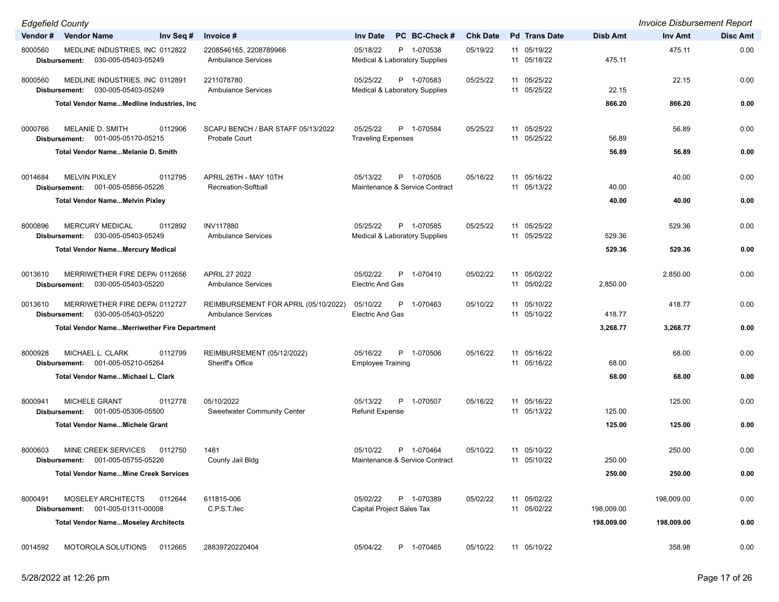| <b>Edgefield County</b> |                                                           |                                                             |                                                          |                 |                            |            | <b>Invoice Disbursement Report</b> |                 |
|-------------------------|-----------------------------------------------------------|-------------------------------------------------------------|----------------------------------------------------------|-----------------|----------------------------|------------|------------------------------------|-----------------|
|                         | Vendor # Vendor Name                                      | Invoice #<br>Inv Seq #                                      | PC BC-Check#<br><b>Inv Date</b>                          | <b>Chk Date</b> | <b>Pd</b> Trans Date       | Disb Amt   | Inv Amt                            | <b>Disc Amt</b> |
| 8000560                 | MEDLINE INDUSTRIES, INC 0112822                           | 2208546165, 2208789966                                      | 05/18/22<br>P 1-070538                                   | 05/19/22        | 11 05/19/22                |            | 475.11                             | 0.00            |
|                         | Disbursement: 030-005-05403-05249                         | <b>Ambulance Services</b>                                   | Medical & Laboratory Supplies                            |                 | 11 05/18/22                | 475.11     |                                    |                 |
| 8000560                 | MEDLINE INDUSTRIES, INC 0112891                           | 2211078780                                                  | 05/25/22<br>P 1-070583                                   | 05/25/22        | 11 05/25/22                |            | 22.15                              | 0.00            |
|                         | 030-005-05403-05249<br>Disbursement:                      | <b>Ambulance Services</b>                                   | Medical & Laboratory Supplies                            |                 | 11 05/25/22                | 22.15      |                                    |                 |
|                         | Total Vendor NameMedline Industries, Inc.                 |                                                             |                                                          |                 |                            | 866.20     | 866.20                             | 0.00            |
|                         |                                                           |                                                             |                                                          |                 |                            |            |                                    |                 |
| 0000766                 | MELANIE D. SMITH                                          | SCAPJ BENCH / BAR STAFF 05/13/2022<br>0112906               | 05/25/22<br>P 1-070584                                   | 05/25/22        | 11 05/25/22                |            | 56.89                              | 0.00            |
|                         | Disbursement: 001-005-05170-05215                         | <b>Probate Court</b>                                        | <b>Traveling Expenses</b>                                |                 | 11 05/25/22                | 56.89      |                                    |                 |
|                         | Total Vendor Name Melanie D. Smith                        |                                                             |                                                          |                 |                            | 56.89      | 56.89                              | 0.00            |
|                         |                                                           |                                                             |                                                          |                 |                            |            |                                    |                 |
| 0014684                 | <b>MELVIN PIXLEY</b><br>Disbursement: 001-005-05856-05226 | APRIL 26TH - MAY 10TH<br>0112795<br>Recreation-Softball     | 05/13/22<br>P 1-070505<br>Maintenance & Service Contract | 05/16/22        | 11 05/16/22<br>11 05/13/22 | 40.00      | 40.00                              | 0.00            |
|                         | <b>Total Vendor NameMelvin Pixley</b>                     |                                                             |                                                          |                 |                            | 40.00      | 40.00                              | 0.00            |
|                         |                                                           |                                                             |                                                          |                 |                            |            |                                    |                 |
| 8000896                 | <b>MERCURY MEDICAL</b>                                    | <b>INV117880</b><br>0112892                                 | 05/25/22<br>P 1-070585                                   | 05/25/22        | 11 05/25/22                |            | 529.36                             | 0.00            |
|                         | Disbursement: 030-005-05403-05249                         | <b>Ambulance Services</b>                                   | <b>Medical &amp; Laboratory Supplies</b>                 |                 | 11 05/25/22                | 529.36     |                                    |                 |
|                         | <b>Total Vendor NameMercury Medical</b>                   |                                                             |                                                          |                 |                            | 529.36     | 529.36                             | 0.00            |
|                         |                                                           |                                                             |                                                          |                 |                            |            |                                    |                 |
| 0013610                 | MERRIWETHER FIRE DEPAI 0112656                            | APRIL 27 2022                                               | 05/02/22<br>P 1-070410                                   | 05/02/22        | 11 05/02/22                |            | 2,850.00                           | 0.00            |
|                         | Disbursement: 030-005-05403-05220                         | <b>Ambulance Services</b>                                   | <b>Electric And Gas</b>                                  |                 | 11 05/02/22                | 2,850.00   |                                    |                 |
| 0013610                 | MERRIWETHER FIRE DEPAI 0112727                            | REIMBURSEMENT FOR APRIL (05/10/2022)                        | 05/10/22<br>P<br>1-070463                                | 05/10/22        | 11 05/10/22                |            | 418.77                             | 0.00            |
|                         | Disbursement: 030-005-05403-05220                         | <b>Ambulance Services</b>                                   | <b>Electric And Gas</b>                                  |                 | 11 05/10/22                | 418.77     |                                    |                 |
|                         | <b>Total Vendor NameMerriwether Fire Department</b>       |                                                             |                                                          |                 |                            | 3,268.77   | 3,268.77                           | 0.00            |
|                         |                                                           |                                                             |                                                          |                 |                            |            |                                    |                 |
| 8000928                 | MICHAEL L. CLARK                                          | 0112799<br>REIMBURSEMENT (05/12/2022)                       | 05/16/22<br>P 1-070506                                   | 05/16/22        | 11 05/16/22                |            | 68.00                              | 0.00            |
|                         | Disbursement: 001-005-05210-05264                         | Sheriff's Office                                            | <b>Employee Training</b>                                 |                 | 11 05/16/22                | 68.00      |                                    |                 |
|                         | Total Vendor NameMichael L. Clark                         |                                                             |                                                          |                 |                            | 68.00      | 68.00                              | 0.00            |
|                         |                                                           |                                                             |                                                          |                 |                            |            |                                    |                 |
| 8000941                 | <b>MICHELE GRANT</b><br>Disbursement: 001-005-05306-05500 | 0112778<br>05/10/2022<br><b>Sweetwater Community Center</b> | 05/13/22<br>P 1-070507<br><b>Refund Expense</b>          | 05/16/22        | 11 05/16/22<br>11 05/13/22 | 125.00     | 125.00                             | 0.00            |
|                         | <b>Total Vendor NameMichele Grant</b>                     |                                                             |                                                          |                 |                            | 125.00     | 125.00                             | 0.00            |
|                         |                                                           |                                                             |                                                          |                 |                            |            |                                    |                 |
| 8000603                 | MINE CREEK SERVICES                                       | 0112750<br>1481                                             | 05/10/22<br>P 1-070464                                   | 05/10/22        | 11 05/10/22                |            | 250.00                             | 0.00            |
|                         | Disbursement: 001-005-05755-05226                         | County Jail Bldg                                            | Maintenance & Service Contract                           |                 | 11 05/10/22                | 250.00     |                                    |                 |
|                         | <b>Total Vendor NameMine Creek Services</b>               |                                                             |                                                          |                 |                            | 250.00     | 250.00                             | 0.00            |
|                         |                                                           |                                                             |                                                          |                 |                            |            |                                    |                 |
| 8000491                 | MOSELEY ARCHITECTS                                        | 0112644<br>611815-006                                       | 05/02/22<br>P 1-070389                                   | 05/02/22        | 11 05/02/22                |            | 198,009.00                         | 0.00            |
|                         | Disbursement: 001-005-01311-00008                         | C.P.S.T./lec                                                | Capital Project Sales Tax                                |                 | 11 05/02/22                | 198,009.00 |                                    |                 |
|                         | <b>Total Vendor NameMoseley Architects</b>                |                                                             |                                                          |                 |                            | 198,009.00 | 198,009.00                         | 0.00            |
| 0014592                 | MOTOROLA SOLUTIONS                                        | 28839720220404<br>0112665                                   | P 1-070465<br>05/04/22                                   | 05/10/22        | 11 05/10/22                |            | 358.98                             | 0.00            |
|                         |                                                           |                                                             |                                                          |                 |                            |            |                                    |                 |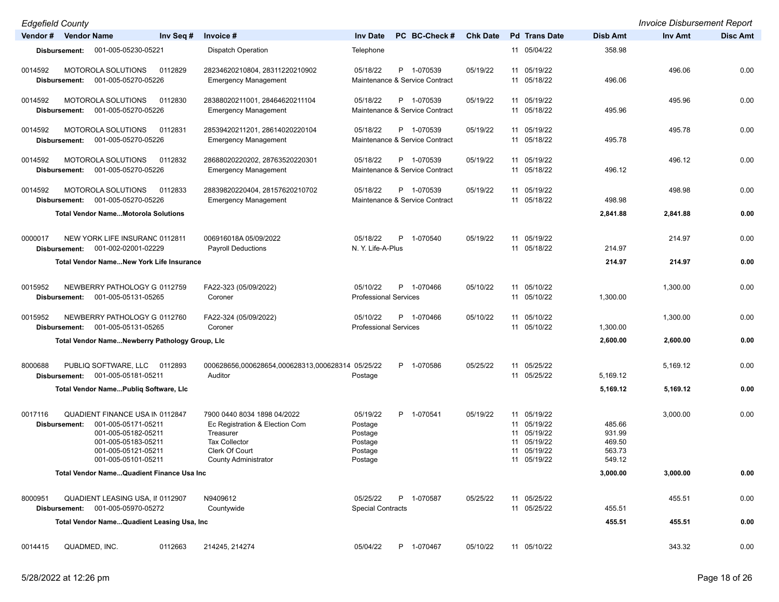*Edgefield County Invoice Disbursement Report*

| Lugonoia oouniy      |               |                                                                                                                                                           |           |                                                                                                                                                     |                                                                 |    |                                              |                 |          |                                                                                  |                                                |                | 1.98916         |
|----------------------|---------------|-----------------------------------------------------------------------------------------------------------------------------------------------------------|-----------|-----------------------------------------------------------------------------------------------------------------------------------------------------|-----------------------------------------------------------------|----|----------------------------------------------|-----------------|----------|----------------------------------------------------------------------------------|------------------------------------------------|----------------|-----------------|
| Vendor # Vendor Name |               |                                                                                                                                                           | Inv Seq # | Invoice #                                                                                                                                           | <b>Inv Date</b>                                                 |    | PC BC-Check#                                 | <b>Chk Date</b> |          | <b>Pd</b> Trans Date                                                             | <b>Disb Amt</b>                                | <b>Inv Amt</b> | <b>Disc Amt</b> |
|                      | Disbursement: | 001-005-05230-05221                                                                                                                                       |           | <b>Dispatch Operation</b>                                                                                                                           | Telephone                                                       |    |                                              |                 |          | 11 05/04/22                                                                      | 358.98                                         |                |                 |
| 0014592              | Disbursement: | MOTOROLA SOLUTIONS<br>001-005-05270-05226                                                                                                                 | 0112829   | 28234620210804, 28311220210902<br><b>Emergency Management</b>                                                                                       | 05/18/22                                                        |    | P 1-070539<br>Maintenance & Service Contract | 05/19/22        |          | 11 05/19/22<br>11 05/18/22                                                       | 496.06                                         | 496.06         | 0.00            |
| 0014592              | Disbursement: | MOTOROLA SOLUTIONS<br>001-005-05270-05226                                                                                                                 | 0112830   | 28388020211001, 28464620211104<br><b>Emergency Management</b>                                                                                       | 05/18/22                                                        |    | P 1-070539<br>Maintenance & Service Contract | 05/19/22        |          | 11 05/19/22<br>11 05/18/22                                                       | 495.96                                         | 495.96         | 0.00            |
| 0014592              | Disbursement: | MOTOROLA SOLUTIONS<br>001-005-05270-05226                                                                                                                 | 0112831   | 28539420211201, 28614020220104<br><b>Emergency Management</b>                                                                                       | 05/18/22                                                        |    | P 1-070539<br>Maintenance & Service Contract | 05/19/22        |          | 11 05/19/22<br>11 05/18/22                                                       | 495.78                                         | 495.78         | 0.00            |
| 0014592              | Disbursement: | <b>MOTOROLA SOLUTIONS</b><br>001-005-05270-05226                                                                                                          | 0112832   | 28688020220202, 28763520220301<br><b>Emergency Management</b>                                                                                       | 05/18/22                                                        |    | P 1-070539<br>Maintenance & Service Contract | 05/19/22        |          | 11 05/19/22<br>11 05/18/22                                                       | 496.12                                         | 496.12         | 0.00            |
| 0014592              | Disbursement: | <b>MOTOROLA SOLUTIONS</b><br>001-005-05270-05226                                                                                                          | 0112833   | 28839820220404, 28157620210702<br><b>Emergency Management</b>                                                                                       | 05/18/22                                                        |    | P 1-070539<br>Maintenance & Service Contract | 05/19/22        |          | 11 05/19/22<br>11 05/18/22                                                       | 498.98                                         | 498.98         | 0.00            |
|                      |               | <b>Total Vendor NameMotorola Solutions</b>                                                                                                                |           |                                                                                                                                                     |                                                                 |    |                                              |                 |          |                                                                                  | 2,841.88                                       | 2,841.88       | 0.00            |
| 0000017              | Disbursement: | NEW YORK LIFE INSURANC 0112811<br>001-002-02001-02229                                                                                                     |           | 006916018A 05/09/2022<br><b>Payroll Deductions</b>                                                                                                  | 05/18/22<br>N. Y. Life-A-Plus                                   | P. | 1-070540                                     | 05/19/22        |          | 11 05/19/22<br>11 05/18/22                                                       | 214.97                                         | 214.97         | 0.00            |
|                      |               | <b>Total Vendor NameNew York Life Insurance</b>                                                                                                           |           |                                                                                                                                                     |                                                                 |    |                                              |                 |          |                                                                                  | 214.97                                         | 214.97         | 0.00            |
| 0015952              | Disbursement: | NEWBERRY PATHOLOGY G 0112759<br>001-005-05131-05265                                                                                                       |           | FA22-323 (05/09/2022)<br>Coroner                                                                                                                    | 05/10/22<br><b>Professional Services</b>                        |    | P 1-070466                                   | 05/10/22        |          | 11 05/10/22<br>11 05/10/22                                                       | 1,300.00                                       | 1,300.00       | 0.00            |
| 0015952              | Disbursement: | NEWBERRY PATHOLOGY G 0112760<br>001-005-05131-05265                                                                                                       |           | FA22-324 (05/09/2022)<br>Coroner                                                                                                                    | 05/10/22<br><b>Professional Services</b>                        |    | P 1-070466                                   | 05/10/22        |          | 11 05/10/22<br>11 05/10/22                                                       | 1,300.00                                       | 1,300.00       | 0.00            |
|                      |               | Total Vendor NameNewberry Pathology Group, Lic                                                                                                            |           |                                                                                                                                                     |                                                                 |    |                                              |                 |          |                                                                                  | 2,600.00                                       | 2,600.00       | 0.00            |
| 8000688              |               | PUBLIQ SOFTWARE, LLC<br>Disbursement: 001-005-05181-05211                                                                                                 | 0112893   | 000628656,000628654,000628313,000628314 05/25/22<br>Auditor                                                                                         | Postage                                                         |    | P 1-070586                                   | 05/25/22        |          | 11 05/25/22<br>11 05/25/22                                                       | 5,169.12                                       | 5,169.12       | 0.00            |
|                      |               | Total Vendor NamePubliq Software, LIc                                                                                                                     |           |                                                                                                                                                     |                                                                 |    |                                              |                 |          |                                                                                  | 5,169.12                                       | 5,169.12       | 0.00            |
| 0017116              | Disbursement: | <b>QUADIENT FINANCE USA IN 0112847</b><br>001-005-05171-05211<br>001-005-05182-05211<br>001-005-05183-05211<br>001-005-05121-05211<br>001-005-05101-05211 |           | 7900 0440 8034 1898 04/2022<br>Ec Registration & Election Com<br>Treasurer<br><b>Tax Collector</b><br>Clerk Of Court<br><b>County Administrator</b> | 05/19/22<br>Postage<br>Postage<br>Postage<br>Postage<br>Postage |    | P 1-070541                                   | 05/19/22        | 11<br>11 | 11 05/19/22<br>11 05/19/22<br>11 05/19/22<br>05/19/22<br>05/19/22<br>11 05/19/22 | 485.66<br>931.99<br>469.50<br>563.73<br>549.12 | 3,000.00       | 0.00            |
|                      |               | Total Vendor Name Quadient Finance Usa Inc                                                                                                                |           |                                                                                                                                                     |                                                                 |    |                                              |                 |          |                                                                                  | 3,000.00                                       | 3,000.00       | 0.00            |
| 8000951              | Disbursement: | QUADIENT LEASING USA, II 0112907<br>001-005-05970-05272                                                                                                   |           | N9409612<br>Countywide                                                                                                                              | 05/25/22<br><b>Special Contracts</b>                            |    | P 1-070587                                   | 05/25/22        |          | 11 05/25/22<br>11 05/25/22                                                       | 455.51                                         | 455.51         | 0.00            |
|                      |               | Total Vendor Name Quadient Leasing Usa, Inc                                                                                                               |           |                                                                                                                                                     |                                                                 |    |                                              |                 |          |                                                                                  | 455.51                                         | 455.51         | 0.00            |
| 0014415              |               | QUADMED, INC.                                                                                                                                             | 0112663   | 214245, 214274                                                                                                                                      | 05/04/22                                                        |    | P 1-070467                                   | 05/10/22        |          | 11 05/10/22                                                                      |                                                | 343.32         | 0.00            |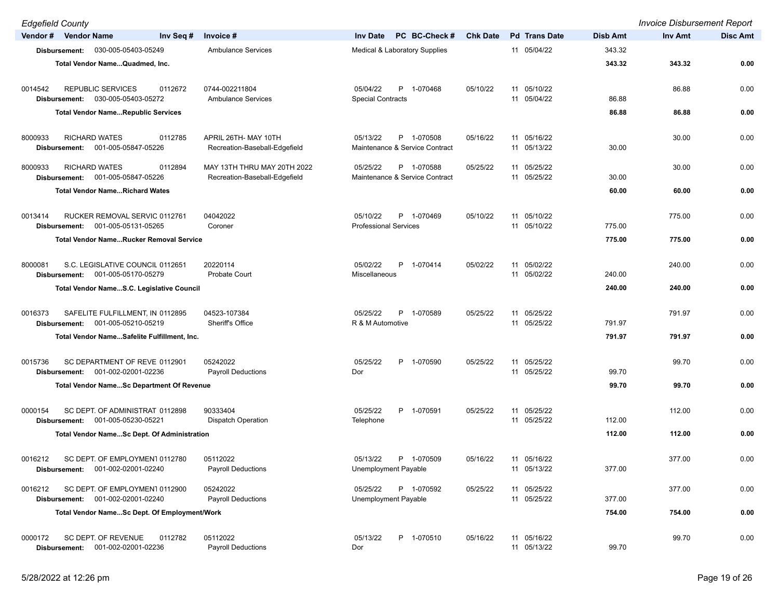*Edgefield County Invoice Disbursement Report* **Vendor # Vendor Name Inv Seq # Invoice # Inv Date PC BC-Check # Chk Date Pd Trans Date Disb Amt Inv Amt Disc Amt Disbursement:** 030-005-05403-05249 Ambulance Services Medical & Laboratory Supplies 11 05/04/22 343.32 **Total Vendor Name...Quadmed, Inc. 343.32 343.32 0.00** 0014542 REPUBLIC SERVICES 0112672 0744-002211804 05/04/22 P 1-070468 05/10/22 11 05/10/22 86.88 0.00 **Disbursement:** 030-005-05403-05272 Ambulance Services Special Contracts 11 05/04/22 86.88 **Total Vendor Name...Republic Services 86.88 86.88 0.00** 8000933 RICHARD WATES 0112785 APRIL 26TH- MAY 10TH 05/13/22 P 1-070508 05/16/22 11 05/16/22 30.00 0.00 **Disbursement:** 001-005-05847-05226 Recreation-Baseball-Edgefield Maintenance & Service Contract 11 05/13/22 30.00 8000933 RICHARD WATES 0112894 MAY 13TH THRU MAY 20TH 2022 05/25/22 P 1-070588 05/25/22 11 05/25/22 30.00 0.00 **Disbursement:** 001-005-05847-05226 Recreation-Baseball-Edgefield Maintenance & Service Contract 11 05/25/22 30.00 **Total Vendor Name...Richard Wates 60.00 60.00 0.00** 0013414 RUCKER REMOVAL SERVIC 0112761 04042022 0 05/10/22 P 1-070469 05/10/22 11 05/10/22 10 05/10/22 775.00 0.00 **Disbursement:** 001-005-05131-05265 Coroner Coroner Professional Services 11 05/10/22 775.00 **Total Vendor Name...Rucker Removal Service 775.00 775.00 0.00** 8000081 S.C. LEGISLATIVE COUNCIL 0112651 20220114 05/02/22 P 1-070414 05/02/22 11 05/02/22 240.00 0.00 **Disbursement:** 001-005-05170-05279 Probate Court Miscellaneous Miscellaneous 11 05/02/22 240.00 **Total Vendor Name...S.C. Legislative Council 240.00 240.00 0.00** 0016373 SAFELITE FULFILLMENT, IN 0112895 04523-107384 065/25/22 P 1-070589 05/25/22 11 05/25/22 11 05/25/22 791.97 0.00 **Disbursement:** 001-005-05210-05219 Sheriff's Office R & M Automotive 11 05/25/22 791.97 **Total Vendor Name...Safelite Fulfillment, Inc. 791.97 791.97 0.00** 0015736 SC DEPARTMENT OF REVE 0112901 05242022 05/22 05/25/22 05/25/22 P 1-070590 05/25/22 11 05/25/22 99.70 99.70 0.00 **Disbursement:** 001-002-02001-02236 Payroll Deductions Dor Dor 11 05/25/22 99.70 **Total Vendor Name...Sc Department Of Revenue 99.70 99.70 0.00** 0000154 SC DEPT. OF ADMINISTRAT 0112898 90333404 0000125/22 P 1-070591 05/25/22 11 05/25/22 11 05/25/22 11 05/25/22 112.00 0.00 **Disbursement:** 001-005-05230-05221 Dispatch Operation Telephone Telephone 11 05/25/22 11 05/25/22 112.00 **Total Vendor Name...Sc Dept. Of Administration 112.00 112.00 0.00** 0016212 SC DEPT. OF EMPLOYMENT 0112780 05112022 0 05/13/22 P 1-070509 05/16/22 11 05/16/22 377.00 377.00 0.00 **Disbursement:** 001-002-02001-02240 Payroll Deductions Unemployment Payable 11 05/13/22 377.00 0016212 SC DEPT. OF EMPLOYMENT 0112900 05242022 0 05/25/22 P 1-070592 05/25/22 11 05/25/22 377.00 377.00 0.00 **Disbursement:** 001-002-02001-02240 Payroll Deductions Unemployment Payable 11 05/25/22 377.00 **Total Vendor Name...Sc Dept. Of Employment/Work 754.00 754.00 0.00** 0000172 SC DEPT. OF REVENUE 0112782 05112022 05/13/22 P 1-070510 05/16/22 11 05/16/22 99.70 0.00

**Disbursement:** 001-002-02001-02236 Payroll Deductions Dor Dor 11 05/13/22 99.70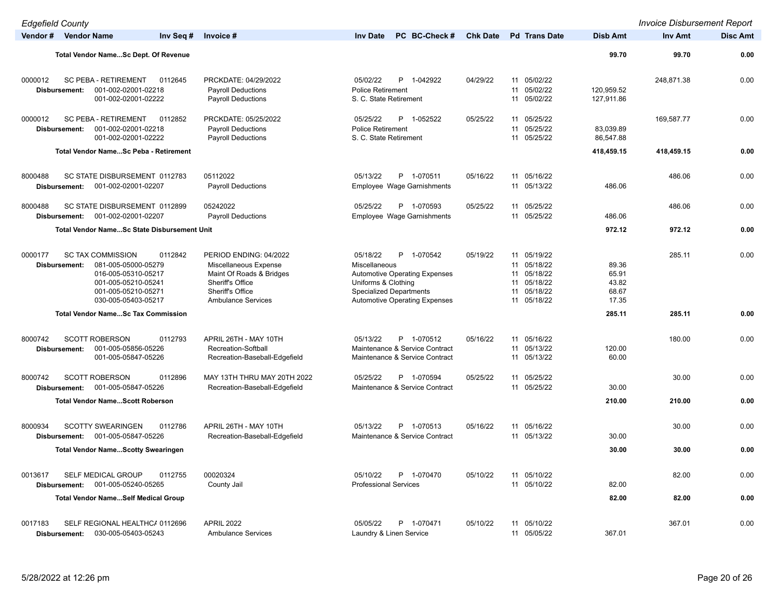| <b>Edgefield County</b>         |                                                                                                                                                        |                                                                                                                                                  |                                                                                                                                                                                  |                 |                                                                                              |                                           | <b>Invoice Disbursement Report</b> |                 |
|---------------------------------|--------------------------------------------------------------------------------------------------------------------------------------------------------|--------------------------------------------------------------------------------------------------------------------------------------------------|----------------------------------------------------------------------------------------------------------------------------------------------------------------------------------|-----------------|----------------------------------------------------------------------------------------------|-------------------------------------------|------------------------------------|-----------------|
| Vendor # Vendor Name            | Inv Seq #                                                                                                                                              | Invoice #                                                                                                                                        | <b>Inv Date</b><br>PC BC-Check #                                                                                                                                                 | <b>Chk Date</b> | <b>Pd</b> Trans Date                                                                         | <b>Disb Amt</b>                           | Inv Amt                            | <b>Disc Amt</b> |
|                                 | Total Vendor NameSc Dept. Of Revenue                                                                                                                   |                                                                                                                                                  |                                                                                                                                                                                  |                 |                                                                                              | 99.70                                     | 99.70                              | 0.00            |
| 0000012<br>Disbursement:        | SC PEBA - RETIREMENT<br>0112645<br>001-002-02001-02218<br>001-002-02001-02222                                                                          | PRCKDATE: 04/29/2022<br><b>Payroll Deductions</b><br><b>Payroll Deductions</b>                                                                   | P 1-042922<br>05/02/22<br><b>Police Retirement</b><br>S. C. State Retirement                                                                                                     | 04/29/22        | 11 05/02/22<br>05/02/22<br>11<br>05/02/22<br>11                                              | 120,959.52<br>127,911.86                  | 248,871.38                         | 0.00            |
| 0000012<br>Disbursement:        | SC PEBA - RETIREMENT<br>0112852<br>001-002-02001-02218<br>001-002-02001-02222                                                                          | PRCKDATE: 05/25/2022<br><b>Payroll Deductions</b><br><b>Payroll Deductions</b>                                                                   | 05/25/22<br>P 1-052522<br><b>Police Retirement</b><br>S. C. State Retirement                                                                                                     | 05/25/22        | 11 05/25/22<br>05/25/22<br>11<br>11 05/25/22                                                 | 83,039.89<br>86,547.88                    | 169,587.77                         | 0.00            |
|                                 | <b>Total Vendor NameSc Peba - Retirement</b>                                                                                                           |                                                                                                                                                  |                                                                                                                                                                                  |                 |                                                                                              | 418,459.15                                | 418,459.15                         | 0.00            |
| 8000488<br>Disbursement:        | SC STATE DISBURSEMENT 0112783<br>001-002-02001-02207                                                                                                   | 05112022<br><b>Payroll Deductions</b>                                                                                                            | 05/13/22<br>P 1-070511<br>Employee Wage Garnishments                                                                                                                             | 05/16/22        | 11 05/16/22<br>11 05/13/22                                                                   | 486.06                                    | 486.06                             | 0.00            |
| 8000488<br><b>Disbursement:</b> | SC STATE DISBURSEMENT 0112899<br>001-002-02001-02207                                                                                                   | 05242022<br><b>Payroll Deductions</b>                                                                                                            | 05/25/22<br>P 1-070593<br>Employee Wage Garnishments                                                                                                                             | 05/25/22        | 11 05/25/22<br>11 05/25/22                                                                   | 486.06                                    | 486.06                             | 0.00            |
|                                 | <b>Total Vendor NameSc State Disbursement Unit</b>                                                                                                     |                                                                                                                                                  |                                                                                                                                                                                  |                 |                                                                                              | 972.12                                    | 972.12                             | 0.00            |
| 0000177<br>Disbursement:        | <b>SC TAX COMMISSION</b><br>0112842<br>081-005-05000-05279<br>016-005-05310-05217<br>001-005-05210-05241<br>001-005-05210-05271<br>030-005-05403-05217 | PERIOD ENDING: 04/2022<br>Miscellaneous Expense<br>Maint Of Roads & Bridges<br>Sheriff's Office<br>Sheriff's Office<br><b>Ambulance Services</b> | 05/18/22<br>P 1-070542<br>Miscellaneous<br><b>Automotive Operating Expenses</b><br>Uniforms & Clothing<br><b>Specialized Departments</b><br><b>Automotive Operating Expenses</b> | 05/19/22        | 11 05/19/22<br>11 05/18/22<br>05/18/22<br>11<br>11 05/18/22<br>05/18/22<br>11<br>11 05/18/22 | 89.36<br>65.91<br>43.82<br>68.67<br>17.35 | 285.11                             | 0.00            |
|                                 | <b>Total Vendor NameSc Tax Commission</b>                                                                                                              |                                                                                                                                                  |                                                                                                                                                                                  |                 |                                                                                              | 285.11                                    | 285.11                             | 0.00            |
| 8000742<br>Disbursement:        | <b>SCOTT ROBERSON</b><br>0112793<br>001-005-05856-05226<br>001-005-05847-05226                                                                         | APRIL 26TH - MAY 10TH<br>Recreation-Softball<br>Recreation-Baseball-Edgefield                                                                    | 05/13/22<br>P 1-070512<br>Maintenance & Service Contract<br>Maintenance & Service Contract                                                                                       | 05/16/22        | 11 05/16/22<br>11 05/13/22<br>11 05/13/22                                                    | 120.00<br>60.00                           | 180.00                             | 0.00            |
| 8000742<br>Disbursement:        | <b>SCOTT ROBERSON</b><br>0112896<br>001-005-05847-05226                                                                                                | MAY 13TH THRU MAY 20TH 2022<br>Recreation-Baseball-Edgefield                                                                                     | 05/25/22<br>P 1-070594<br>Maintenance & Service Contract                                                                                                                         | 05/25/22        | 11 05/25/22<br>11 05/25/22                                                                   | 30.00                                     | 30.00                              | 0.00            |
|                                 | <b>Total Vendor NameScott Roberson</b>                                                                                                                 |                                                                                                                                                  |                                                                                                                                                                                  |                 |                                                                                              | 210.00                                    | 210.00                             | 0.00            |
| 8000934<br>Disbursement:        | <b>SCOTTY SWEARINGEN</b><br>0112786<br>001-005-05847-05226                                                                                             | APRIL 26TH - MAY 10TH<br>Recreation-Baseball-Edgefield                                                                                           | P 1-070513<br>05/13/22<br>Maintenance & Service Contract                                                                                                                         | 05/16/22        | 11<br>05/16/22<br>11 05/13/22                                                                | 30.00                                     | 30.00                              | 0.00            |
|                                 | <b>Total Vendor NameScotty Swearingen</b>                                                                                                              |                                                                                                                                                  |                                                                                                                                                                                  |                 |                                                                                              | 30.00                                     | 30.00                              | 0.00            |
| 0013617<br>Disbursement:        | <b>SELF MEDICAL GROUP</b><br>0112755<br>001-005-05240-05265                                                                                            | 00020324<br>County Jail                                                                                                                          | 05/10/22<br>1-070470<br><b>Professional Services</b>                                                                                                                             | 05/10/22        | 11 05/10/22<br>11 05/10/22                                                                   | 82.00                                     | 82.00                              | 0.00            |
|                                 | <b>Total Vendor NameSelf Medical Group</b>                                                                                                             |                                                                                                                                                  |                                                                                                                                                                                  |                 |                                                                                              | 82.00                                     | 82.00                              | 0.00            |
| 0017183<br>Disbursement:        | SELF REGIONAL HEALTHC/ 0112696<br>030-005-05403-05243                                                                                                  | <b>APRIL 2022</b><br><b>Ambulance Services</b>                                                                                                   | 05/05/22<br>P 1-070471<br>Laundry & Linen Service                                                                                                                                | 05/10/22        | 11 05/10/22<br>11 05/05/22                                                                   | 367.01                                    | 367.01                             | 0.00            |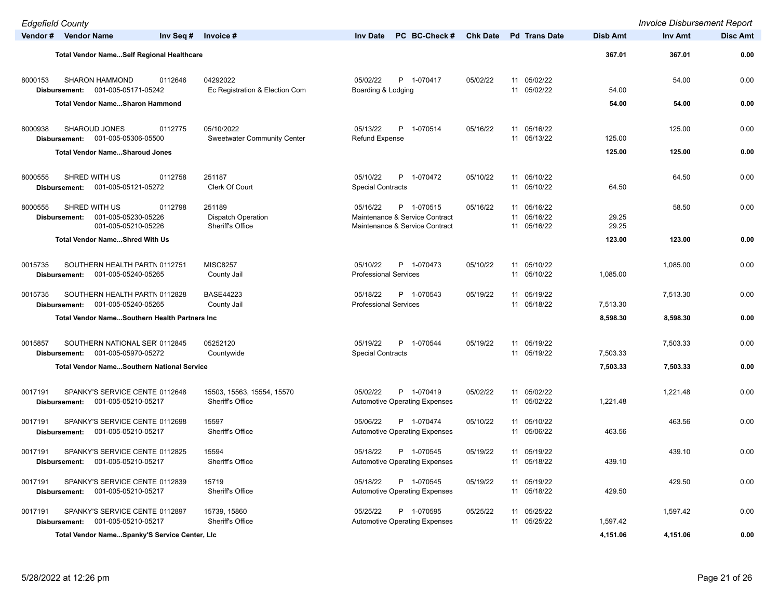| <b>Edgefield County</b>  |                                                                     |                                                                    |                                                                                            |                 |                                           |                 | <b>Invoice Disbursement Report</b> |                 |
|--------------------------|---------------------------------------------------------------------|--------------------------------------------------------------------|--------------------------------------------------------------------------------------------|-----------------|-------------------------------------------|-----------------|------------------------------------|-----------------|
| Vendor # Vendor Name     |                                                                     | Inv Seq #<br>Invoice #                                             | PC BC-Check #<br><b>Inv Date</b>                                                           | <b>Chk Date</b> | <b>Pd</b> Trans Date                      | <b>Disb Amt</b> | <b>Inv Amt</b>                     | <b>Disc Amt</b> |
|                          | Total Vendor NameSelf Regional Healthcare                           |                                                                    |                                                                                            |                 |                                           | 367.01          | 367.01                             | 0.00            |
| 8000153<br>Disbursement: | <b>SHARON HAMMOND</b><br>001-005-05171-05242                        | 04292022<br>0112646<br>Ec Registration & Election Com              | 05/02/22<br>P 1-070417<br>Boarding & Lodging                                               | 05/02/22        | 11 05/02/22<br>11 05/02/22                | 54.00           | 54.00                              | 0.00            |
|                          | <b>Total Vendor NameSharon Hammond</b>                              |                                                                    |                                                                                            |                 |                                           | 54.00           | 54.00                              | 0.00            |
| 8000938<br>Disbursement: | SHAROUD JONES<br>001-005-05306-05500                                | 0112775<br>05/10/2022<br><b>Sweetwater Community Center</b>        | 05/13/22<br>P 1-070514<br><b>Refund Expense</b>                                            | 05/16/22        | 11 05/16/22<br>11 05/13/22                | 125.00          | 125.00                             | 0.00            |
|                          | <b>Total Vendor NameSharoud Jones</b>                               |                                                                    |                                                                                            |                 |                                           | 125.00          | 125.00                             | 0.00            |
| 8000555<br>Disbursement: | SHRED WITH US<br>001-005-05121-05272                                | 0112758<br>251187<br>Clerk Of Court                                | 05/10/22<br>P 1-070472<br><b>Special Contracts</b>                                         | 05/10/22        | 11 05/10/22<br>11 05/10/22                | 64.50           | 64.50                              | 0.00            |
| 8000555<br>Disbursement: | SHRED WITH US<br>001-005-05230-05226<br>001-005-05210-05226         | 0112798<br>251189<br><b>Dispatch Operation</b><br>Sheriff's Office | 05/16/22<br>P 1-070515<br>Maintenance & Service Contract<br>Maintenance & Service Contract | 05/16/22        | 11 05/16/22<br>11 05/16/22<br>11 05/16/22 | 29.25<br>29.25  | 58.50                              | 0.00            |
|                          | <b>Total Vendor NameShred With Us</b>                               |                                                                    |                                                                                            |                 |                                           | 123.00          | 123.00                             | 0.00            |
| 0015735<br>Disbursement: | SOUTHERN HEALTH PARTN 0112751<br>001-005-05240-05265                | <b>MISC8257</b><br>County Jail                                     | 05/10/22<br>P 1-070473<br><b>Professional Services</b>                                     | 05/10/22        | 11 05/10/22<br>11 05/10/22                | 1,085.00        | 1,085.00                           | 0.00            |
| 0015735<br>Disbursement: | SOUTHERN HEALTH PARTN 0112828<br>001-005-05240-05265                | <b>BASE44223</b><br>County Jail                                    | 05/18/22<br>P 1-070543<br><b>Professional Services</b>                                     | 05/19/22        | 11 05/19/22<br>11 05/18/22                | 7,513.30        | 7,513.30                           | 0.00            |
|                          | Total Vendor NameSouthern Health Partners Inc                       |                                                                    |                                                                                            |                 |                                           | 8,598.30        | 8,598.30                           | 0.00            |
| 0015857<br>Disbursement: | SOUTHERN NATIONAL SER 0112845<br>001-005-05970-05272                | 05252120<br>Countywide                                             | 05/19/22<br>P 1-070544<br><b>Special Contracts</b>                                         | 05/19/22        | 11 05/19/22<br>11 05/19/22                | 7,503.33        | 7,503.33                           | 0.00            |
|                          | <b>Total Vendor NameSouthern National Service</b>                   |                                                                    |                                                                                            |                 |                                           | 7,503.33        | 7,503.33                           | 0.00            |
| 0017191<br>Disbursement: | SPANKY'S SERVICE CENTE 0112648<br>001-005-05210-05217               | 15503, 15563, 15554, 15570<br><b>Sheriff's Office</b>              | 05/02/22<br>P 1-070419<br><b>Automotive Operating Expenses</b>                             | 05/02/22        | 11 05/02/22<br>11 05/02/22                | 1,221.48        | 1,221.48                           | 0.00            |
| 0017191<br>Disbursement: | SPANKY'S SERVICE CENTE 0112698<br>001-005-05210-05217               | 15597<br><b>Sheriff's Office</b>                                   | 05/06/22<br>P 1-070474<br><b>Automotive Operating Expenses</b>                             | 05/10/22        | 11 05/10/22<br>11 05/06/22                | 463.56          | 463.56                             | 0.00            |
| 0017191                  | SPANKY'S SERVICE CENTE 0112825<br>Disbursement: 001-005-05210-05217 | 15594<br>Sheriff's Office                                          | 05/18/22<br>P 1-070545<br><b>Automotive Operating Expenses</b>                             | 05/19/22        | 11 05/19/22<br>11 05/18/22                | 439.10          | 439.10                             | 0.00            |
| 0017191<br>Disbursement: | SPANKY'S SERVICE CENTE 0112839<br>001-005-05210-05217               | 15719<br>Sheriff's Office                                          | 05/18/22<br>P 1-070545<br><b>Automotive Operating Expenses</b>                             | 05/19/22        | 11 05/19/22<br>11 05/18/22                | 429.50          | 429.50                             | 0.00            |
| 0017191<br>Disbursement: | SPANKY'S SERVICE CENTE 0112897<br>001-005-05210-05217               | 15739, 15860<br>Sheriff's Office                                   | 05/25/22<br>P 1-070595<br><b>Automotive Operating Expenses</b>                             | 05/25/22        | 11 05/25/22<br>11 05/25/22                | 1,597.42        | 1,597.42                           | 0.00            |
|                          | Total Vendor NameSpanky'S Service Center, LIc                       |                                                                    |                                                                                            |                 |                                           | 4,151.06        | 4,151.06                           | 0.00            |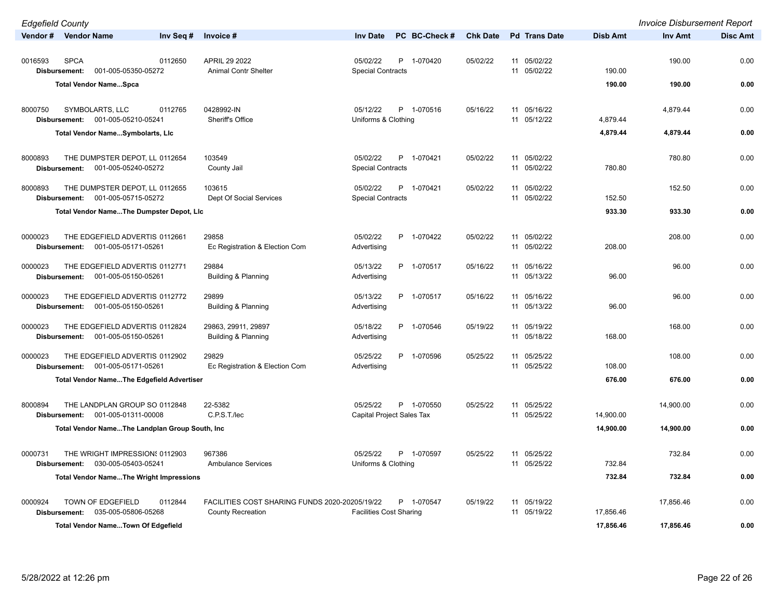| <b>Edgefield County</b>                                                           |                                                                            |                                                       |                 |                               |                 | <b>Invoice Disbursement Report</b> |                 |
|-----------------------------------------------------------------------------------|----------------------------------------------------------------------------|-------------------------------------------------------|-----------------|-------------------------------|-----------------|------------------------------------|-----------------|
| Vendor # Vendor Name<br>Inv Seq #                                                 | Invoice #                                                                  | PC BC-Check#<br><b>Inv Date</b>                       | <b>Chk Date</b> | <b>Pd</b> Trans Date          | <b>Disb Amt</b> | <b>Inv Amt</b>                     | <b>Disc Amt</b> |
| <b>SPCA</b><br>0112650<br>0016593<br>001-005-05350-05272<br>Disbursement:         | APRIL 29 2022<br>Animal Contr Shelter                                      | 05/02/22<br>P 1-070420<br><b>Special Contracts</b>    | 05/02/22        | 11 05/02/22<br>11 05/02/22    | 190.00          | 190.00                             | 0.00            |
| <b>Total Vendor NameSpca</b>                                                      |                                                                            |                                                       |                 |                               | 190.00          | 190.00                             | 0.00            |
| 8000750<br>SYMBOLARTS, LLC<br>0112765<br>001-005-05210-05241<br>Disbursement:     | 0428992-IN<br>Sheriff's Office                                             | P 1-070516<br>05/12/22<br>Uniforms & Clothing         | 05/16/22        | 11 05/16/22<br>11 05/12/22    | 4,879.44        | 4,879.44                           | 0.00            |
| Total Vendor NameSymbolarts, Lic                                                  |                                                                            |                                                       |                 |                               | 4,879.44        | 4,879.44                           | 0.00            |
| 8000893<br>THE DUMPSTER DEPOT, LL 0112654<br>Disbursement:<br>001-005-05240-05272 | 103549<br>County Jail                                                      | 05/02/22<br>P 1-070421<br><b>Special Contracts</b>    | 05/02/22        | 11 05/02/22<br>11 05/02/22    | 780.80          | 780.80                             | 0.00            |
| THE DUMPSTER DEPOT, LL 0112655<br>8000893<br>001-005-05715-05272<br>Disbursement: | 103615<br>Dept Of Social Services                                          | 05/02/22<br>P<br>1-070421<br><b>Special Contracts</b> | 05/02/22        | 11 05/02/22<br>11 05/02/22    | 152.50          | 152.50                             | 0.00            |
| Total Vendor NameThe Dumpster Depot, Lic                                          |                                                                            |                                                       |                 |                               | 933.30          | 933.30                             | 0.00            |
| 0000023<br>THE EDGEFIELD ADVERTIS 0112661<br>001-005-05171-05261<br>Disbursement: | 29858<br>Ec Registration & Election Com                                    | 05/02/22<br>P 1-070422<br>Advertising                 | 05/02/22        | 11 05/02/22<br>11 05/02/22    | 208.00          | 208.00                             | 0.00            |
| 0000023<br>THE EDGEFIELD ADVERTIS 0112771<br>001-005-05150-05261<br>Disbursement: | 29884<br><b>Building &amp; Planning</b>                                    | 05/13/22<br>P 1-070517<br>Advertising                 | 05/16/22        | 11 05/16/22<br>11 05/13/22    | 96.00           | 96.00                              | 0.00            |
| 0000023<br>THE EDGEFIELD ADVERTIS 0112772<br>001-005-05150-05261<br>Disbursement: | 29899<br><b>Building &amp; Planning</b>                                    | 05/13/22<br>P 1-070517<br>Advertising                 | 05/16/22        | 11 05/16/22<br>11 05/13/22    | 96.00           | 96.00                              | 0.00            |
| THE EDGEFIELD ADVERTIS 0112824<br>0000023<br>001-005-05150-05261<br>Disbursement: | 29863, 29911, 29897<br><b>Building &amp; Planning</b>                      | 05/18/22<br>P 1-070546<br>Advertising                 | 05/19/22        | 11 05/19/22<br>11 05/18/22    | 168.00          | 168.00                             | 0.00            |
| THE EDGEFIELD ADVERTIS 0112902<br>0000023<br>001-005-05171-05261<br>Disbursement: | 29829<br>Ec Registration & Election Com                                    | 05/25/22<br>P 1-070596<br>Advertising                 | 05/25/22        | 11 05/25/22<br>05/25/22<br>11 | 108.00          | 108.00                             | 0.00            |
| <b>Total Vendor NameThe Edgefield Advertiser</b>                                  |                                                                            |                                                       |                 |                               | 676.00          | 676.00                             | 0.00            |
| 8000894<br>THE LANDPLAN GROUP SO 0112848<br>Disbursement: 001-005-01311-00008     | 22-5382<br>C.P.S.T./lec                                                    | 05/25/22<br>P 1-070550<br>Capital Project Sales Tax   | 05/25/22        | 11 05/25/22<br>11 05/25/22    | 14,900.00       | 14,900.00                          | 0.00            |
| Total Vendor NameThe Landplan Group South, Inc.                                   |                                                                            |                                                       |                 |                               | 14,900.00       | 14,900.00                          | 0.00            |
| THE WRIGHT IMPRESSION: 0112903<br>0000731<br>030-005-05403-05241<br>Disbursement: | 967386<br><b>Ambulance Services</b>                                        | 05/25/22<br>P 1-070597<br>Uniforms & Clothing         | 05/25/22        | 11 05/25/22<br>11 05/25/22    | 732.84          | 732.84                             | 0.00            |
| <b>Total Vendor NameThe Wright Impressions</b>                                    |                                                                            |                                                       |                 |                               | 732.84          | 732.84                             | 0.00            |
| 0000924<br>TOWN OF EDGEFIELD<br>0112844<br>035-005-05806-05268<br>Disbursement:   | FACILITIES COST SHARING FUNDS 2020-20205/19/22<br><b>County Recreation</b> | P 1-070547<br><b>Facilities Cost Sharing</b>          | 05/19/22        | 11 05/19/22<br>11 05/19/22    | 17,856.46       | 17,856.46                          | 0.00            |
| <b>Total Vendor NameTown Of Edgefield</b>                                         |                                                                            |                                                       |                 |                               | 17.856.46       | 17.856.46                          | 0.00            |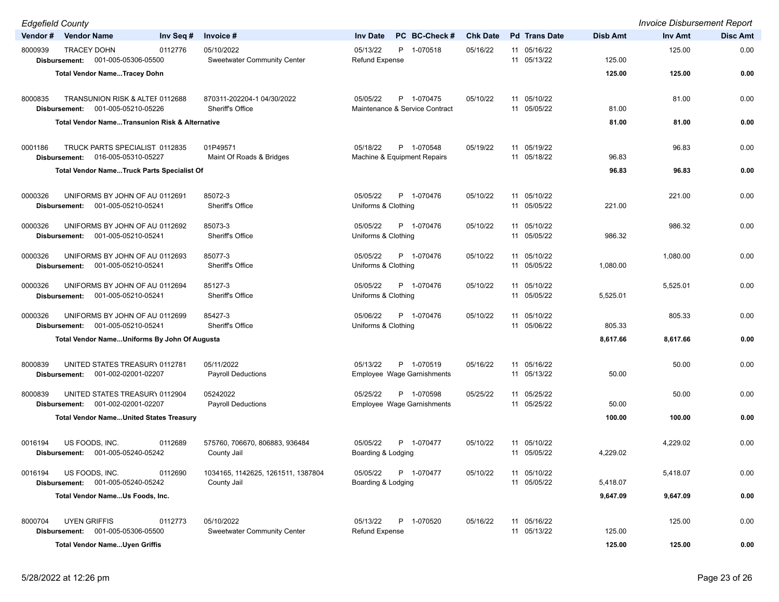| <b>Edgefield County</b> |                                                                        |           |                                                   |                                                          |                 |                            |          | <b>Invoice Disbursement Report</b> |                 |
|-------------------------|------------------------------------------------------------------------|-----------|---------------------------------------------------|----------------------------------------------------------|-----------------|----------------------------|----------|------------------------------------|-----------------|
| Vendor#                 | <b>Vendor Name</b>                                                     | Inv Seq # | Invoice #                                         | PC BC-Check #<br><b>Inv Date</b>                         | <b>Chk Date</b> | <b>Pd</b> Trans Date       | Disb Amt | <b>Inv Amt</b>                     | <b>Disc Amt</b> |
| 8000939                 | <b>TRACEY DOHN</b><br>Disbursement: 001-005-05306-05500                | 0112776   | 05/10/2022<br><b>Sweetwater Community Center</b>  | 05/13/22<br>P 1-070518<br><b>Refund Expense</b>          | 05/16/22        | 11 05/16/22<br>11 05/13/22 | 125.00   | 125.00                             | 0.00            |
|                         | <b>Total Vendor NameTracey Dohn</b>                                    |           |                                                   |                                                          |                 |                            | 125.00   | 125.00                             | 0.00            |
| 8000835                 | TRANSUNION RISK & ALTEF 0112688<br>Disbursement: 001-005-05210-05226   |           | 870311-202204-1 04/30/2022<br>Sheriff's Office    | 05/05/22<br>P 1-070475<br>Maintenance & Service Contract | 05/10/22        | 11 05/10/22<br>11 05/05/22 | 81.00    | 81.00                              | 0.00            |
|                         | <b>Total Vendor NameTransunion Risk &amp; Alternative</b>              |           |                                                   |                                                          |                 |                            | 81.00    | 81.00                              | 0.00            |
|                         |                                                                        |           |                                                   |                                                          |                 |                            |          |                                    |                 |
| 0001186                 | TRUCK PARTS SPECIALIST 0112835<br>016-005-05310-05227<br>Disbursement: |           | 01P49571<br>Maint Of Roads & Bridges              | 05/18/22<br>P 1-070548<br>Machine & Equipment Repairs    | 05/19/22        | 11 05/19/22<br>11 05/18/22 | 96.83    | 96.83                              | 0.00            |
|                         | <b>Total Vendor NameTruck Parts Specialist Of</b>                      |           |                                                   |                                                          |                 |                            | 96.83    | 96.83                              | 0.00            |
|                         |                                                                        |           |                                                   |                                                          |                 |                            |          |                                    |                 |
| 0000326                 | UNIFORMS BY JOHN OF AU 0112691<br>001-005-05210-05241<br>Disbursement: |           | 85072-3<br><b>Sheriff's Office</b>                | 05/05/22<br>P 1-070476<br>Uniforms & Clothing            | 05/10/22        | 11 05/10/22<br>11 05/05/22 | 221.00   | 221.00                             | 0.00            |
| 0000326                 | UNIFORMS BY JOHN OF AU 0112692<br>001-005-05210-05241<br>Disbursement: |           | 85073-3<br>Sheriff's Office                       | 05/05/22<br>P 1-070476<br>Uniforms & Clothing            | 05/10/22        | 11 05/10/22<br>11 05/05/22 | 986.32   | 986.32                             | 0.00            |
| 0000326                 | UNIFORMS BY JOHN OF AU 0112693<br>Disbursement: 001-005-05210-05241    |           | 85077-3<br>Sheriff's Office                       | 05/05/22<br>P 1-070476<br>Uniforms & Clothing            | 05/10/22        | 11 05/10/22<br>11 05/05/22 | 1,080.00 | 1,080.00                           | 0.00            |
| 0000326                 | UNIFORMS BY JOHN OF AU 0112694<br>001-005-05210-05241<br>Disbursement: |           | 85127-3<br>Sheriff's Office                       | 05/05/22<br>P 1-070476<br>Uniforms & Clothing            | 05/10/22        | 11 05/10/22<br>11 05/05/22 | 5,525.01 | 5,525.01                           | 0.00            |
| 0000326                 | UNIFORMS BY JOHN OF AU 0112699<br>Disbursement: 001-005-05210-05241    |           | 85427-3<br>Sheriff's Office                       | 05/06/22<br>P 1-070476<br>Uniforms & Clothing            | 05/10/22        | 11 05/10/22<br>11 05/06/22 | 805.33   | 805.33                             | 0.00            |
|                         | Total Vendor NameUniforms By John Of Augusta                           |           |                                                   |                                                          |                 |                            | 8,617.66 | 8,617.66                           | 0.00            |
|                         |                                                                        |           |                                                   |                                                          |                 |                            |          |                                    |                 |
| 8000839                 | UNITED STATES TREASURY 0112781<br>001-002-02001-02207<br>Disbursement: |           | 05/11/2022<br><b>Payroll Deductions</b>           | 05/13/22<br>P 1-070519<br>Employee Wage Garnishments     | 05/16/22        | 11 05/16/22<br>11 05/13/22 | 50.00    | 50.00                              | 0.00            |
| 8000839                 | UNITED STATES TREASURY 0112904<br>Disbursement: 001-002-02001-02207    |           | 05242022<br><b>Payroll Deductions</b>             | 05/25/22<br>P 1-070598<br>Employee Wage Garnishments     | 05/25/22        | 11 05/25/22<br>11 05/25/22 | 50.00    | 50.00                              | 0.00            |
|                         | <b>Total Vendor NameUnited States Treasury</b>                         |           |                                                   |                                                          |                 |                            | 100.00   | 100.00                             | 0.00            |
| 0016194                 | US FOODS, INC.<br>001-005-05240-05242<br>Disbursement:                 | 0112689   | 575760, 706670, 806883, 936484<br>County Jail     | 05/05/22<br>P 1-070477<br>Boarding & Lodging             | 05/10/22        | 11 05/10/22<br>11 05/05/22 | 4,229.02 | 4,229.02                           | 0.00            |
| 0016194                 | US FOODS, INC.<br>001-005-05240-05242<br>Disbursement:                 | 0112690   | 1034165, 1142625, 1261511, 1387804<br>County Jail | 05/05/22<br>P 1-070477<br>Boarding & Lodging             | 05/10/22        | 11 05/10/22<br>11 05/05/22 | 5,418.07 | 5,418.07                           | 0.00            |
|                         | Total Vendor NameUs Foods, Inc.                                        |           |                                                   |                                                          |                 |                            | 9,647.09 | 9,647.09                           | 0.00            |
|                         |                                                                        |           |                                                   |                                                          |                 |                            |          |                                    |                 |
| 8000704                 | <b>UYEN GRIFFIS</b><br>Disbursement: 001-005-05306-05500               | 0112773   | 05/10/2022<br><b>Sweetwater Community Center</b>  | 05/13/22<br>P 1-070520<br><b>Refund Expense</b>          | 05/16/22        | 11 05/16/22<br>11 05/13/22 | 125.00   | 125.00                             | 0.00            |
|                         | <b>Total Vendor NameUyen Griffis</b>                                   |           |                                                   |                                                          |                 |                            | 125.00   | 125.00                             | 0.00            |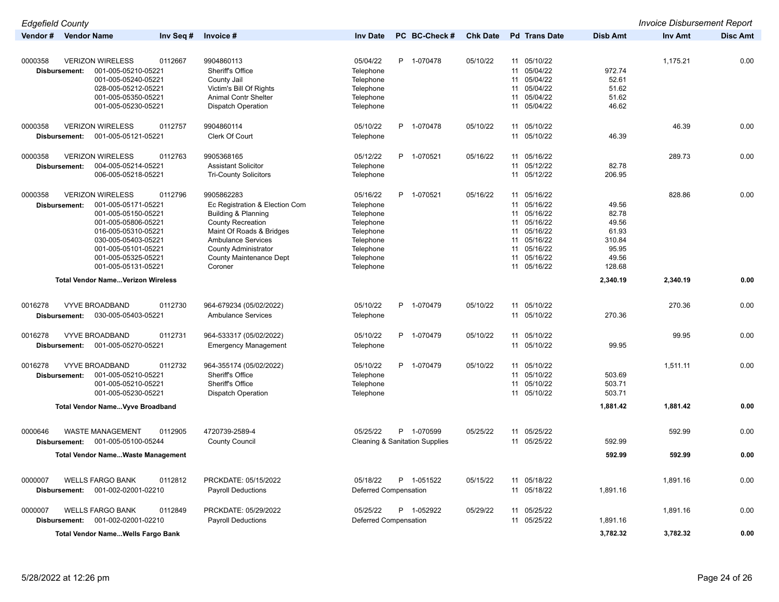| <b>Edgefield County</b> |                                          |           |                                |                              |   |                                           |                 |    |                      |                 | <b>Invoice Disbursement Report</b> |                 |
|-------------------------|------------------------------------------|-----------|--------------------------------|------------------------------|---|-------------------------------------------|-----------------|----|----------------------|-----------------|------------------------------------|-----------------|
| Vendor#                 | <b>Vendor Name</b>                       | Inv Seq # | Invoice #                      | <b>Inv Date</b>              |   | PC BC-Check #                             | <b>Chk Date</b> |    | <b>Pd</b> Trans Date | <b>Disb Amt</b> | <b>Inv Amt</b>                     | <b>Disc Amt</b> |
|                         |                                          |           |                                |                              |   |                                           |                 |    |                      |                 |                                    |                 |
| 0000358                 | <b>VERIZON WIRELESS</b>                  | 0112667   | 9904860113                     | 05/04/22                     |   | P 1-070478                                | 05/10/22        |    | 11 05/10/22          |                 | 1,175.21                           | 0.00            |
| Disbursement:           | 001-005-05210-05221                      |           | Sheriff's Office               | Telephone                    |   |                                           |                 |    | 11 05/04/22          | 972.74          |                                    |                 |
|                         | 001-005-05240-05221                      |           | County Jail                    | Telephone                    |   |                                           |                 |    | 11 05/04/22          | 52.61           |                                    |                 |
|                         | 028-005-05212-05221                      |           | Victim's Bill Of Rights        | Telephone                    |   |                                           |                 | 11 | 05/04/22             | 51.62           |                                    |                 |
|                         | 001-005-05350-05221                      |           | Animal Contr Shelter           | Telephone                    |   |                                           |                 | 11 | 05/04/22             | 51.62           |                                    |                 |
|                         | 001-005-05230-05221                      |           | <b>Dispatch Operation</b>      | Telephone                    |   |                                           |                 | 11 | 05/04/22             | 46.62           |                                    |                 |
|                         |                                          |           |                                |                              |   |                                           |                 |    |                      |                 | 46.39                              |                 |
| 0000358                 | <b>VERIZON WIRELESS</b>                  | 0112757   | 9904860114                     | 05/10/22                     |   | P 1-070478                                | 05/10/22        |    | 11 05/10/22          |                 |                                    | 0.00            |
| Disbursement:           | 001-005-05121-05221                      |           | <b>Clerk Of Court</b>          | Telephone                    |   |                                           |                 |    | 11 05/10/22          | 46.39           |                                    |                 |
| 0000358                 | <b>VERIZON WIRELESS</b>                  | 0112763   | 9905368165                     | 05/12/22                     |   | P 1-070521                                | 05/16/22        |    | 11 05/16/22          |                 | 289.73                             | 0.00            |
| Disbursement:           | 004-005-05214-05221                      |           | <b>Assistant Solicitor</b>     | Telephone                    |   |                                           |                 | 11 | 05/12/22             | 82.78           |                                    |                 |
|                         | 006-005-05218-05221                      |           | <b>Tri-County Solicitors</b>   | Telephone                    |   |                                           |                 |    | 11 05/12/22          | 206.95          |                                    |                 |
| 0000358                 | <b>VERIZON WIRELESS</b>                  | 0112796   | 9905862283                     | 05/16/22                     | P | 1-070521                                  | 05/16/22        |    | 11 05/16/22          |                 | 828.86                             | 0.00            |
| Disbursement:           | 001-005-05171-05221                      |           | Ec Registration & Election Com | Telephone                    |   |                                           |                 |    | 11 05/16/22          | 49.56           |                                    |                 |
|                         | 001-005-05150-05221                      |           | Building & Planning            | Telephone                    |   |                                           |                 | 11 | 05/16/22             | 82.78           |                                    |                 |
|                         | 001-005-05806-05221                      |           | <b>County Recreation</b>       | Telephone                    |   |                                           |                 |    | 11 05/16/22          | 49.56           |                                    |                 |
|                         | 016-005-05310-05221                      |           | Maint Of Roads & Bridges       | Telephone                    |   |                                           |                 | 11 | 05/16/22             | 61.93           |                                    |                 |
|                         | 030-005-05403-05221                      |           | <b>Ambulance Services</b>      | Telephone                    |   |                                           |                 |    | 11 05/16/22          | 310.84          |                                    |                 |
|                         | 001-005-05101-05221                      |           | <b>County Administrator</b>    | Telephone                    |   |                                           |                 | 11 | 05/16/22             | 95.95           |                                    |                 |
|                         | 001-005-05325-05221                      |           | County Maintenance Dept        | Telephone                    |   |                                           |                 |    | 11 05/16/22          | 49.56           |                                    |                 |
|                         | 001-005-05131-05221                      |           | Coroner                        | Telephone                    |   |                                           |                 | 11 | 05/16/22             | 128.68          |                                    |                 |
|                         | <b>Total Vendor NameVerizon Wireless</b> |           |                                |                              |   |                                           |                 |    |                      | 2,340.19        | 2,340.19                           | 0.00            |
| 0016278                 | <b>VYVE BROADBAND</b>                    | 0112730   | 964-679234 (05/02/2022)        | 05/10/22                     |   | P 1-070479                                | 05/10/22        |    | 11 05/10/22          |                 | 270.36                             | 0.00            |
| Disbursement:           | 030-005-05403-05221                      |           | <b>Ambulance Services</b>      | Telephone                    |   |                                           |                 |    | 11 05/10/22          | 270.36          |                                    |                 |
|                         |                                          |           |                                |                              |   |                                           |                 |    |                      |                 |                                    |                 |
| 0016278                 | <b>VYVE BROADBAND</b>                    | 0112731   | 964-533317 (05/02/2022)        | 05/10/22                     |   | P 1-070479                                | 05/10/22        |    | 11 05/10/22          |                 | 99.95                              | 0.00            |
| Disbursement:           | 001-005-05270-05221                      |           | <b>Emergency Management</b>    | Telephone                    |   |                                           |                 |    | 11 05/10/22          | 99.95           |                                    |                 |
| 0016278                 | <b>VYVE BROADBAND</b>                    | 0112732   | 964-355174 (05/02/2022)        | 05/10/22                     |   | P 1-070479                                | 05/10/22        |    | 11 05/10/22          |                 | 1,511.11                           | 0.00            |
| Disbursement:           | 001-005-05210-05221                      |           | Sheriff's Office               | Telephone                    |   |                                           |                 |    | 11 05/10/22          | 503.69          |                                    |                 |
|                         | 001-005-05210-05221                      |           | Sheriff's Office               | Telephone                    |   |                                           |                 | 11 | 05/10/22             | 503.71          |                                    |                 |
|                         | 001-005-05230-05221                      |           | <b>Dispatch Operation</b>      | Telephone                    |   |                                           |                 |    | 11 05/10/22          | 503.71          |                                    |                 |
|                         | <b>Total Vendor NameVyve Broadband</b>   |           |                                |                              |   |                                           |                 |    |                      | 1.881.42        | 1,881.42                           | 0.00            |
|                         |                                          |           |                                |                              |   |                                           |                 |    |                      |                 |                                    |                 |
| 0000646                 | <b>WASTE MANAGEMENT</b>                  | 0112905   | 4720739-2589-4                 | 05/25/22                     |   | P 1-070599                                | 05/25/22        |    | 11 05/25/22          |                 | 592.99                             | 0.00            |
| Disbursement:           | 001-005-05100-05244                      |           | <b>County Council</b>          |                              |   | <b>Cleaning &amp; Sanitation Supplies</b> |                 |    | 11 05/25/22          | 592.99          |                                    |                 |
|                         | <b>Total Vendor NameWaste Management</b> |           |                                |                              |   |                                           |                 |    |                      | 592.99          | 592.99                             | 0.00            |
|                         |                                          |           |                                |                              |   |                                           |                 |    |                      |                 |                                    |                 |
| 0000007                 | <b>WELLS FARGO BANK</b>                  | 0112812   | PRCKDATE: 05/15/2022           | 05/18/22                     | P | 1-051522                                  | 05/15/22        |    | 11 05/18/22          |                 | 1,891.16                           | 0.00            |
| Disbursement:           | 001-002-02001-02210                      |           | <b>Payroll Deductions</b>      | Deferred Compensation        |   |                                           |                 |    | 11 05/18/22          | 1,891.16        |                                    |                 |
| 0000007                 | <b>WELLS FARGO BANK</b>                  | 0112849   | PRCKDATE: 05/29/2022           | 05/25/22                     |   | P 1-052922                                | 05/29/22        |    | 11 05/25/22          |                 | 1,891.16                           | 0.00            |
| Disbursement:           | 001-002-02001-02210                      |           | <b>Payroll Deductions</b>      | <b>Deferred Compensation</b> |   |                                           |                 |    | 11 05/25/22          | 1,891.16        |                                    |                 |
|                         | Total Vendor NameWells Fargo Bank        |           |                                |                              |   |                                           |                 |    |                      | 3,782.32        | 3,782.32                           | 0.00            |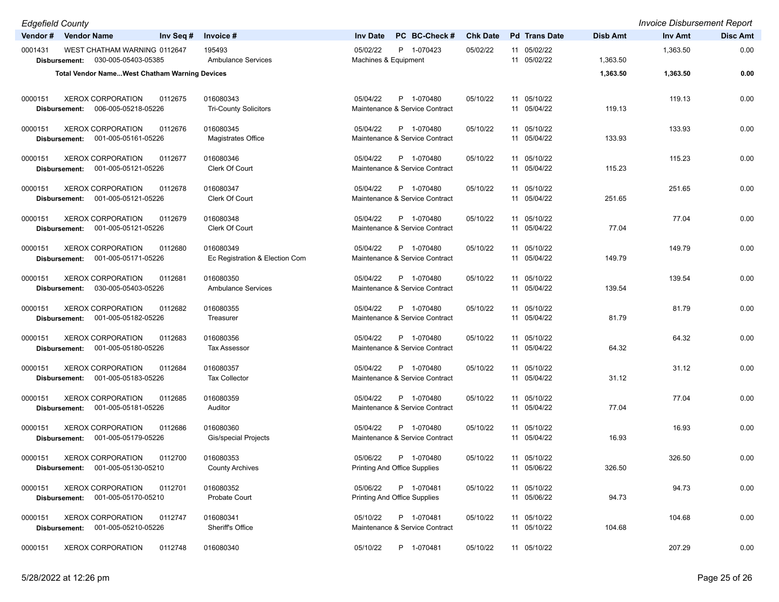| <b>Edgefield County</b>                                                                |                                             |                                                               |                 |                            |                 | <b>Invoice Disbursement Report</b> |                 |
|----------------------------------------------------------------------------------------|---------------------------------------------|---------------------------------------------------------------|-----------------|----------------------------|-----------------|------------------------------------|-----------------|
| Vendor # Vendor Name<br>Inv Seq #                                                      | Invoice #                                   | PC BC-Check #<br><b>Inv Date</b>                              | <b>Chk Date</b> | <b>Pd</b> Trans Date       | <b>Disb Amt</b> | <b>Inv Amt</b>                     | <b>Disc Amt</b> |
| WEST CHATHAM WARNING 0112647<br>0001431<br>030-005-05403-05385<br>Disbursement:        | 195493<br><b>Ambulance Services</b>         | 05/02/22<br>P 1-070423<br>Machines & Equipment                | 05/02/22        | 11 05/02/22<br>11 05/02/22 | 1,363.50        | 1,363.50                           | 0.00            |
| <b>Total Vendor NameWest Chatham Warning Devices</b>                                   |                                             |                                                               |                 |                            | 1,363.50        | 1,363.50                           | 0.00            |
|                                                                                        |                                             |                                                               |                 |                            |                 |                                    |                 |
| <b>XEROX CORPORATION</b><br>0000151<br>0112675<br>Disbursement: 006-005-05218-05226    | 016080343<br><b>Tri-County Solicitors</b>   | 05/04/22<br>P 1-070480<br>Maintenance & Service Contract      | 05/10/22        | 11 05/10/22<br>11 05/04/22 | 119.13          | 119.13                             | 0.00            |
| <b>XEROX CORPORATION</b><br>0000151<br>0112676<br>Disbursement: 001-005-05161-05226    | 016080345<br><b>Magistrates Office</b>      | P 1-070480<br>05/04/22<br>Maintenance & Service Contract      | 05/10/22        | 11 05/10/22<br>11 05/04/22 | 133.93          | 133.93                             | 0.00            |
| <b>XEROX CORPORATION</b><br>0112677<br>0000151<br>001-005-05121-05226<br>Disbursement: | 016080346<br>Clerk Of Court                 | 05/04/22<br>P 1-070480<br>Maintenance & Service Contract      | 05/10/22        | 11 05/10/22<br>11 05/04/22 | 115.23          | 115.23                             | 0.00            |
| <b>XEROX CORPORATION</b><br>0000151<br>0112678<br>001-005-05121-05226<br>Disbursement: | 016080347<br><b>Clerk Of Court</b>          | 05/04/22<br>P 1-070480<br>Maintenance & Service Contract      | 05/10/22        | 11 05/10/22<br>11 05/04/22 | 251.65          | 251.65                             | 0.00            |
| <b>XEROX CORPORATION</b><br>0000151<br>0112679<br>001-005-05121-05226<br>Disbursement: | 016080348<br>Clerk Of Court                 | P 1-070480<br>05/04/22<br>Maintenance & Service Contract      | 05/10/22        | 11 05/10/22<br>11 05/04/22 | 77.04           | 77.04                              | 0.00            |
| <b>XEROX CORPORATION</b><br>0000151<br>0112680<br>Disbursement: 001-005-05171-05226    | 016080349<br>Ec Registration & Election Com | 05/04/22<br>P 1-070480<br>Maintenance & Service Contract      | 05/10/22        | 11 05/10/22<br>11 05/04/22 | 149.79          | 149.79                             | 0.00            |
| <b>XEROX CORPORATION</b><br>0112681<br>0000151<br>030-005-05403-05226<br>Disbursement: | 016080350<br><b>Ambulance Services</b>      | 05/04/22<br>P 1-070480<br>Maintenance & Service Contract      | 05/10/22        | 11 05/10/22<br>11 05/04/22 | 139.54          | 139.54                             | 0.00            |
| <b>XEROX CORPORATION</b><br>0000151<br>0112682<br>Disbursement: 001-005-05182-05226    | 016080355<br>Treasurer                      | 05/04/22<br>P 1-070480<br>Maintenance & Service Contract      | 05/10/22        | 11 05/10/22<br>11 05/04/22 | 81.79           | 81.79                              | 0.00            |
| <b>XEROX CORPORATION</b><br>0000151<br>0112683<br>001-005-05180-05226<br>Disbursement: | 016080356<br><b>Tax Assessor</b>            | 05/04/22<br>P 1-070480<br>Maintenance & Service Contract      | 05/10/22        | 11 05/10/22<br>11 05/04/22 | 64.32           | 64.32                              | 0.00            |
| <b>XEROX CORPORATION</b><br>0000151<br>0112684<br>Disbursement: 001-005-05183-05226    | 016080357<br><b>Tax Collector</b>           | 05/04/22<br>P 1-070480<br>Maintenance & Service Contract      | 05/10/22        | 11 05/10/22<br>11 05/04/22 | 31.12           | 31.12                              | 0.00            |
| <b>XEROX CORPORATION</b><br>0112685<br>0000151<br>001-005-05181-05226<br>Disbursement: | 016080359<br>Auditor                        | 05/04/22<br>P 1-070480<br>Maintenance & Service Contract      | 05/10/22        | 11 05/10/22<br>11 05/04/22 | 77.04           | 77.04                              | 0.00            |
| <b>XEROX CORPORATION</b><br>0000151<br>0112686<br>Disbursement: 001-005-05179-05226    | 016080360<br><b>Gis/special Projects</b>    | 05/04/22<br>P 1-070480<br>Maintenance & Service Contract      | 05/10/22        | 11 05/10/22<br>11 05/04/22 | 16.93           | 16.93                              | 0.00            |
| 0000151<br><b>XEROX CORPORATION</b><br>0112700<br>001-005-05130-05210<br>Disbursement: | 016080353<br><b>County Archives</b>         | 05/06/22<br>P 1-070480<br><b>Printing And Office Supplies</b> | 05/10/22        | 11 05/10/22<br>11 05/06/22 | 326.50          | 326.50                             | 0.00            |
| <b>XEROX CORPORATION</b><br>0000151<br>0112701<br>001-005-05170-05210<br>Disbursement: | 016080352<br>Probate Court                  | 05/06/22<br>P 1-070481<br><b>Printing And Office Supplies</b> | 05/10/22        | 11 05/10/22<br>11 05/06/22 | 94.73           | 94.73                              | 0.00            |
| <b>XEROX CORPORATION</b><br>0000151<br>0112747<br>001-005-05210-05226<br>Disbursement: | 016080341<br>Sheriff's Office               | 05/10/22<br>P 1-070481<br>Maintenance & Service Contract      | 05/10/22        | 11 05/10/22<br>11 05/10/22 | 104.68          | 104.68                             | 0.00            |
| <b>XEROX CORPORATION</b><br>0112748<br>0000151                                         | 016080340                                   | 05/10/22<br>P 1-070481                                        | 05/10/22        | 11 05/10/22                |                 | 207.29                             | 0.00            |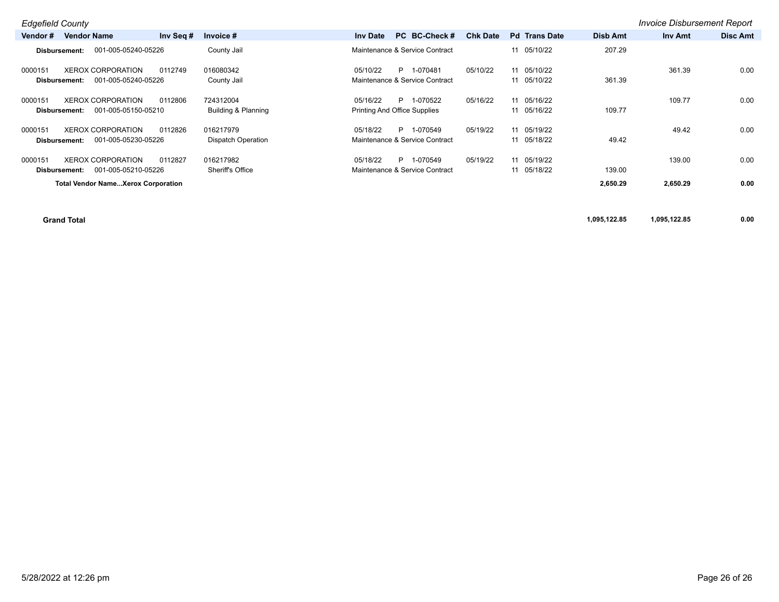|                                 | <b>Edgefield County</b><br><b>Invoice Disbursement Report</b> |           |                                        |                                                 |    |                                              |                 |  |                            |                 |          |                 |
|---------------------------------|---------------------------------------------------------------|-----------|----------------------------------------|-------------------------------------------------|----|----------------------------------------------|-----------------|--|----------------------------|-----------------|----------|-----------------|
| Vendor #                        | <b>Vendor Name</b>                                            | Inv Seg # | Invoice #                              | <b>Inv Date</b>                                 |    | PC BC-Check#                                 | <b>Chk Date</b> |  | <b>Pd</b> Trans Date       | <b>Disb Amt</b> | Inv Amt  | <b>Disc Amt</b> |
| Disbursement:                   | 001-005-05240-05226                                           |           | County Jail                            |                                                 |    | Maintenance & Service Contract               |                 |  | 11 05/10/22                | 207.29          |          |                 |
| 0000151<br><b>Disbursement:</b> | <b>XEROX CORPORATION</b><br>001-005-05240-05226               | 0112749   | 016080342<br>County Jail               | 05/10/22                                        |    | P 1-070481<br>Maintenance & Service Contract | 05/10/22        |  | 11 05/10/22<br>11 05/10/22 | 361.39          | 361.39   | 0.00            |
| 0000151<br>Disbursement:        | <b>XEROX CORPORATION</b><br>001-005-05150-05210               | 0112806   | 724312004<br>Building & Planning       | 05/16/22<br><b>Printing And Office Supplies</b> |    | P 1-070522                                   | 05/16/22        |  | 11 05/16/22<br>11 05/16/22 | 109.77          | 109.77   | 0.00            |
| 0000151<br>Disbursement:        | <b>XEROX CORPORATION</b><br>001-005-05230-05226               | 0112826   | 016217979<br><b>Dispatch Operation</b> | 05/18/22                                        |    | P 1-070549<br>Maintenance & Service Contract | 05/19/22        |  | 11 05/19/22<br>11 05/18/22 | 49.42           | 49.42    | 0.00            |
| 0000151<br>Disbursement:        | <b>XEROX CORPORATION</b><br>001-005-05210-05226               | 0112827   | 016217982<br>Sheriff's Office          | 05/18/22                                        | P. | 1-070549<br>Maintenance & Service Contract   | 05/19/22        |  | 11 05/19/22<br>11 05/18/22 | 139.00          | 139.00   | 0.00            |
|                                 | <b>Total Vendor NameXerox Corporation</b>                     |           |                                        |                                                 |    |                                              |                 |  |                            | 2,650.29        | 2,650.29 | 0.00            |

**Grand Total 1,095,122.85 1,095,122.85 0.00**